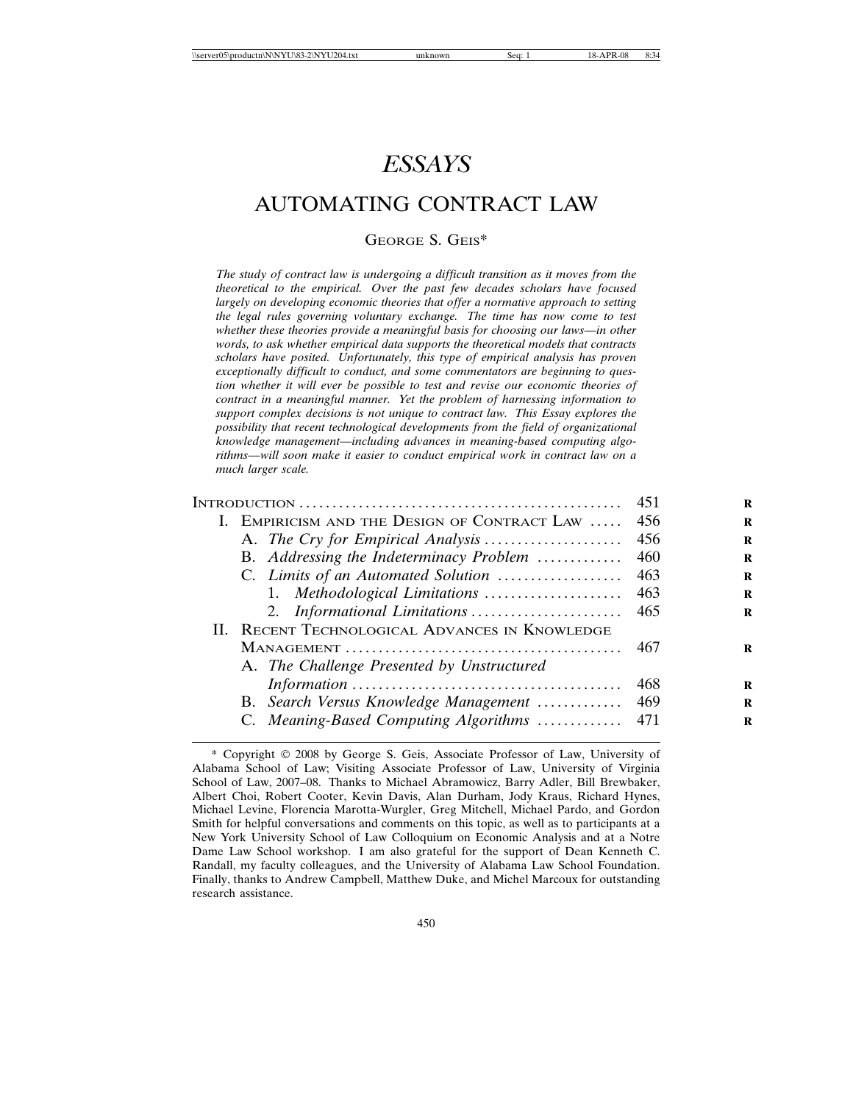# *ESSAYS*

# AUTOMATING CONTRACT LAW

# GEORGE S. GEIS\*

*The study of contract law is undergoing a difficult transition as it moves from the theoretical to the empirical. Over the past few decades scholars have focused largely on developing economic theories that offer a normative approach to setting the legal rules governing voluntary exchange. The time has now come to test whether these theories provide a meaningful basis for choosing our laws—in other words, to ask whether empirical data supports the theoretical models that contracts scholars have posited. Unfortunately, this type of empirical analysis has proven exceptionally difficult to conduct, and some commentators are beginning to question whether it will ever be possible to test and revise our economic theories of contract in a meaningful manner. Yet the problem of harnessing information to support complex decisions is not unique to contract law. This Essay explores the possibility that recent technological developments from the field of organizational knowledge management—including advances in meaning-based computing algorithms—will soon make it easier to conduct empirical work in contract law on a much larger scale.*

|                                                | 451   | R |
|------------------------------------------------|-------|---|
| I. EMPIRICISM AND THE DESIGN OF CONTRACT LAW   | 456   | R |
|                                                | 456   | R |
| B. Addressing the Indeterminacy Problem        | 460   | R |
| C. Limits of an Automated Solution             | 463   | R |
| 1. Methodological Limitations                  | 463   | R |
| 2. Informational Limitations                   | 465   | R |
| II. RECENT TECHNOLOGICAL ADVANCES IN KNOWLEDGE |       |   |
|                                                | 467   | R |
| A. The Challenge Presented by Unstructured     |       |   |
|                                                | 468   | R |
| B. Search Versus Knowledge Management          | 469   | R |
| C. Meaning-Based Computing Algorithms          | - 471 | R |
|                                                |       |   |

<sup>\*</sup> Copyright 2008 by George S. Geis, Associate Professor of Law, University of Alabama School of Law; Visiting Associate Professor of Law, University of Virginia School of Law, 2007–08. Thanks to Michael Abramowicz, Barry Adler, Bill Brewbaker, Albert Choi, Robert Cooter, Kevin Davis, Alan Durham, Jody Kraus, Richard Hynes, Michael Levine, Florencia Marotta-Wurgler, Greg Mitchell, Michael Pardo, and Gordon Smith for helpful conversations and comments on this topic, as well as to participants at a New York University School of Law Colloquium on Economic Analysis and at a Notre Dame Law School workshop. I am also grateful for the support of Dean Kenneth C. Randall, my faculty colleagues, and the University of Alabama Law School Foundation. Finally, thanks to Andrew Campbell, Matthew Duke, and Michel Marcoux for outstanding research assistance.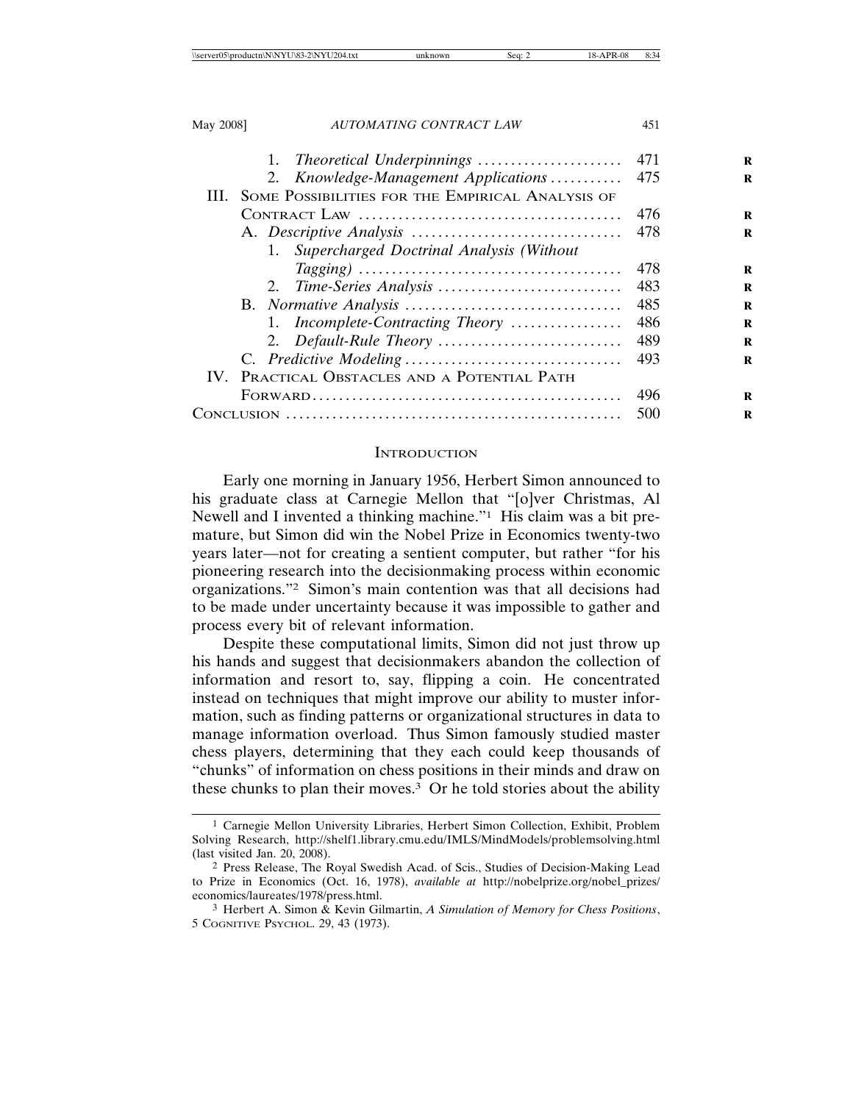| May 2008] | AUTOMATING CONTRACT LAW                          | 451 |   |
|-----------|--------------------------------------------------|-----|---|
|           | Theoretical Underpinnings<br>1.                  | 471 | R |
|           | 2. Knowledge-Management Applications             | 475 | R |
| HL.       | SOME POSSIBILITIES FOR THE EMPIRICAL ANALYSIS OF |     |   |
|           |                                                  | 476 | R |
|           |                                                  | 478 | R |
|           | Supercharged Doctrinal Analysis (Without<br>1.   |     |   |
|           |                                                  | 478 | R |
|           |                                                  | 483 | R |
|           |                                                  | 485 | R |
|           | 1. Incomplete-Contracting Theory                 | 486 | R |
|           |                                                  | 489 | R |
|           |                                                  | 493 | R |
|           | IV. PRACTICAL OBSTACLES AND A POTENTIAL PATH     |     |   |
|           |                                                  | 496 | R |
|           |                                                  | 500 | R |
|           |                                                  |     |   |

### **INTRODUCTION**

Early one morning in January 1956, Herbert Simon announced to his graduate class at Carnegie Mellon that "[o]ver Christmas, Al Newell and I invented a thinking machine."1 His claim was a bit premature, but Simon did win the Nobel Prize in Economics twenty-two years later—not for creating a sentient computer, but rather "for his pioneering research into the decisionmaking process within economic organizations."2 Simon's main contention was that all decisions had to be made under uncertainty because it was impossible to gather and process every bit of relevant information.

Despite these computational limits, Simon did not just throw up his hands and suggest that decisionmakers abandon the collection of information and resort to, say, flipping a coin. He concentrated instead on techniques that might improve our ability to muster information, such as finding patterns or organizational structures in data to manage information overload. Thus Simon famously studied master chess players, determining that they each could keep thousands of "chunks" of information on chess positions in their minds and draw on these chunks to plan their moves.3 Or he told stories about the ability

<sup>1</sup> Carnegie Mellon University Libraries, Herbert Simon Collection, Exhibit, Problem Solving Research, http://shelf1.library.cmu.edu/IMLS/MindModels/problemsolving.html (last visited Jan. 20, 2008).

<sup>2</sup> Press Release, The Royal Swedish Acad. of Scis., Studies of Decision-Making Lead to Prize in Economics (Oct. 16, 1978), *available at* http://nobelprize.org/nobel\_prizes/ economics/laureates/1978/press.html.

<sup>3</sup> Herbert A. Simon & Kevin Gilmartin, *A Simulation of Memory for Chess Positions*, 5 COGNITIVE PSYCHOL. 29, 43 (1973).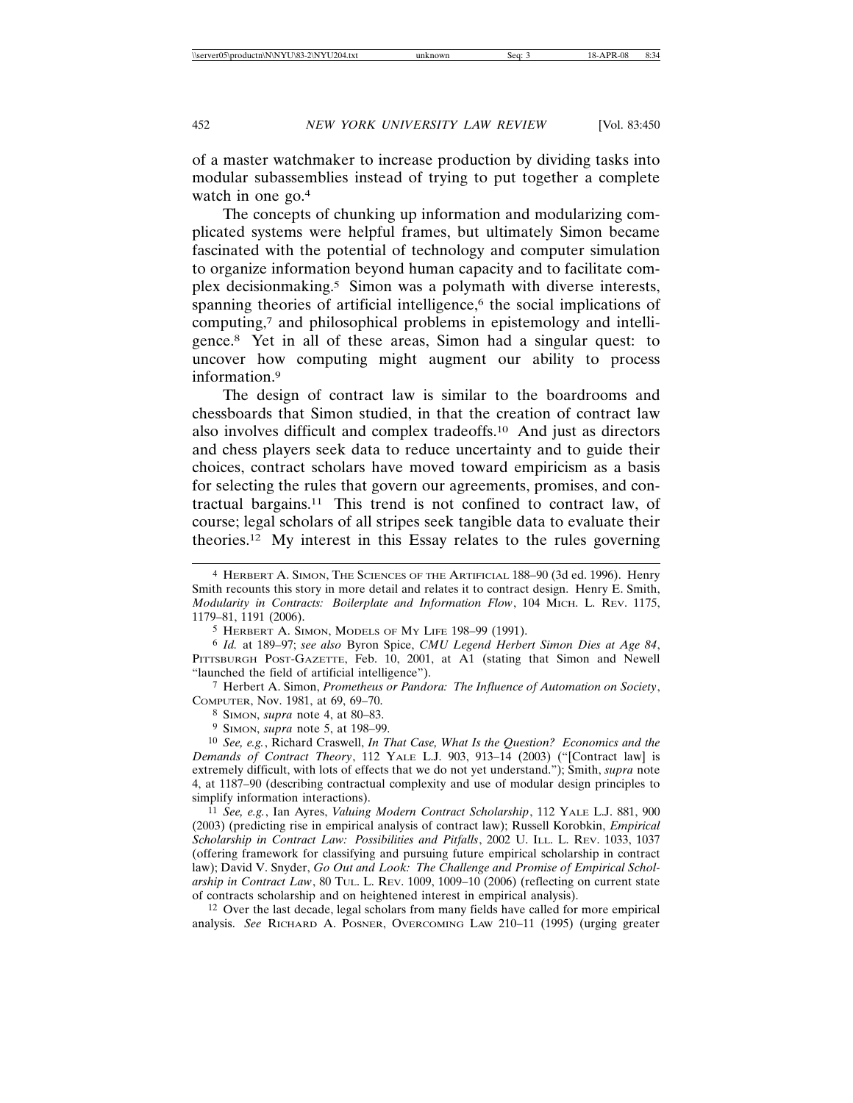of a master watchmaker to increase production by dividing tasks into modular subassemblies instead of trying to put together a complete watch in one go.<sup>4</sup>

The concepts of chunking up information and modularizing complicated systems were helpful frames, but ultimately Simon became fascinated with the potential of technology and computer simulation to organize information beyond human capacity and to facilitate complex decisionmaking.5 Simon was a polymath with diverse interests, spanning theories of artificial intelligence,<sup>6</sup> the social implications of computing,7 and philosophical problems in epistemology and intelligence.8 Yet in all of these areas, Simon had a singular quest: to uncover how computing might augment our ability to process information.9

The design of contract law is similar to the boardrooms and chessboards that Simon studied, in that the creation of contract law also involves difficult and complex tradeoffs.10 And just as directors and chess players seek data to reduce uncertainty and to guide their choices, contract scholars have moved toward empiricism as a basis for selecting the rules that govern our agreements, promises, and contractual bargains.11 This trend is not confined to contract law, of course; legal scholars of all stripes seek tangible data to evaluate their theories.12 My interest in this Essay relates to the rules governing

7 Herbert A. Simon, *Prometheus or Pandora: The Influence of Automation on Society*, COMPUTER, Nov. 1981, at 69, 69–70.

8 SIMON, *supra* note 4, at 80–83.

9 SIMON, *supra* note 5, at 198–99.

10 *See, e.g.*, Richard Craswell, *In That Case, What Is the Question? Economics and the Demands of Contract Theory*, 112 YALE L.J. 903, 913–14 (2003) ("[Contract law] is extremely difficult, with lots of effects that we do not yet understand."); Smith, *supra* note 4, at 1187–90 (describing contractual complexity and use of modular design principles to simplify information interactions).

11 *See, e.g.*, Ian Ayres, *Valuing Modern Contract Scholarship*, 112 YALE L.J. 881, 900 (2003) (predicting rise in empirical analysis of contract law); Russell Korobkin, *Empirical Scholarship in Contract Law: Possibilities and Pitfalls*, 2002 U. ILL. L. REV. 1033, 1037 (offering framework for classifying and pursuing future empirical scholarship in contract law); David V. Snyder, *Go Out and Look: The Challenge and Promise of Empirical Scholarship in Contract Law*, 80 TUL. L. REV. 1009, 1009–10 (2006) (reflecting on current state of contracts scholarship and on heightened interest in empirical analysis).

12 Over the last decade, legal scholars from many fields have called for more empirical analysis. *See* RICHARD A. POSNER, OVERCOMING LAW 210–11 (1995) (urging greater

<sup>4</sup> HERBERT A. SIMON, THE SCIENCES OF THE ARTIFICIAL 188–90 (3d ed. 1996). Henry Smith recounts this story in more detail and relates it to contract design. Henry E. Smith, *Modularity in Contracts: Boilerplate and Information Flow*, 104 MICH. L. REV. 1175, 1179–81, 1191 (2006).

<sup>5</sup> HERBERT A. SIMON, MODELS OF MY LIFE 198–99 (1991).

<sup>6</sup> *Id.* at 189–97; *see also* Byron Spice, *CMU Legend Herbert Simon Dies at Age 84*, PITTSBURGH POST-GAZETTE, Feb. 10, 2001, at A1 (stating that Simon and Newell "launched the field of artificial intelligence").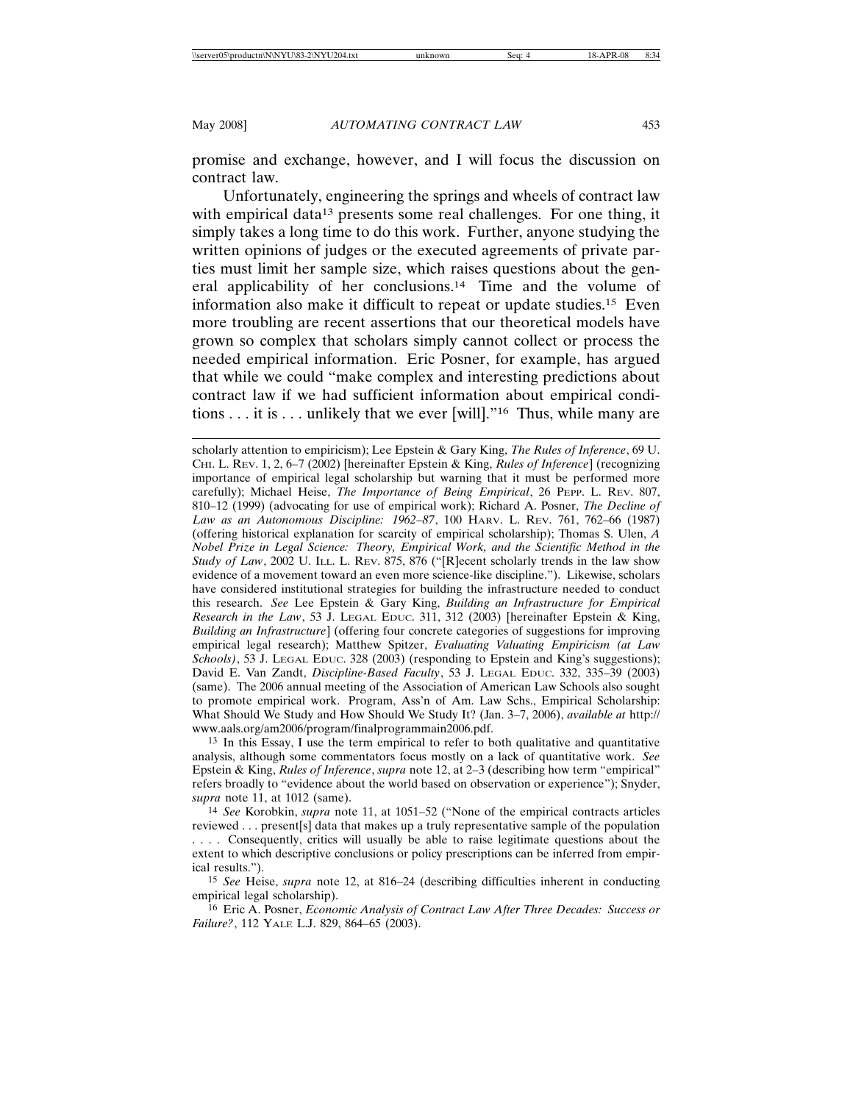promise and exchange, however, and I will focus the discussion on contract law.

Unfortunately, engineering the springs and wheels of contract law with empirical data<sup>13</sup> presents some real challenges. For one thing, it simply takes a long time to do this work. Further, anyone studying the written opinions of judges or the executed agreements of private parties must limit her sample size, which raises questions about the general applicability of her conclusions.14 Time and the volume of information also make it difficult to repeat or update studies.15 Even more troubling are recent assertions that our theoretical models have grown so complex that scholars simply cannot collect or process the needed empirical information. Eric Posner, for example, has argued that while we could "make complex and interesting predictions about contract law if we had sufficient information about empirical conditions . . . it is . . . unlikely that we ever [will]."16 Thus, while many are

13 In this Essay, I use the term empirical to refer to both qualitative and quantitative analysis, although some commentators focus mostly on a lack of quantitative work. *See* Epstein & King, *Rules of Inference*, *supra* note 12, at 2–3 (describing how term "empirical" refers broadly to "evidence about the world based on observation or experience"); Snyder, *supra* note 11, at 1012 (same).

14 *See* Korobkin, *supra* note 11, at 1051–52 ("None of the empirical contracts articles reviewed . . . present[s] data that makes up a truly representative sample of the population . . . . Consequently, critics will usually be able to raise legitimate questions about the extent to which descriptive conclusions or policy prescriptions can be inferred from empirical results.").

15 *See* Heise, *supra* note 12, at 816–24 (describing difficulties inherent in conducting empirical legal scholarship).

16 Eric A. Posner, *Economic Analysis of Contract Law After Three Decades: Success or Failure?*, 112 YALE L.J. 829, 864–65 (2003).

scholarly attention to empiricism); Lee Epstein & Gary King, *The Rules of Inference*, 69 U. CHI. L. REV. 1, 2, 6–7 (2002) [hereinafter Epstein & King, *Rules of Inference*] (recognizing importance of empirical legal scholarship but warning that it must be performed more carefully); Michael Heise, *The Importance of Being Empirical*, 26 PEPP. L. REV. 807, 810–12 (1999) (advocating for use of empirical work); Richard A. Posner, *The Decline of Law as an Autonomous Discipline: 1962–87*, 100 HARV. L. REV. 761, 762–66 (1987) (offering historical explanation for scarcity of empirical scholarship); Thomas S. Ulen, *A Nobel Prize in Legal Science: Theory, Empirical Work, and the Scientific Method in the Study of Law*, 2002 U. ILL. L. REV. 875, 876 ("[R]ecent scholarly trends in the law show evidence of a movement toward an even more science-like discipline."). Likewise, scholars have considered institutional strategies for building the infrastructure needed to conduct this research. *See* Lee Epstein & Gary King, *Building an Infrastructure for Empirical Research in the Law*, 53 J. LEGAL EDUC. 311, 312 (2003) [hereinafter Epstein & King, *Building an Infrastructure*] (offering four concrete categories of suggestions for improving empirical legal research); Matthew Spitzer, *Evaluating Valuating Empiricism (at Law Schools)*, 53 J. LEGAL EDUC. 328 (2003) (responding to Epstein and King's suggestions); David E. Van Zandt, *Discipline-Based Faculty*, 53 J. LEGAL EDUC. 332, 335–39 (2003) (same). The 2006 annual meeting of the Association of American Law Schools also sought to promote empirical work. Program, Ass'n of Am. Law Schs., Empirical Scholarship: What Should We Study and How Should We Study It? (Jan. 3–7, 2006), *available at* http:// www.aals.org/am2006/program/finalprogrammain2006.pdf.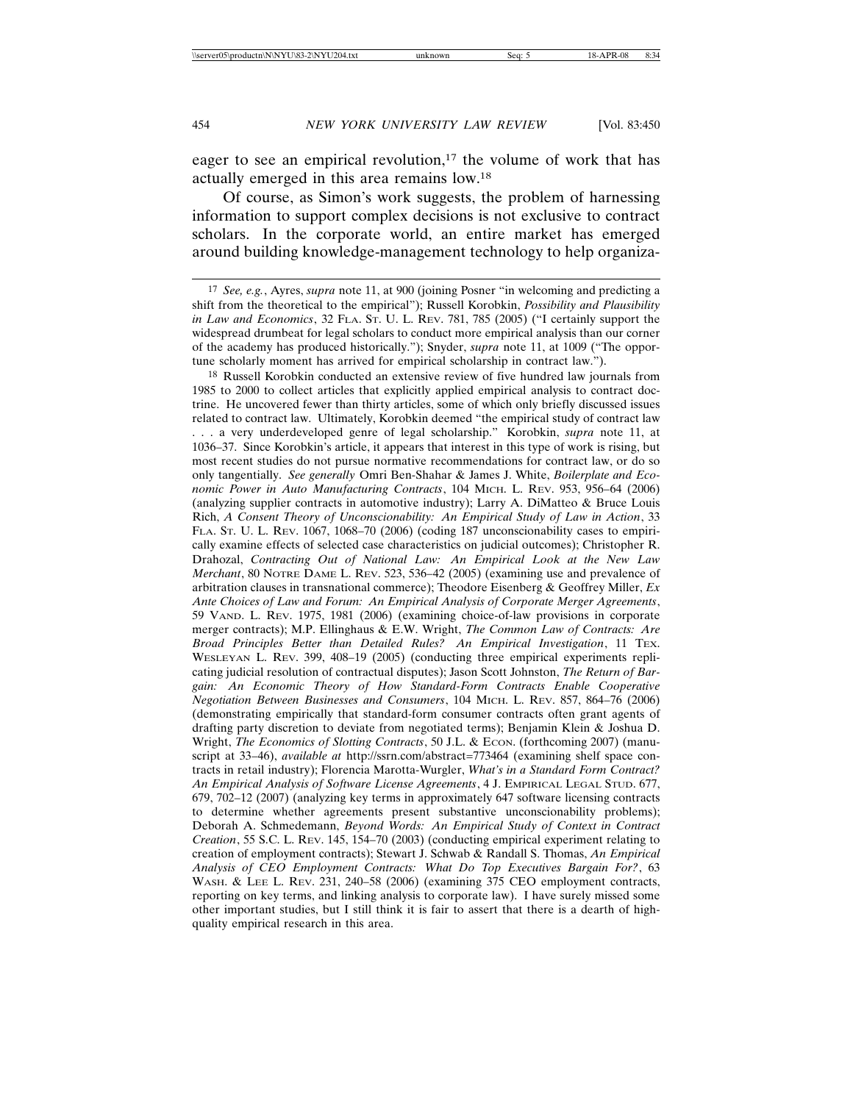eager to see an empirical revolution,<sup>17</sup> the volume of work that has actually emerged in this area remains low.18

Of course, as Simon's work suggests, the problem of harnessing information to support complex decisions is not exclusive to contract scholars. In the corporate world, an entire market has emerged around building knowledge-management technology to help organiza-

18 Russell Korobkin conducted an extensive review of five hundred law journals from 1985 to 2000 to collect articles that explicitly applied empirical analysis to contract doctrine. He uncovered fewer than thirty articles, some of which only briefly discussed issues related to contract law. Ultimately, Korobkin deemed "the empirical study of contract law . . . a very underdeveloped genre of legal scholarship." Korobkin, *supra* note 11, at 1036–37. Since Korobkin's article, it appears that interest in this type of work is rising, but most recent studies do not pursue normative recommendations for contract law, or do so only tangentially. *See generally* Omri Ben-Shahar & James J. White, *Boilerplate and Economic Power in Auto Manufacturing Contracts*, 104 MICH. L. REV. 953, 956–64 (2006) (analyzing supplier contracts in automotive industry); Larry A. DiMatteo & Bruce Louis Rich, *A Consent Theory of Unconscionability: An Empirical Study of Law in Action*, 33 FLA. ST. U. L. REV. 1067, 1068–70 (2006) (coding 187 unconscionability cases to empirically examine effects of selected case characteristics on judicial outcomes); Christopher R. Drahozal, *Contracting Out of National Law: An Empirical Look at the New Law Merchant*, 80 NOTRE DAME L. REV. 523, 536–42 (2005) (examining use and prevalence of arbitration clauses in transnational commerce); Theodore Eisenberg & Geoffrey Miller, *Ex Ante Choices of Law and Forum: An Empirical Analysis of Corporate Merger Agreements*, 59 VAND. L. REV. 1975, 1981 (2006) (examining choice-of-law provisions in corporate merger contracts); M.P. Ellinghaus & E.W. Wright, *The Common Law of Contracts: Are Broad Principles Better than Detailed Rules? An Empirical Investigation*, 11 TEX. WESLEYAN L. REV. 399, 408–19 (2005) (conducting three empirical experiments replicating judicial resolution of contractual disputes); Jason Scott Johnston, *The Return of Bargain: An Economic Theory of How Standard-Form Contracts Enable Cooperative Negotiation Between Businesses and Consumers*, 104 MICH. L. REV. 857, 864–76 (2006) (demonstrating empirically that standard-form consumer contracts often grant agents of drafting party discretion to deviate from negotiated terms); Benjamin Klein & Joshua D. Wright, *The Economics of Slotting Contracts*, 50 J.L. & Econ. (forthcoming 2007) (manuscript at 33–46), *available at* http://ssrn.com/abstract=773464 (examining shelf space contracts in retail industry); Florencia Marotta-Wurgler, *What's in a Standard Form Contract? An Empirical Analysis of Software License Agreements*, 4 J. EMPIRICAL LEGAL STUD. 677, 679, 702–12 (2007) (analyzing key terms in approximately 647 software licensing contracts to determine whether agreements present substantive unconscionability problems); Deborah A. Schmedemann, *Beyond Words: An Empirical Study of Context in Contract Creation*, 55 S.C. L. REV. 145, 154–70 (2003) (conducting empirical experiment relating to creation of employment contracts); Stewart J. Schwab & Randall S. Thomas, *An Empirical Analysis of CEO Employment Contracts: What Do Top Executives Bargain For?*, 63 WASH. & LEE L. REV. 231, 240–58 (2006) (examining 375 CEO employment contracts, reporting on key terms, and linking analysis to corporate law). I have surely missed some other important studies, but I still think it is fair to assert that there is a dearth of highquality empirical research in this area.

<sup>17</sup> *See, e.g.*, Ayres, *supra* note 11, at 900 (joining Posner "in welcoming and predicting a shift from the theoretical to the empirical"); Russell Korobkin, *Possibility and Plausibility in Law and Economics*, 32 FLA. ST. U. L. REV. 781, 785 (2005) ("I certainly support the widespread drumbeat for legal scholars to conduct more empirical analysis than our corner of the academy has produced historically."); Snyder, *supra* note 11, at 1009 ("The opportune scholarly moment has arrived for empirical scholarship in contract law.").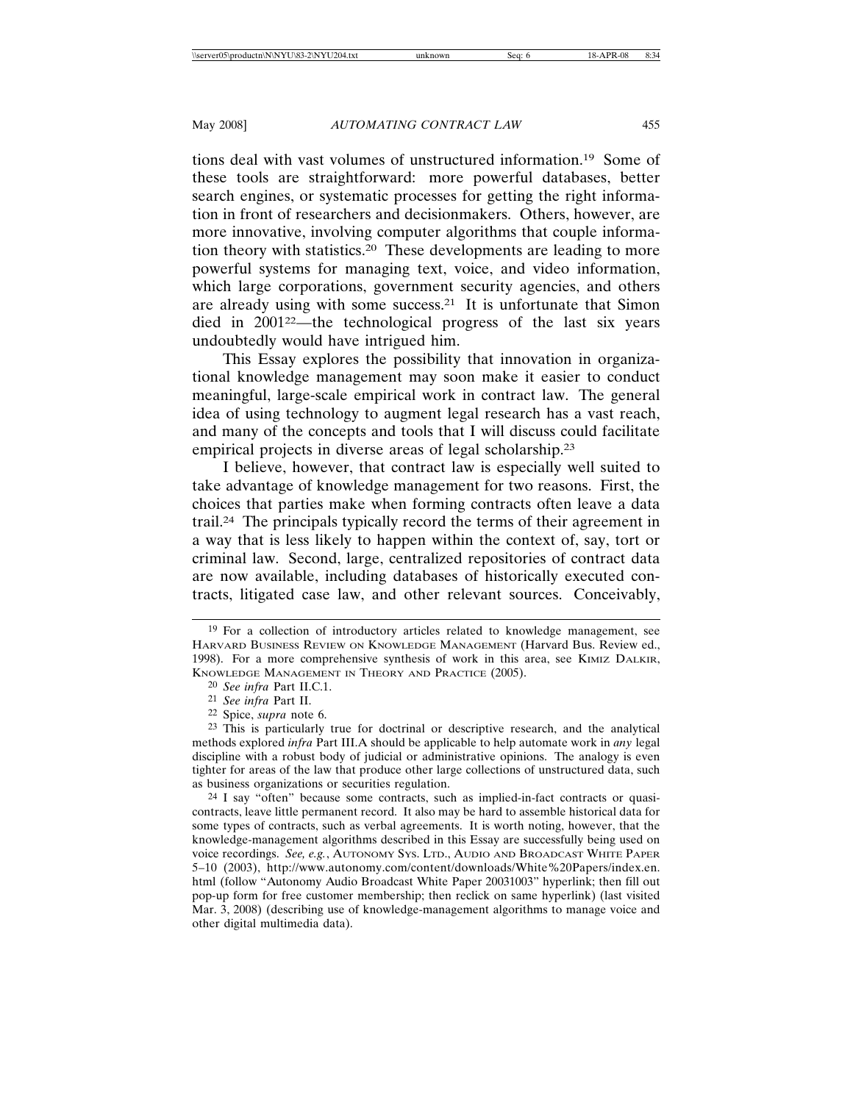tions deal with vast volumes of unstructured information.19 Some of these tools are straightforward: more powerful databases, better search engines, or systematic processes for getting the right information in front of researchers and decisionmakers. Others, however, are more innovative, involving computer algorithms that couple information theory with statistics.20 These developments are leading to more powerful systems for managing text, voice, and video information, which large corporations, government security agencies, and others are already using with some success.21 It is unfortunate that Simon died in 200122—the technological progress of the last six years undoubtedly would have intrigued him.

This Essay explores the possibility that innovation in organizational knowledge management may soon make it easier to conduct meaningful, large-scale empirical work in contract law. The general idea of using technology to augment legal research has a vast reach, and many of the concepts and tools that I will discuss could facilitate empirical projects in diverse areas of legal scholarship.23

I believe, however, that contract law is especially well suited to take advantage of knowledge management for two reasons. First, the choices that parties make when forming contracts often leave a data trail.24 The principals typically record the terms of their agreement in a way that is less likely to happen within the context of, say, tort or criminal law. Second, large, centralized repositories of contract data are now available, including databases of historically executed contracts, litigated case law, and other relevant sources. Conceivably,

<sup>&</sup>lt;sup>19</sup> For a collection of introductory articles related to knowledge management, see HARVARD BUSINESS REVIEW ON KNOWLEDGE MANAGEMENT (Harvard Bus. Review ed., 1998). For a more comprehensive synthesis of work in this area, see KIMIZ DALKIR, KNOWLEDGE MANAGEMENT IN THEORY AND PRACTICE (2005).

<sup>20</sup> *See infra* Part II.C.1.

<sup>21</sup> *See infra* Part II.

<sup>22</sup> Spice, *supra* note 6.

<sup>23</sup> This is particularly true for doctrinal or descriptive research, and the analytical methods explored *infra* Part III.A should be applicable to help automate work in *any* legal discipline with a robust body of judicial or administrative opinions. The analogy is even tighter for areas of the law that produce other large collections of unstructured data, such as business organizations or securities regulation.

<sup>24</sup> I say "often" because some contracts, such as implied-in-fact contracts or quasicontracts, leave little permanent record. It also may be hard to assemble historical data for some types of contracts, such as verbal agreements. It is worth noting, however, that the knowledge-management algorithms described in this Essay are successfully being used on voice recordings. *See, e.g.*, AUTONOMY SYS. LTD., AUDIO AND BROADCAST WHITE PAPER 5–10 (2003), http://www.autonomy.com/content/downloads/White%20Papers/index.en. html (follow "Autonomy Audio Broadcast White Paper 20031003" hyperlink; then fill out pop-up form for free customer membership; then reclick on same hyperlink) (last visited Mar. 3, 2008) (describing use of knowledge-management algorithms to manage voice and other digital multimedia data).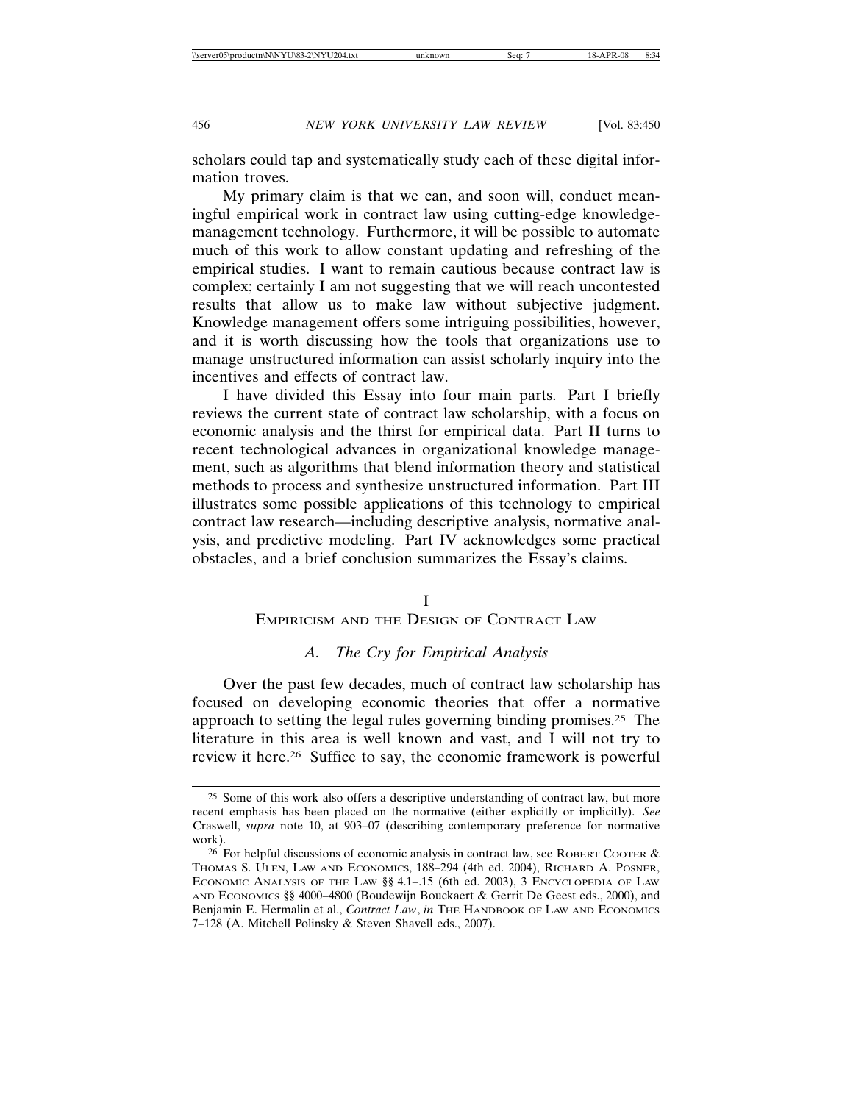scholars could tap and systematically study each of these digital information troves.

My primary claim is that we can, and soon will, conduct meaningful empirical work in contract law using cutting-edge knowledgemanagement technology. Furthermore, it will be possible to automate much of this work to allow constant updating and refreshing of the empirical studies. I want to remain cautious because contract law is complex; certainly I am not suggesting that we will reach uncontested results that allow us to make law without subjective judgment. Knowledge management offers some intriguing possibilities, however, and it is worth discussing how the tools that organizations use to manage unstructured information can assist scholarly inquiry into the incentives and effects of contract law.

I have divided this Essay into four main parts. Part I briefly reviews the current state of contract law scholarship, with a focus on economic analysis and the thirst for empirical data. Part II turns to recent technological advances in organizational knowledge management, such as algorithms that blend information theory and statistical methods to process and synthesize unstructured information. Part III illustrates some possible applications of this technology to empirical contract law research—including descriptive analysis, normative analysis, and predictive modeling. Part IV acknowledges some practical obstacles, and a brief conclusion summarizes the Essay's claims.

### I

## EMPIRICISM AND THE DESIGN OF CONTRACT LAW

# *A. The Cry for Empirical Analysis*

Over the past few decades, much of contract law scholarship has focused on developing economic theories that offer a normative approach to setting the legal rules governing binding promises.25 The literature in this area is well known and vast, and I will not try to review it here.26 Suffice to say, the economic framework is powerful

<sup>25</sup> Some of this work also offers a descriptive understanding of contract law, but more recent emphasis has been placed on the normative (either explicitly or implicitly). *See* Craswell, *supra* note 10, at 903–07 (describing contemporary preference for normative work).

<sup>&</sup>lt;sup>26</sup> For helpful discussions of economic analysis in contract law, see ROBERT COOTER  $\&$ THOMAS S. ULEN, LAW AND ECONOMICS, 188–294 (4th ed. 2004), RICHARD A. POSNER, ECONOMIC ANALYSIS OF THE LAW §§ 4.1–.15 (6th ed. 2003), 3 ENCYCLOPEDIA OF LAW AND ECONOMICS §§ 4000–4800 (Boudewijn Bouckaert & Gerrit De Geest eds., 2000), and Benjamin E. Hermalin et al., *Contract Law*, *in* THE HANDBOOK OF LAW AND ECONOMICS 7–128 (A. Mitchell Polinsky & Steven Shavell eds., 2007).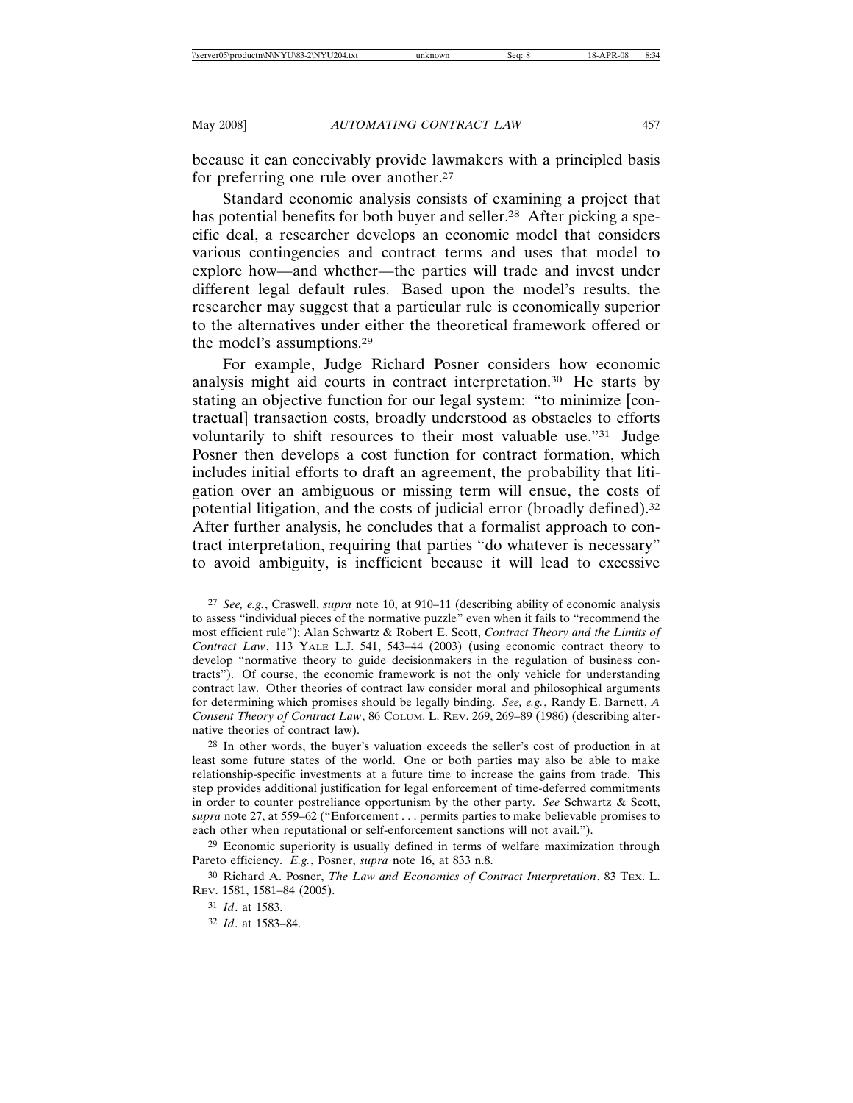because it can conceivably provide lawmakers with a principled basis for preferring one rule over another.27

Standard economic analysis consists of examining a project that has potential benefits for both buyer and seller.<sup>28</sup> After picking a specific deal, a researcher develops an economic model that considers various contingencies and contract terms and uses that model to explore how—and whether—the parties will trade and invest under different legal default rules. Based upon the model's results, the researcher may suggest that a particular rule is economically superior to the alternatives under either the theoretical framework offered or the model's assumptions.29

For example, Judge Richard Posner considers how economic analysis might aid courts in contract interpretation.30 He starts by stating an objective function for our legal system: "to minimize [contractual] transaction costs, broadly understood as obstacles to efforts voluntarily to shift resources to their most valuable use."31 Judge Posner then develops a cost function for contract formation, which includes initial efforts to draft an agreement, the probability that litigation over an ambiguous or missing term will ensue, the costs of potential litigation, and the costs of judicial error (broadly defined).32 After further analysis, he concludes that a formalist approach to contract interpretation, requiring that parties "do whatever is necessary" to avoid ambiguity, is inefficient because it will lead to excessive

<sup>27</sup> *See, e.g.*, Craswell, *supra* note 10, at 910–11 (describing ability of economic analysis to assess "individual pieces of the normative puzzle" even when it fails to "recommend the most efficient rule"); Alan Schwartz & Robert E. Scott, *Contract Theory and the Limits of Contract Law*, 113 YALE L.J. 541, 543–44 (2003) (using economic contract theory to develop "normative theory to guide decisionmakers in the regulation of business contracts"). Of course, the economic framework is not the only vehicle for understanding contract law. Other theories of contract law consider moral and philosophical arguments for determining which promises should be legally binding. *See, e.g.*, Randy E. Barnett, *A Consent Theory of Contract Law*, 86 COLUM. L. REV. 269, 269–89 (1986) (describing alternative theories of contract law).

<sup>28</sup> In other words, the buyer's valuation exceeds the seller's cost of production in at least some future states of the world. One or both parties may also be able to make relationship-specific investments at a future time to increase the gains from trade. This step provides additional justification for legal enforcement of time-deferred commitments in order to counter postreliance opportunism by the other party. *See* Schwartz & Scott, *supra* note 27, at 559–62 ("Enforcement . . . permits parties to make believable promises to each other when reputational or self-enforcement sanctions will not avail.").

<sup>29</sup> Economic superiority is usually defined in terms of welfare maximization through Pareto efficiency. *E.g.*, Posner, *supra* note 16, at 833 n.8.

<sup>30</sup> Richard A. Posner, *The Law and Economics of Contract Interpretation*, 83 TEX. L. REV. 1581, 1581–84 (2005).

<sup>31</sup> *Id*. at 1583.

<sup>32</sup> *Id*. at 1583–84.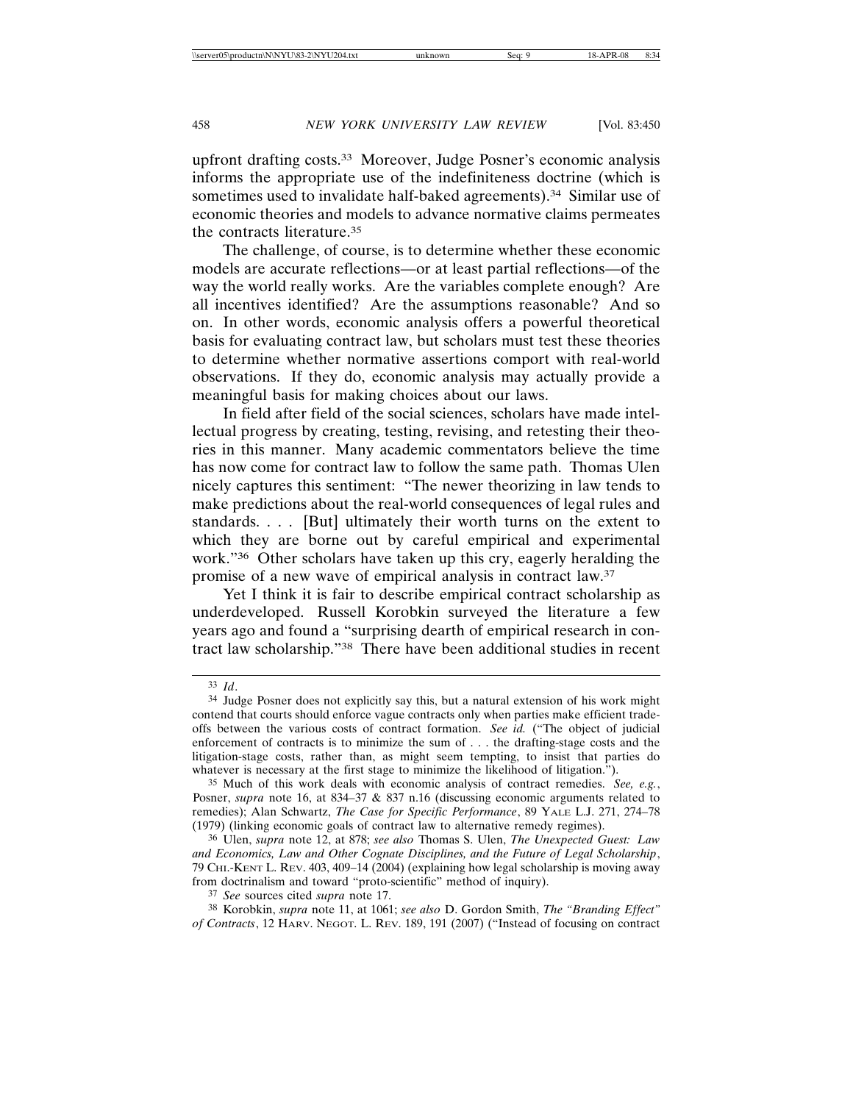upfront drafting costs.33 Moreover, Judge Posner's economic analysis informs the appropriate use of the indefiniteness doctrine (which is sometimes used to invalidate half-baked agreements).<sup>34</sup> Similar use of economic theories and models to advance normative claims permeates the contracts literature.35

The challenge, of course, is to determine whether these economic models are accurate reflections—or at least partial reflections—of the way the world really works. Are the variables complete enough? Are all incentives identified? Are the assumptions reasonable? And so on. In other words, economic analysis offers a powerful theoretical basis for evaluating contract law, but scholars must test these theories to determine whether normative assertions comport with real-world observations. If they do, economic analysis may actually provide a meaningful basis for making choices about our laws.

In field after field of the social sciences, scholars have made intellectual progress by creating, testing, revising, and retesting their theories in this manner. Many academic commentators believe the time has now come for contract law to follow the same path. Thomas Ulen nicely captures this sentiment: "The newer theorizing in law tends to make predictions about the real-world consequences of legal rules and standards. . . . [But] ultimately their worth turns on the extent to which they are borne out by careful empirical and experimental work."36 Other scholars have taken up this cry, eagerly heralding the promise of a new wave of empirical analysis in contract law.37

Yet I think it is fair to describe empirical contract scholarship as underdeveloped. Russell Korobkin surveyed the literature a few years ago and found a "surprising dearth of empirical research in contract law scholarship."38 There have been additional studies in recent

<sup>33</sup> *Id*.

<sup>34</sup> Judge Posner does not explicitly say this, but a natural extension of his work might contend that courts should enforce vague contracts only when parties make efficient tradeoffs between the various costs of contract formation. *See id.* ("The object of judicial enforcement of contracts is to minimize the sum of . . . the drafting-stage costs and the litigation-stage costs, rather than, as might seem tempting, to insist that parties do whatever is necessary at the first stage to minimize the likelihood of litigation.").

<sup>35</sup> Much of this work deals with economic analysis of contract remedies. *See, e.g.*, Posner, *supra* note 16, at 834–37 & 837 n.16 (discussing economic arguments related to remedies); Alan Schwartz, *The Case for Specific Performance*, 89 YALE L.J. 271, 274–78 (1979) (linking economic goals of contract law to alternative remedy regimes).

<sup>36</sup> Ulen, *supra* note 12, at 878; *see also* Thomas S. Ulen, *The Unexpected Guest: Law and Economics, Law and Other Cognate Disciplines, and the Future of Legal Scholarship*, 79 CHI.-KENT L. REV. 403, 409–14 (2004) (explaining how legal scholarship is moving away from doctrinalism and toward "proto-scientific" method of inquiry).

<sup>37</sup> *See* sources cited *supra* note 17.

<sup>38</sup> Korobkin, *supra* note 11, at 1061; *see also* D. Gordon Smith, *The "Branding Effect" of Contracts*, 12 HARV. NEGOT. L. REV. 189, 191 (2007) ("Instead of focusing on contract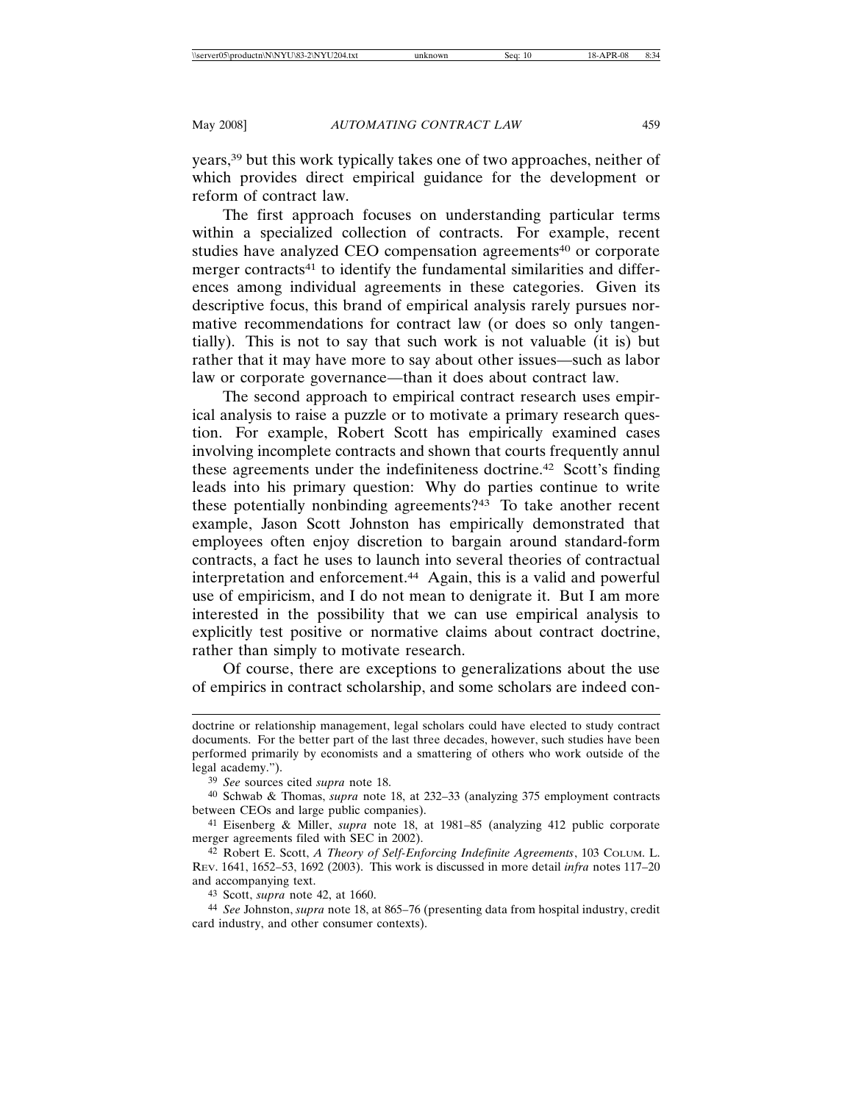years,39 but this work typically takes one of two approaches, neither of which provides direct empirical guidance for the development or reform of contract law.

The first approach focuses on understanding particular terms within a specialized collection of contracts. For example, recent studies have analyzed CEO compensation agreements<sup>40</sup> or corporate merger contracts<sup>41</sup> to identify the fundamental similarities and differences among individual agreements in these categories. Given its descriptive focus, this brand of empirical analysis rarely pursues normative recommendations for contract law (or does so only tangentially). This is not to say that such work is not valuable (it is) but rather that it may have more to say about other issues—such as labor law or corporate governance—than it does about contract law.

The second approach to empirical contract research uses empirical analysis to raise a puzzle or to motivate a primary research question. For example, Robert Scott has empirically examined cases involving incomplete contracts and shown that courts frequently annul these agreements under the indefiniteness doctrine.42 Scott's finding leads into his primary question: Why do parties continue to write these potentially nonbinding agreements?43 To take another recent example, Jason Scott Johnston has empirically demonstrated that employees often enjoy discretion to bargain around standard-form contracts, a fact he uses to launch into several theories of contractual interpretation and enforcement.44 Again, this is a valid and powerful use of empiricism, and I do not mean to denigrate it. But I am more interested in the possibility that we can use empirical analysis to explicitly test positive or normative claims about contract doctrine, rather than simply to motivate research.

Of course, there are exceptions to generalizations about the use of empirics in contract scholarship, and some scholars are indeed con-

43 Scott, *supra* note 42, at 1660.

doctrine or relationship management, legal scholars could have elected to study contract documents. For the better part of the last three decades, however, such studies have been performed primarily by economists and a smattering of others who work outside of the legal academy.").

<sup>39</sup> *See* sources cited *supra* note 18.

<sup>40</sup> Schwab & Thomas, *supra* note 18, at 232–33 (analyzing 375 employment contracts between CEOs and large public companies).

<sup>41</sup> Eisenberg & Miller, *supra* note 18, at 1981–85 (analyzing 412 public corporate merger agreements filed with SEC in 2002).

<sup>42</sup> Robert E. Scott, *A Theory of Self-Enforcing Indefinite Agreements*, 103 COLUM. L. REV. 1641, 1652–53, 1692 (2003). This work is discussed in more detail *infra* notes 117–20 and accompanying text.

<sup>44</sup> *See* Johnston, *supra* note 18, at 865–76 (presenting data from hospital industry, credit card industry, and other consumer contexts).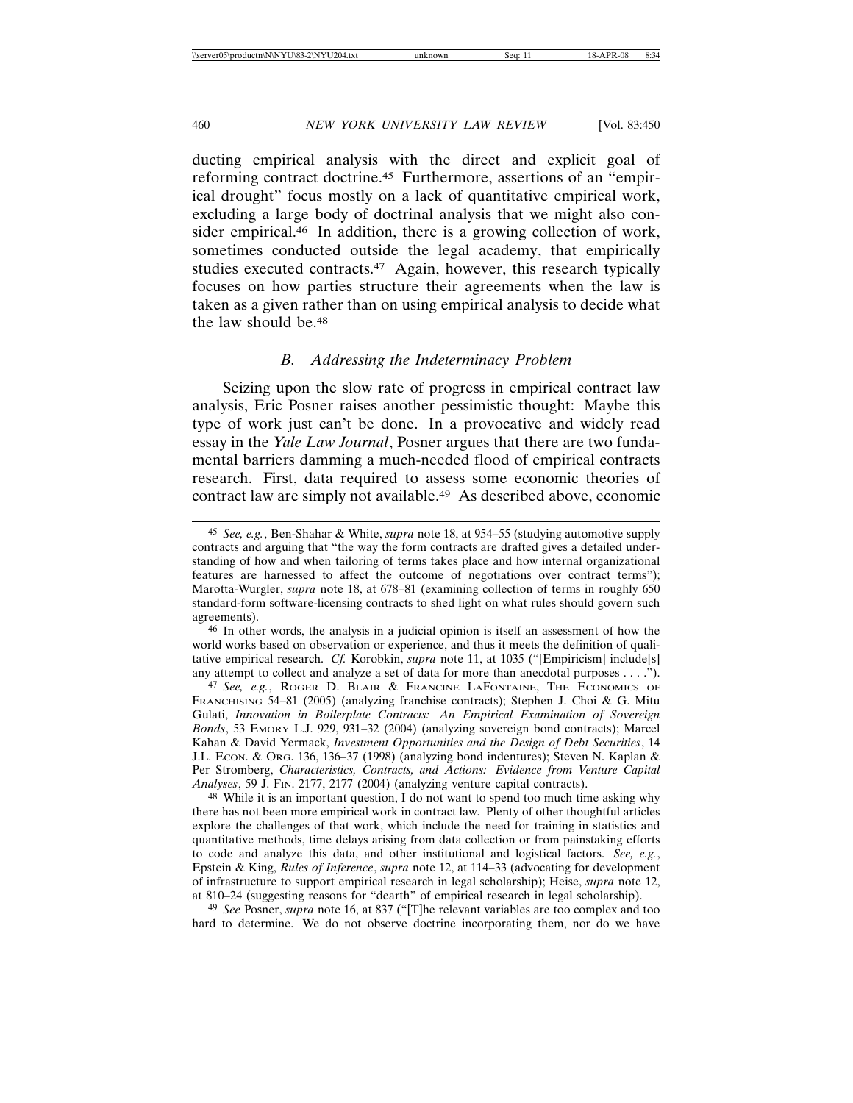ducting empirical analysis with the direct and explicit goal of reforming contract doctrine.45 Furthermore, assertions of an "empirical drought" focus mostly on a lack of quantitative empirical work, excluding a large body of doctrinal analysis that we might also consider empirical.46 In addition, there is a growing collection of work, sometimes conducted outside the legal academy, that empirically studies executed contracts.<sup>47</sup> Again, however, this research typically focuses on how parties structure their agreements when the law is taken as a given rather than on using empirical analysis to decide what the law should be.48

# *B. Addressing the Indeterminacy Problem*

Seizing upon the slow rate of progress in empirical contract law analysis, Eric Posner raises another pessimistic thought: Maybe this type of work just can't be done. In a provocative and widely read essay in the *Yale Law Journal*, Posner argues that there are two fundamental barriers damming a much-needed flood of empirical contracts research. First, data required to assess some economic theories of contract law are simply not available.49 As described above, economic

<sup>48</sup> While it is an important question, I do not want to spend too much time asking why there has not been more empirical work in contract law. Plenty of other thoughtful articles explore the challenges of that work, which include the need for training in statistics and quantitative methods, time delays arising from data collection or from painstaking efforts to code and analyze this data, and other institutional and logistical factors. *See, e.g.*, Epstein & King, *Rules of Inference*, *supra* note 12, at 114–33 (advocating for development of infrastructure to support empirical research in legal scholarship); Heise, *supra* note 12, at 810–24 (suggesting reasons for "dearth" of empirical research in legal scholarship).

49 *See* Posner, *supra* note 16, at 837 ("[T]he relevant variables are too complex and too hard to determine. We do not observe doctrine incorporating them, nor do we have

<sup>45</sup> *See, e.g.*, Ben-Shahar & White, *supra* note 18, at 954–55 (studying automotive supply contracts and arguing that "the way the form contracts are drafted gives a detailed understanding of how and when tailoring of terms takes place and how internal organizational features are harnessed to affect the outcome of negotiations over contract terms"); Marotta-Wurgler, *supra* note 18, at 678–81 (examining collection of terms in roughly 650 standard-form software-licensing contracts to shed light on what rules should govern such agreements).

<sup>46</sup> In other words, the analysis in a judicial opinion is itself an assessment of how the world works based on observation or experience, and thus it meets the definition of qualitative empirical research. *Cf.* Korobkin, *supra* note 11, at 1035 ("[Empiricism] include[s] any attempt to collect and analyze a set of data for more than anecdotal purposes . . . .").

<sup>47</sup> *See, e.g.*, ROGER D. BLAIR & FRANCINE LAFONTAINE, THE ECONOMICS OF FRANCHISING 54–81 (2005) (analyzing franchise contracts); Stephen J. Choi & G. Mitu Gulati, *Innovation in Boilerplate Contracts: An Empirical Examination of Sovereign Bonds*, 53 EMORY L.J. 929, 931–32 (2004) (analyzing sovereign bond contracts); Marcel Kahan & David Yermack, *Investment Opportunities and the Design of Debt Securities*, 14 J.L. ECON. & ORG. 136, 136–37 (1998) (analyzing bond indentures); Steven N. Kaplan & Per Stromberg, *Characteristics, Contracts, and Actions: Evidence from Venture Capital Analyses*, 59 J. FIN. 2177, 2177 (2004) (analyzing venture capital contracts).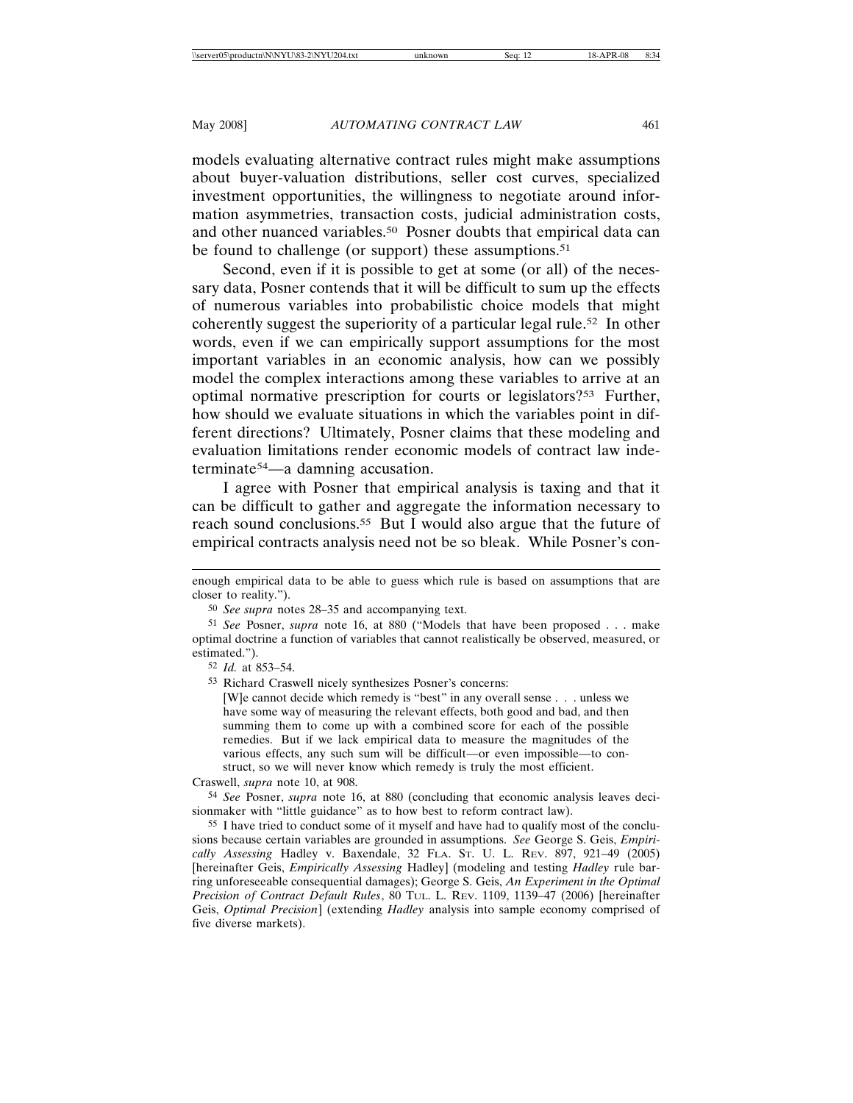models evaluating alternative contract rules might make assumptions about buyer-valuation distributions, seller cost curves, specialized investment opportunities, the willingness to negotiate around information asymmetries, transaction costs, judicial administration costs, and other nuanced variables.50 Posner doubts that empirical data can be found to challenge (or support) these assumptions.<sup>51</sup>

Second, even if it is possible to get at some (or all) of the necessary data, Posner contends that it will be difficult to sum up the effects of numerous variables into probabilistic choice models that might coherently suggest the superiority of a particular legal rule.52 In other words, even if we can empirically support assumptions for the most important variables in an economic analysis, how can we possibly model the complex interactions among these variables to arrive at an optimal normative prescription for courts or legislators?53 Further, how should we evaluate situations in which the variables point in different directions? Ultimately, Posner claims that these modeling and evaluation limitations render economic models of contract law indeterminate54—a damning accusation.

I agree with Posner that empirical analysis is taxing and that it can be difficult to gather and aggregate the information necessary to reach sound conclusions.55 But I would also argue that the future of empirical contracts analysis need not be so bleak. While Posner's con-

[W]e cannot decide which remedy is "best" in any overall sense . . . unless we have some way of measuring the relevant effects, both good and bad, and then summing them to come up with a combined score for each of the possible remedies. But if we lack empirical data to measure the magnitudes of the various effects, any such sum will be difficult—or even impossible—to construct, so we will never know which remedy is truly the most efficient.

Craswell, *supra* note 10, at 908.

54 *See* Posner, *supra* note 16, at 880 (concluding that economic analysis leaves decisionmaker with "little guidance" as to how best to reform contract law).

55 I have tried to conduct some of it myself and have had to qualify most of the conclusions because certain variables are grounded in assumptions. *See* George S. Geis, *Empirically Assessing* Hadley v. Baxendale, 32 FLA. ST. U. L. REV. 897, 921–49 (2005) [hereinafter Geis, *Empirically Assessing* Hadley] (modeling and testing *Hadley* rule barring unforeseeable consequential damages); George S. Geis, *An Experiment in the Optimal Precision of Contract Default Rules*, 80 TUL. L. REV. 1109, 1139–47 (2006) [hereinafter Geis, *Optimal Precision*] (extending *Hadley* analysis into sample economy comprised of five diverse markets).

enough empirical data to be able to guess which rule is based on assumptions that are closer to reality.").

<sup>50</sup> *See supra* notes 28–35 and accompanying text.

<sup>51</sup> *See* Posner, *supra* note 16, at 880 ("Models that have been proposed . . . make optimal doctrine a function of variables that cannot realistically be observed, measured, or estimated.").

<sup>52</sup> *Id.* at 853–54.

<sup>53</sup> Richard Craswell nicely synthesizes Posner's concerns: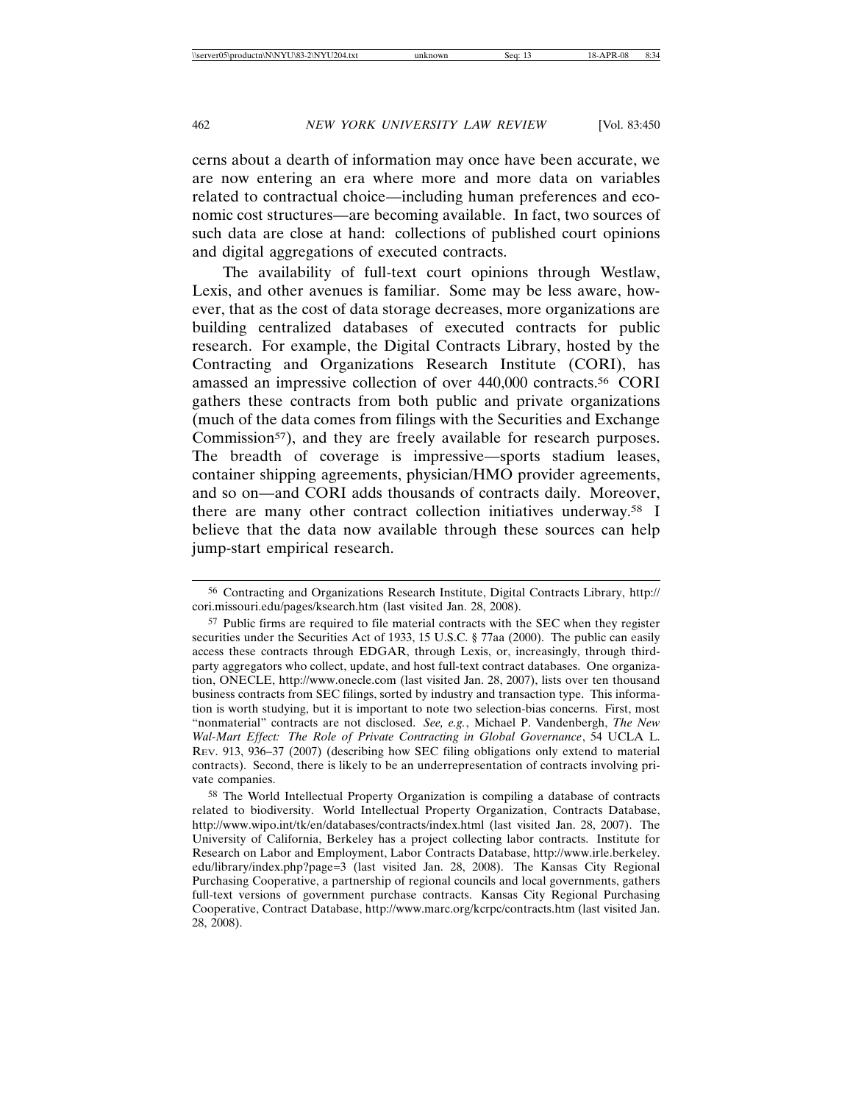cerns about a dearth of information may once have been accurate, we are now entering an era where more and more data on variables related to contractual choice—including human preferences and economic cost structures—are becoming available. In fact, two sources of such data are close at hand: collections of published court opinions and digital aggregations of executed contracts.

The availability of full-text court opinions through Westlaw, Lexis, and other avenues is familiar. Some may be less aware, however, that as the cost of data storage decreases, more organizations are building centralized databases of executed contracts for public research. For example, the Digital Contracts Library, hosted by the Contracting and Organizations Research Institute (CORI), has amassed an impressive collection of over 440,000 contracts.56 CORI gathers these contracts from both public and private organizations (much of the data comes from filings with the Securities and Exchange Commission<sup>57</sup>), and they are freely available for research purposes. The breadth of coverage is impressive—sports stadium leases, container shipping agreements, physician/HMO provider agreements, and so on—and CORI adds thousands of contracts daily. Moreover, there are many other contract collection initiatives underway.58 I believe that the data now available through these sources can help jump-start empirical research.

<sup>56</sup> Contracting and Organizations Research Institute, Digital Contracts Library, http:// cori.missouri.edu/pages/ksearch.htm (last visited Jan. 28, 2008).

<sup>57</sup> Public firms are required to file material contracts with the SEC when they register securities under the Securities Act of 1933, 15 U.S.C. § 77aa (2000). The public can easily access these contracts through EDGAR, through Lexis, or, increasingly, through thirdparty aggregators who collect, update, and host full-text contract databases. One organization, ONECLE, http://www.onecle.com (last visited Jan. 28, 2007), lists over ten thousand business contracts from SEC filings, sorted by industry and transaction type. This information is worth studying, but it is important to note two selection-bias concerns. First, most "nonmaterial" contracts are not disclosed. *See, e.g.*, Michael P. Vandenbergh, *The New Wal-Mart Effect: The Role of Private Contracting in Global Governance*, 54 UCLA L. REV. 913, 936–37 (2007) (describing how SEC filing obligations only extend to material contracts). Second, there is likely to be an underrepresentation of contracts involving private companies.

<sup>58</sup> The World Intellectual Property Organization is compiling a database of contracts related to biodiversity. World Intellectual Property Organization, Contracts Database, http://www.wipo.int/tk/en/databases/contracts/index.html (last visited Jan. 28, 2007). The University of California, Berkeley has a project collecting labor contracts. Institute for Research on Labor and Employment, Labor Contracts Database, http://www.irle.berkeley. edu/library/index.php?page=3 (last visited Jan. 28, 2008). The Kansas City Regional Purchasing Cooperative, a partnership of regional councils and local governments, gathers full-text versions of government purchase contracts. Kansas City Regional Purchasing Cooperative, Contract Database, http://www.marc.org/kcrpc/contracts.htm (last visited Jan. 28, 2008).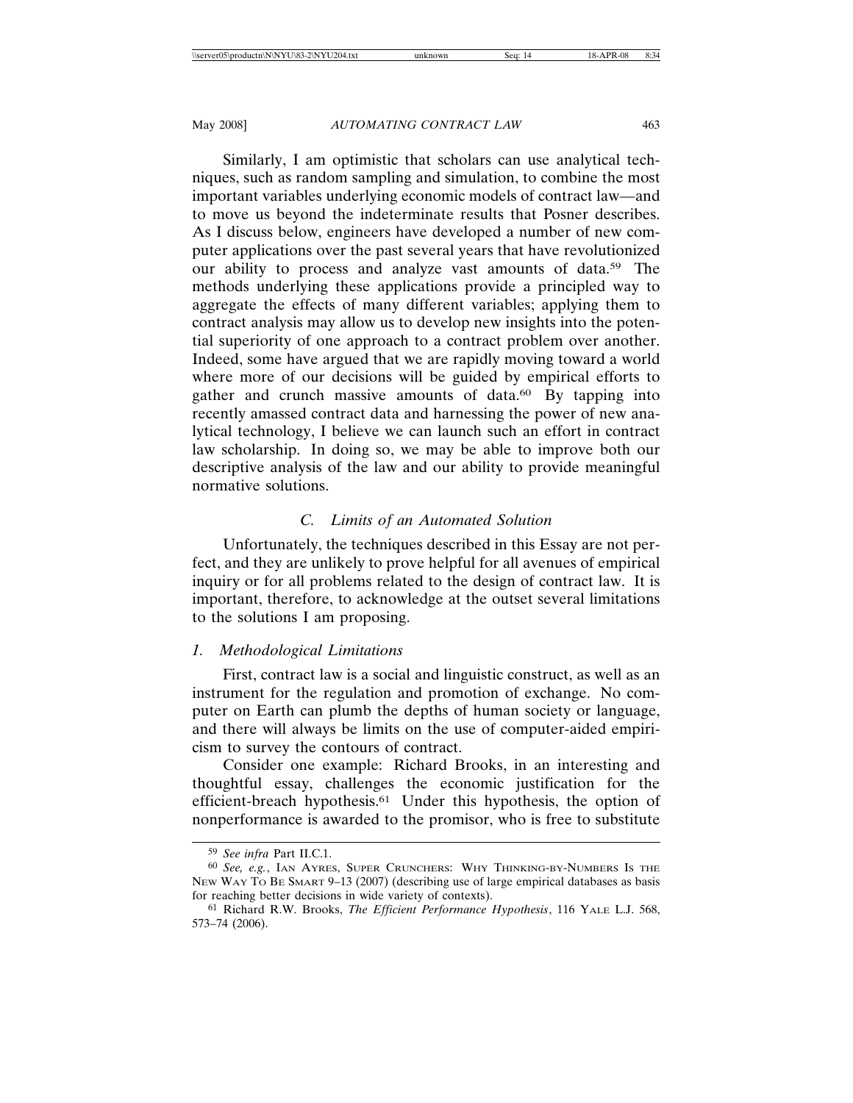Similarly, I am optimistic that scholars can use analytical techniques, such as random sampling and simulation, to combine the most important variables underlying economic models of contract law—and to move us beyond the indeterminate results that Posner describes. As I discuss below, engineers have developed a number of new computer applications over the past several years that have revolutionized our ability to process and analyze vast amounts of data.59 The methods underlying these applications provide a principled way to aggregate the effects of many different variables; applying them to contract analysis may allow us to develop new insights into the potential superiority of one approach to a contract problem over another. Indeed, some have argued that we are rapidly moving toward a world where more of our decisions will be guided by empirical efforts to gather and crunch massive amounts of data.<sup>60</sup> By tapping into recently amassed contract data and harnessing the power of new analytical technology, I believe we can launch such an effort in contract law scholarship. In doing so, we may be able to improve both our descriptive analysis of the law and our ability to provide meaningful normative solutions.

# *C. Limits of an Automated Solution*

Unfortunately, the techniques described in this Essay are not perfect, and they are unlikely to prove helpful for all avenues of empirical inquiry or for all problems related to the design of contract law. It is important, therefore, to acknowledge at the outset several limitations to the solutions I am proposing.

### *1. Methodological Limitations*

First, contract law is a social and linguistic construct, as well as an instrument for the regulation and promotion of exchange. No computer on Earth can plumb the depths of human society or language, and there will always be limits on the use of computer-aided empiricism to survey the contours of contract.

Consider one example: Richard Brooks, in an interesting and thoughtful essay, challenges the economic justification for the efficient-breach hypothesis.61 Under this hypothesis, the option of nonperformance is awarded to the promisor, who is free to substitute

<sup>59</sup> *See infra* Part II.C.1.

<sup>60</sup> *See, e.g.*, IAN AYRES, SUPER CRUNCHERS: WHY THINKING-BY-NUMBERS IS THE NEW WAY TO BE SMART 9–13 (2007) (describing use of large empirical databases as basis for reaching better decisions in wide variety of contexts).

<sup>61</sup> Richard R.W. Brooks, *The Efficient Performance Hypothesis*, 116 YALE L.J. 568, 573–74 (2006).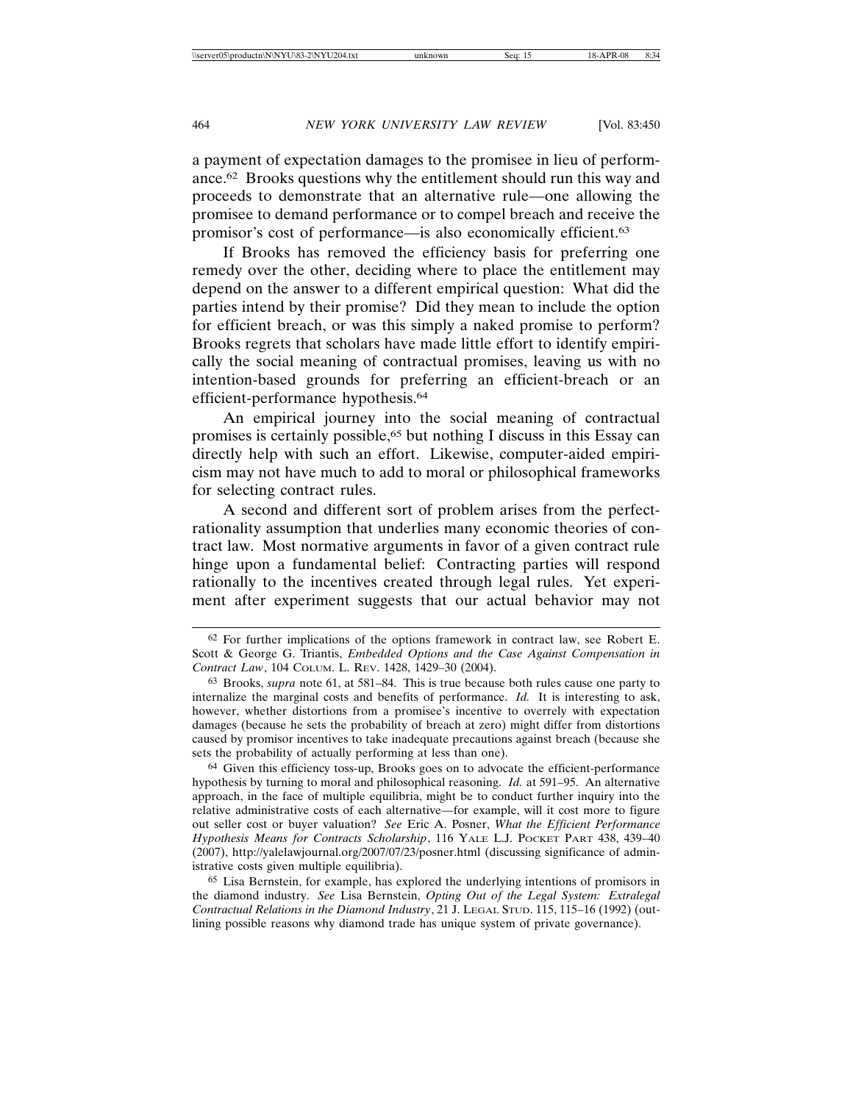a payment of expectation damages to the promisee in lieu of performance.62 Brooks questions why the entitlement should run this way and proceeds to demonstrate that an alternative rule—one allowing the promisee to demand performance or to compel breach and receive the promisor's cost of performance—is also economically efficient.63

If Brooks has removed the efficiency basis for preferring one remedy over the other, deciding where to place the entitlement may depend on the answer to a different empirical question: What did the parties intend by their promise? Did they mean to include the option for efficient breach, or was this simply a naked promise to perform? Brooks regrets that scholars have made little effort to identify empirically the social meaning of contractual promises, leaving us with no intention-based grounds for preferring an efficient-breach or an efficient-performance hypothesis.64

An empirical journey into the social meaning of contractual promises is certainly possible,65 but nothing I discuss in this Essay can directly help with such an effort. Likewise, computer-aided empiricism may not have much to add to moral or philosophical frameworks for selecting contract rules.

A second and different sort of problem arises from the perfectrationality assumption that underlies many economic theories of contract law. Most normative arguments in favor of a given contract rule hinge upon a fundamental belief: Contracting parties will respond rationally to the incentives created through legal rules. Yet experiment after experiment suggests that our actual behavior may not

64 Given this efficiency toss-up, Brooks goes on to advocate the efficient-performance hypothesis by turning to moral and philosophical reasoning. *Id.* at 591–95. An alternative approach, in the face of multiple equilibria, might be to conduct further inquiry into the relative administrative costs of each alternative—for example, will it cost more to figure out seller cost or buyer valuation? *See* Eric A. Posner, *What the Efficient Performance Hypothesis Means for Contracts Scholarship*, 116 YALE L.J. POCKET PART 438, 439–40 (2007), http://yalelawjournal.org/2007/07/23/posner.html (discussing significance of administrative costs given multiple equilibria).

65 Lisa Bernstein, for example, has explored the underlying intentions of promisors in the diamond industry. *See* Lisa Bernstein, *Opting Out of the Legal System: Extralegal Contractual Relations in the Diamond Industry*, 21 J. LEGAL STUD. 115, 115–16 (1992) (outlining possible reasons why diamond trade has unique system of private governance).

<sup>62</sup> For further implications of the options framework in contract law, see Robert E. Scott & George G. Triantis, *Embedded Options and the Case Against Compensation in Contract Law*, 104 COLUM. L. REV. 1428, 1429–30 (2004).

<sup>63</sup> Brooks, *supra* note 61, at 581–84. This is true because both rules cause one party to internalize the marginal costs and benefits of performance. *Id.* It is interesting to ask, however, whether distortions from a promisee's incentive to overrely with expectation damages (because he sets the probability of breach at zero) might differ from distortions caused by promisor incentives to take inadequate precautions against breach (because she sets the probability of actually performing at less than one).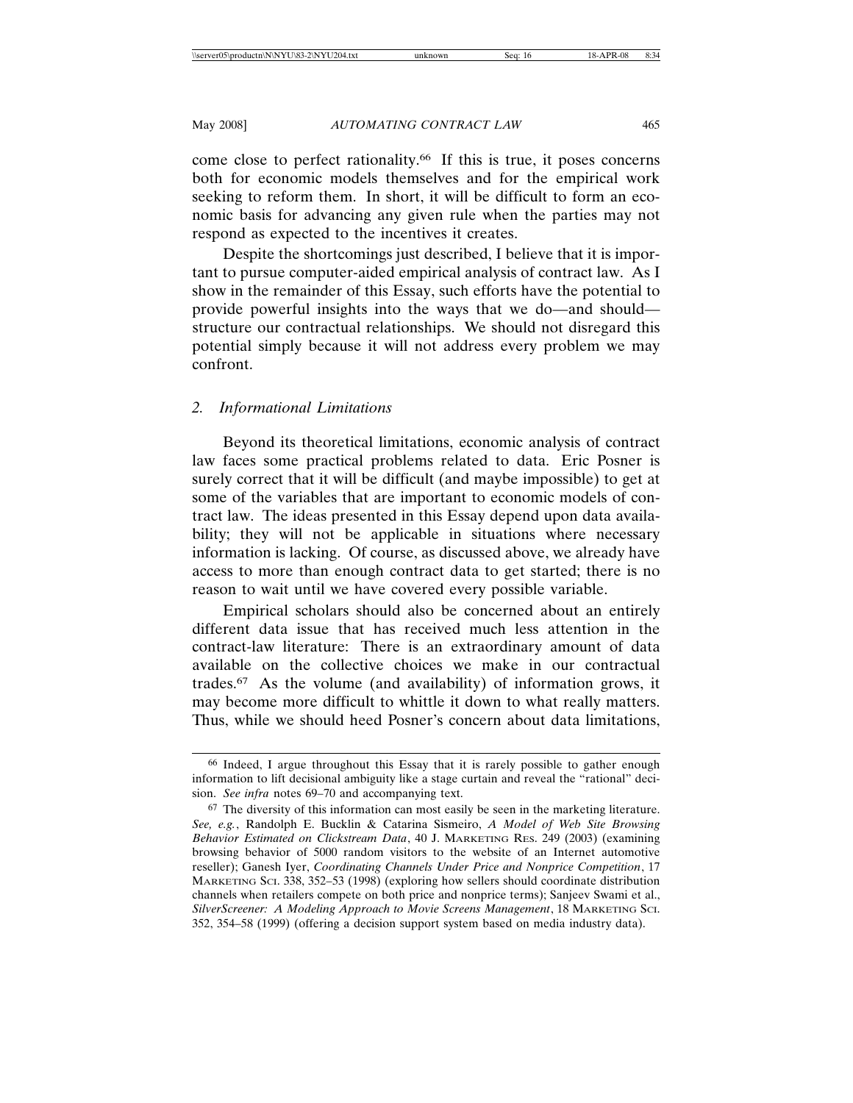come close to perfect rationality.66 If this is true, it poses concerns both for economic models themselves and for the empirical work seeking to reform them. In short, it will be difficult to form an economic basis for advancing any given rule when the parties may not respond as expected to the incentives it creates.

Despite the shortcomings just described, I believe that it is important to pursue computer-aided empirical analysis of contract law. As I show in the remainder of this Essay, such efforts have the potential to provide powerful insights into the ways that we do—and should structure our contractual relationships. We should not disregard this potential simply because it will not address every problem we may confront.

# *2. Informational Limitations*

Beyond its theoretical limitations, economic analysis of contract law faces some practical problems related to data. Eric Posner is surely correct that it will be difficult (and maybe impossible) to get at some of the variables that are important to economic models of contract law. The ideas presented in this Essay depend upon data availability; they will not be applicable in situations where necessary information is lacking. Of course, as discussed above, we already have access to more than enough contract data to get started; there is no reason to wait until we have covered every possible variable.

Empirical scholars should also be concerned about an entirely different data issue that has received much less attention in the contract-law literature: There is an extraordinary amount of data available on the collective choices we make in our contractual trades.67 As the volume (and availability) of information grows, it may become more difficult to whittle it down to what really matters. Thus, while we should heed Posner's concern about data limitations,

<sup>66</sup> Indeed, I argue throughout this Essay that it is rarely possible to gather enough information to lift decisional ambiguity like a stage curtain and reveal the "rational" decision. *See infra* notes 69–70 and accompanying text.

<sup>67</sup> The diversity of this information can most easily be seen in the marketing literature. *See, e.g.*, Randolph E. Bucklin & Catarina Sismeiro, *A Model of Web Site Browsing Behavior Estimated on Clickstream Data*, 40 J. MARKETING RES. 249 (2003) (examining browsing behavior of 5000 random visitors to the website of an Internet automotive reseller); Ganesh Iyer, *Coordinating Channels Under Price and Nonprice Competition*, 17 MARKETING SCI. 338, 352–53 (1998) (exploring how sellers should coordinate distribution channels when retailers compete on both price and nonprice terms); Sanjeev Swami et al., *SilverScreener: A Modeling Approach to Movie Screens Management*, 18 MARKETING SCI. 352, 354–58 (1999) (offering a decision support system based on media industry data).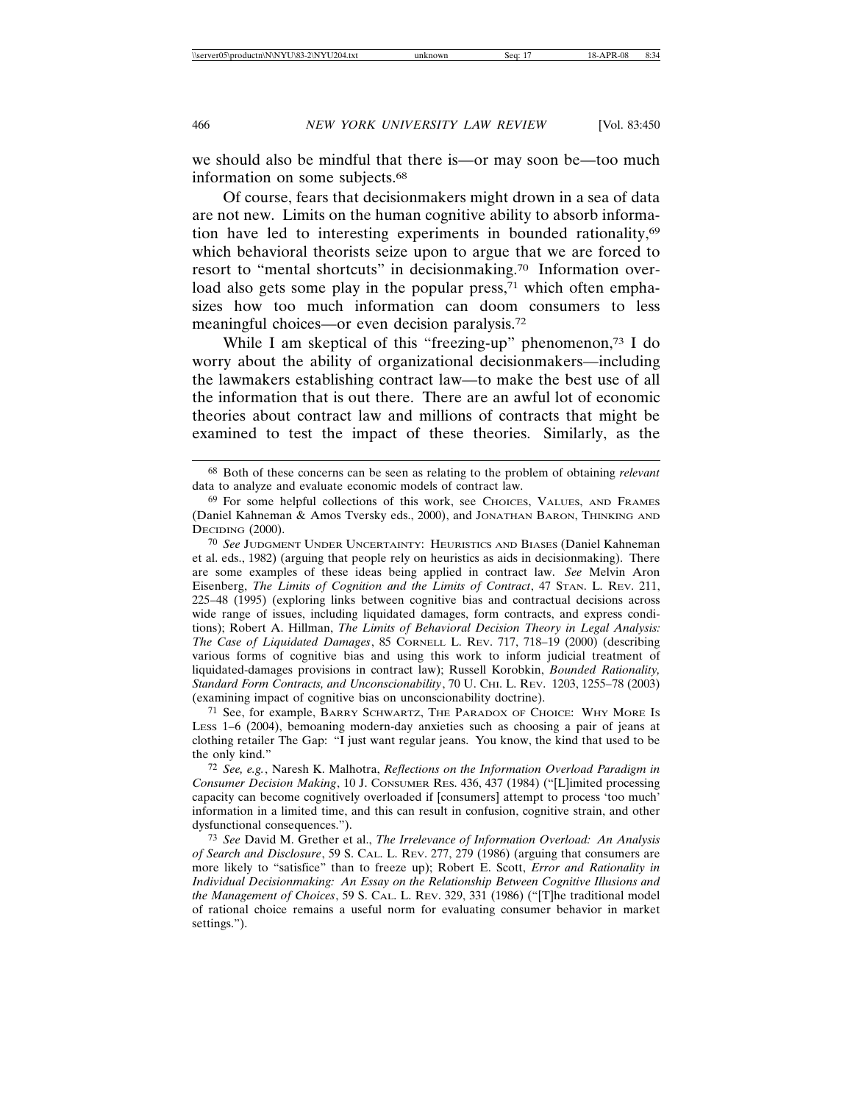we should also be mindful that there is—or may soon be—too much information on some subjects.68

Of course, fears that decisionmakers might drown in a sea of data are not new. Limits on the human cognitive ability to absorb information have led to interesting experiments in bounded rationality,69 which behavioral theorists seize upon to argue that we are forced to resort to "mental shortcuts" in decisionmaking.70 Information overload also gets some play in the popular press,<sup>71</sup> which often emphasizes how too much information can doom consumers to less meaningful choices—or even decision paralysis.72

While I am skeptical of this "freezing-up" phenomenon,<sup>73</sup> I do worry about the ability of organizational decisionmakers—including the lawmakers establishing contract law—to make the best use of all the information that is out there. There are an awful lot of economic theories about contract law and millions of contracts that might be examined to test the impact of these theories. Similarly, as the

71 See, for example, BARRY SCHWARTZ, THE PARADOX OF CHOICE: WHY MORE IS LESS 1–6 (2004), bemoaning modern-day anxieties such as choosing a pair of jeans at clothing retailer The Gap: "I just want regular jeans. You know, the kind that used to be the only kind."

<sup>68</sup> Both of these concerns can be seen as relating to the problem of obtaining *relevant* data to analyze and evaluate economic models of contract law.

<sup>69</sup> For some helpful collections of this work, see CHOICES, VALUES, AND FRAMES (Daniel Kahneman & Amos Tversky eds., 2000), and JONATHAN BARON, THINKING AND DECIDING (2000).

<sup>70</sup> *See* JUDGMENT UNDER UNCERTAINTY: HEURISTICS AND BIASES (Daniel Kahneman et al. eds., 1982) (arguing that people rely on heuristics as aids in decisionmaking). There are some examples of these ideas being applied in contract law. *See* Melvin Aron Eisenberg, *The Limits of Cognition and the Limits of Contract*, 47 STAN. L. REV. 211, 225–48 (1995) (exploring links between cognitive bias and contractual decisions across wide range of issues, including liquidated damages, form contracts, and express conditions); Robert A. Hillman, *The Limits of Behavioral Decision Theory in Legal Analysis: The Case of Liquidated Damages*, 85 CORNELL L. REV. 717, 718–19 (2000) (describing various forms of cognitive bias and using this work to inform judicial treatment of liquidated-damages provisions in contract law); Russell Korobkin, *Bounded Rationality, Standard Form Contracts, and Unconscionability*, 70 U. CHI. L. REV. 1203, 1255–78 (2003) (examining impact of cognitive bias on unconscionability doctrine).

<sup>72</sup> *See, e.g.*, Naresh K. Malhotra, *Reflections on the Information Overload Paradigm in Consumer Decision Making*, 10 J. CONSUMER RES. 436, 437 (1984) ("[L]imited processing capacity can become cognitively overloaded if [consumers] attempt to process 'too much' information in a limited time, and this can result in confusion, cognitive strain, and other dysfunctional consequences.").

<sup>73</sup> *See* David M. Grether et al., *The Irrelevance of Information Overload: An Analysis of Search and Disclosure*, 59 S. CAL. L. REV. 277, 279 (1986) (arguing that consumers are more likely to "satisfice" than to freeze up); Robert E. Scott, *Error and Rationality in Individual Decisionmaking: An Essay on the Relationship Between Cognitive Illusions and the Management of Choices*, 59 S. CAL. L. REV. 329, 331 (1986) ("[T]he traditional model of rational choice remains a useful norm for evaluating consumer behavior in market settings.").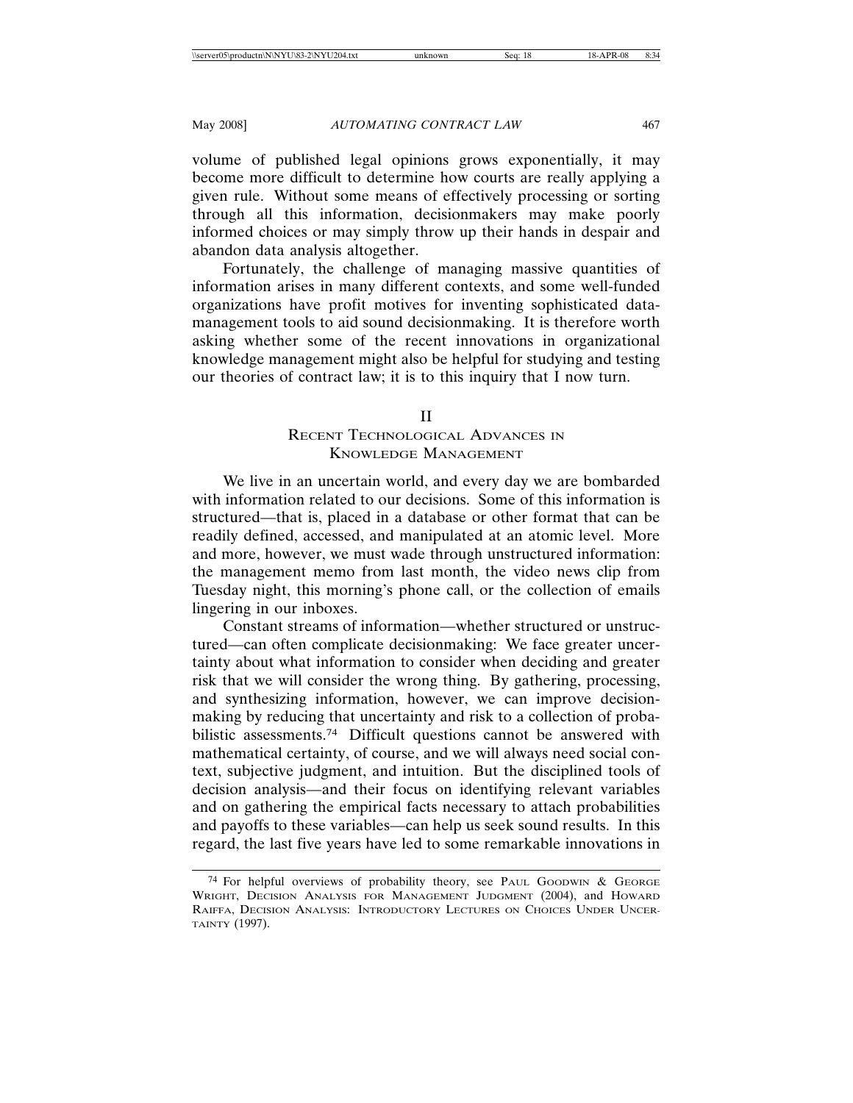volume of published legal opinions grows exponentially, it may become more difficult to determine how courts are really applying a given rule. Without some means of effectively processing or sorting through all this information, decisionmakers may make poorly informed choices or may simply throw up their hands in despair and abandon data analysis altogether.

Fortunately, the challenge of managing massive quantities of information arises in many different contexts, and some well-funded organizations have profit motives for inventing sophisticated datamanagement tools to aid sound decisionmaking. It is therefore worth asking whether some of the recent innovations in organizational knowledge management might also be helpful for studying and testing our theories of contract law; it is to this inquiry that I now turn.

### II

# RECENT TECHNOLOGICAL ADVANCES IN KNOWLEDGE MANAGEMENT

We live in an uncertain world, and every day we are bombarded with information related to our decisions. Some of this information is structured—that is, placed in a database or other format that can be readily defined, accessed, and manipulated at an atomic level. More and more, however, we must wade through unstructured information: the management memo from last month, the video news clip from Tuesday night, this morning's phone call, or the collection of emails lingering in our inboxes.

Constant streams of information—whether structured or unstructured—can often complicate decisionmaking: We face greater uncertainty about what information to consider when deciding and greater risk that we will consider the wrong thing. By gathering, processing, and synthesizing information, however, we can improve decisionmaking by reducing that uncertainty and risk to a collection of probabilistic assessments.74 Difficult questions cannot be answered with mathematical certainty, of course, and we will always need social context, subjective judgment, and intuition. But the disciplined tools of decision analysis—and their focus on identifying relevant variables and on gathering the empirical facts necessary to attach probabilities and payoffs to these variables—can help us seek sound results. In this regard, the last five years have led to some remarkable innovations in

<sup>74</sup> For helpful overviews of probability theory, see PAUL GOODWIN & GEORGE WRIGHT, DECISION ANALYSIS FOR MANAGEMENT JUDGMENT (2004), and HOWARD RAIFFA, DECISION ANALYSIS: INTRODUCTORY LECTURES ON CHOICES UNDER UNCER-TAINTY (1997).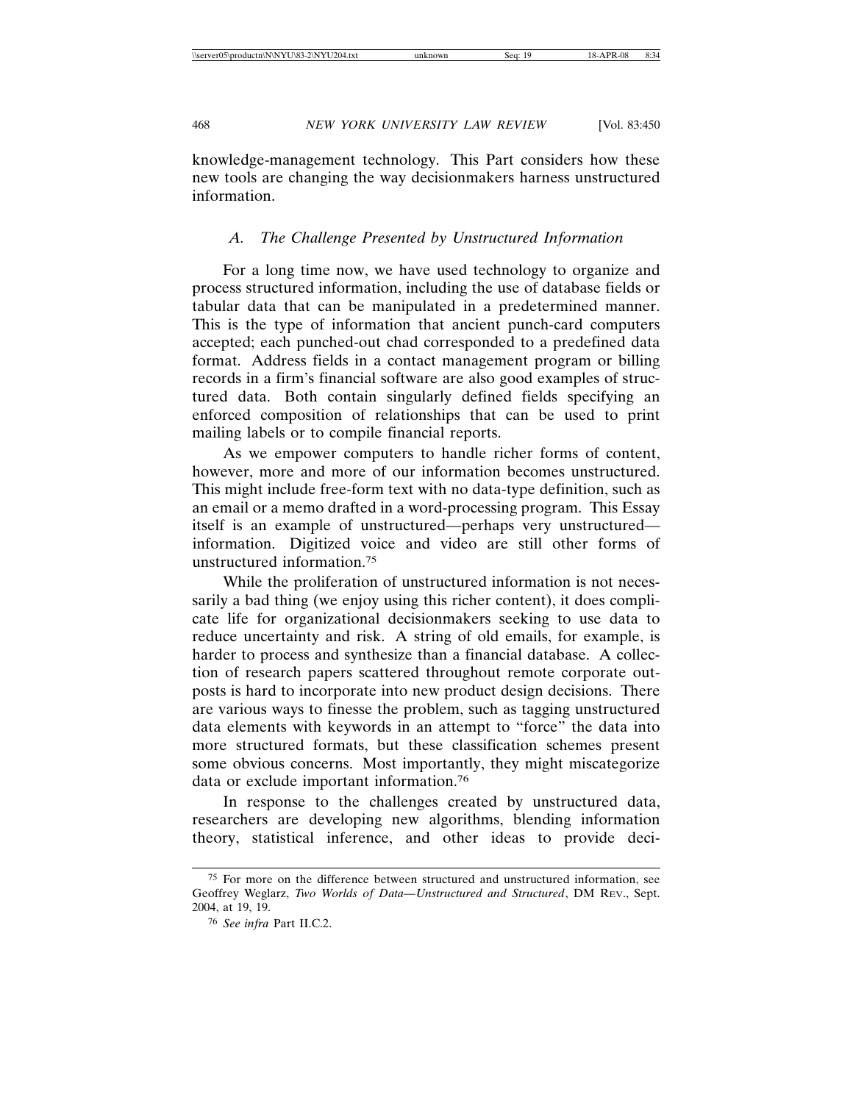knowledge-management technology. This Part considers how these new tools are changing the way decisionmakers harness unstructured information.

# *A. The Challenge Presented by Unstructured Information*

For a long time now, we have used technology to organize and process structured information, including the use of database fields or tabular data that can be manipulated in a predetermined manner. This is the type of information that ancient punch-card computers accepted; each punched-out chad corresponded to a predefined data format. Address fields in a contact management program or billing records in a firm's financial software are also good examples of structured data. Both contain singularly defined fields specifying an enforced composition of relationships that can be used to print mailing labels or to compile financial reports.

As we empower computers to handle richer forms of content, however, more and more of our information becomes unstructured. This might include free-form text with no data-type definition, such as an email or a memo drafted in a word-processing program. This Essay itself is an example of unstructured—perhaps very unstructured information. Digitized voice and video are still other forms of unstructured information.75

While the proliferation of unstructured information is not necessarily a bad thing (we enjoy using this richer content), it does complicate life for organizational decisionmakers seeking to use data to reduce uncertainty and risk. A string of old emails, for example, is harder to process and synthesize than a financial database. A collection of research papers scattered throughout remote corporate outposts is hard to incorporate into new product design decisions. There are various ways to finesse the problem, such as tagging unstructured data elements with keywords in an attempt to "force" the data into more structured formats, but these classification schemes present some obvious concerns. Most importantly, they might miscategorize data or exclude important information.76

In response to the challenges created by unstructured data, researchers are developing new algorithms, blending information theory, statistical inference, and other ideas to provide deci-

<sup>75</sup> For more on the difference between structured and unstructured information, see Geoffrey Weglarz, *Two Worlds of Data—Unstructured and Structured*, DM REV., Sept. 2004, at 19, 19.

<sup>76</sup> *See infra* Part II.C.2.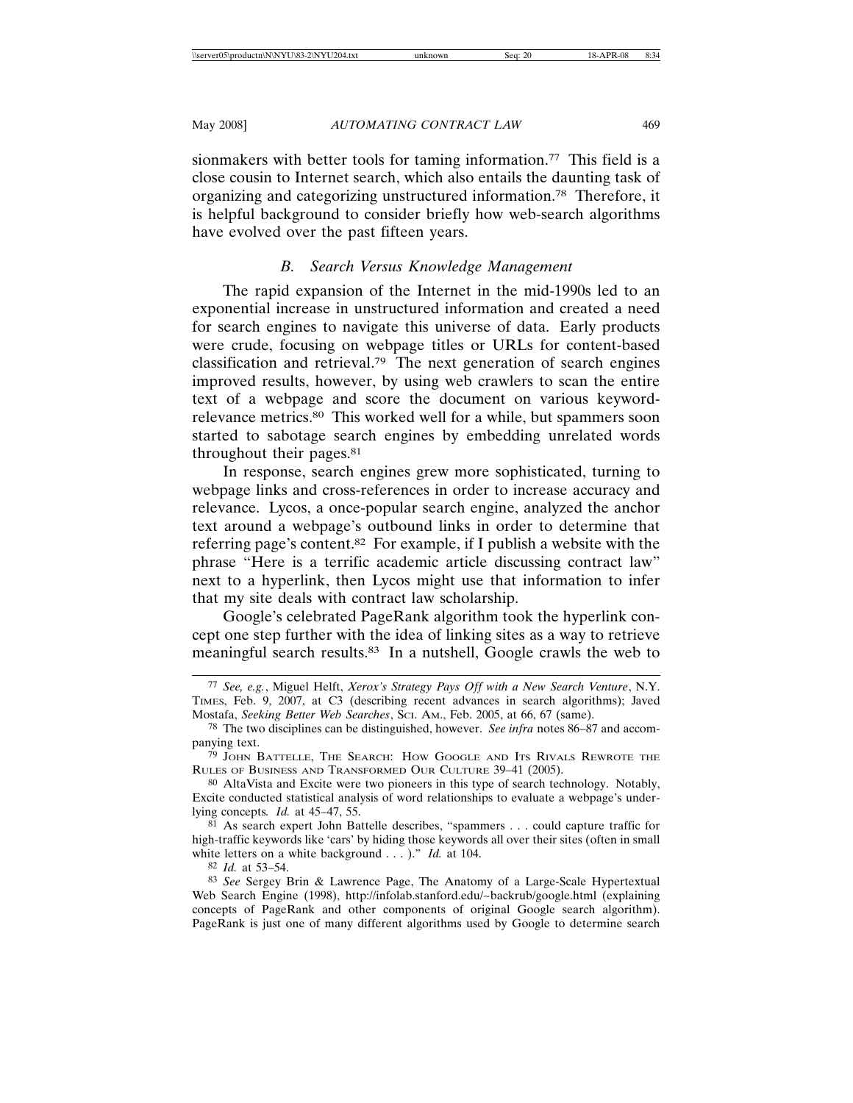sionmakers with better tools for taming information.<sup>77</sup> This field is a close cousin to Internet search, which also entails the daunting task of organizing and categorizing unstructured information.78 Therefore, it is helpful background to consider briefly how web-search algorithms have evolved over the past fifteen years.

# *B. Search Versus Knowledge Management*

The rapid expansion of the Internet in the mid-1990s led to an exponential increase in unstructured information and created a need for search engines to navigate this universe of data. Early products were crude, focusing on webpage titles or URLs for content-based classification and retrieval.79 The next generation of search engines improved results, however, by using web crawlers to scan the entire text of a webpage and score the document on various keywordrelevance metrics.80 This worked well for a while, but spammers soon started to sabotage search engines by embedding unrelated words throughout their pages.81

In response, search engines grew more sophisticated, turning to webpage links and cross-references in order to increase accuracy and relevance. Lycos, a once-popular search engine, analyzed the anchor text around a webpage's outbound links in order to determine that referring page's content.82 For example, if I publish a website with the phrase "Here is a terrific academic article discussing contract law" next to a hyperlink, then Lycos might use that information to infer that my site deals with contract law scholarship.

Google's celebrated PageRank algorithm took the hyperlink concept one step further with the idea of linking sites as a way to retrieve meaningful search results.83 In a nutshell, Google crawls the web to

82 *Id.* at 53–54.

<sup>77</sup> *See, e.g.*, Miguel Helft, *Xerox's Strategy Pays Off with a New Search Venture*, N.Y. TIMES, Feb. 9, 2007, at C3 (describing recent advances in search algorithms); Javed Mostafa, *Seeking Better Web Searches*, SCI. AM., Feb. 2005, at 66, 67 (same).

<sup>78</sup> The two disciplines can be distinguished, however. *See infra* notes 86–87 and accompanying text.

<sup>79</sup> JOHN BATTELLE, THE SEARCH: HOW GOOGLE AND ITS RIVALS REWROTE THE RULES OF BUSINESS AND TRANSFORMED OUR CULTURE 39–41 (2005).

<sup>80</sup> AltaVista and Excite were two pioneers in this type of search technology. Notably, Excite conducted statistical analysis of word relationships to evaluate a webpage's underlying concepts*. Id.* at 45–47, 55.

<sup>81</sup> As search expert John Battelle describes, "spammers . . . could capture traffic for high-traffic keywords like 'cars' by hiding those keywords all over their sites (often in small white letters on a white background . . . )." *Id.* at 104.

<sup>83</sup> *See* Sergey Brin & Lawrence Page, The Anatomy of a Large-Scale Hypertextual Web Search Engine (1998), http://infolab.stanford.edu/~backrub/google.html (explaining concepts of PageRank and other components of original Google search algorithm). PageRank is just one of many different algorithms used by Google to determine search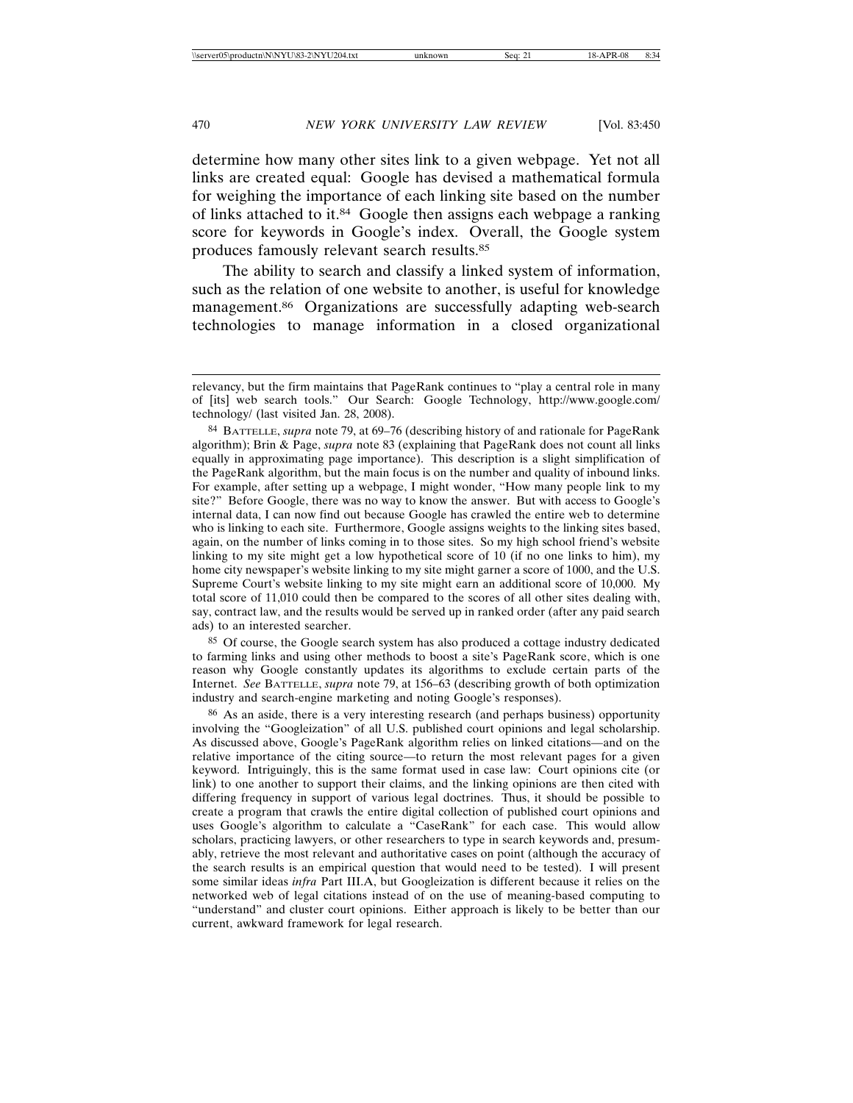determine how many other sites link to a given webpage. Yet not all links are created equal: Google has devised a mathematical formula for weighing the importance of each linking site based on the number of links attached to it.84 Google then assigns each webpage a ranking score for keywords in Google's index. Overall, the Google system produces famously relevant search results.85

The ability to search and classify a linked system of information, such as the relation of one website to another, is useful for knowledge management.<sup>86</sup> Organizations are successfully adapting web-search technologies to manage information in a closed organizational

85 Of course, the Google search system has also produced a cottage industry dedicated to farming links and using other methods to boost a site's PageRank score, which is one reason why Google constantly updates its algorithms to exclude certain parts of the Internet. *See* BATTELLE, *supra* note 79, at 156–63 (describing growth of both optimization industry and search-engine marketing and noting Google's responses).

86 As an aside, there is a very interesting research (and perhaps business) opportunity involving the "Googleization" of all U.S. published court opinions and legal scholarship. As discussed above, Google's PageRank algorithm relies on linked citations—and on the relative importance of the citing source—to return the most relevant pages for a given keyword. Intriguingly, this is the same format used in case law: Court opinions cite (or link) to one another to support their claims, and the linking opinions are then cited with differing frequency in support of various legal doctrines. Thus, it should be possible to create a program that crawls the entire digital collection of published court opinions and uses Google's algorithm to calculate a "CaseRank" for each case. This would allow scholars, practicing lawyers, or other researchers to type in search keywords and, presumably, retrieve the most relevant and authoritative cases on point (although the accuracy of the search results is an empirical question that would need to be tested). I will present some similar ideas *infra* Part III.A, but Googleization is different because it relies on the networked web of legal citations instead of on the use of meaning-based computing to "understand" and cluster court opinions. Either approach is likely to be better than our current, awkward framework for legal research.

relevancy, but the firm maintains that PageRank continues to "play a central role in many of [its] web search tools." Our Search: Google Technology, http://www.google.com/ technology/ (last visited Jan. 28, 2008).

<sup>84</sup> BATTELLE, *supra* note 79, at 69–76 (describing history of and rationale for PageRank algorithm); Brin & Page, *supra* note 83 (explaining that PageRank does not count all links equally in approximating page importance). This description is a slight simplification of the PageRank algorithm, but the main focus is on the number and quality of inbound links. For example, after setting up a webpage, I might wonder, "How many people link to my site?" Before Google, there was no way to know the answer. But with access to Google's internal data, I can now find out because Google has crawled the entire web to determine who is linking to each site. Furthermore, Google assigns weights to the linking sites based, again, on the number of links coming in to those sites. So my high school friend's website linking to my site might get a low hypothetical score of 10 (if no one links to him), my home city newspaper's website linking to my site might garner a score of 1000, and the U.S. Supreme Court's website linking to my site might earn an additional score of 10,000. My total score of 11,010 could then be compared to the scores of all other sites dealing with, say, contract law, and the results would be served up in ranked order (after any paid search ads) to an interested searcher.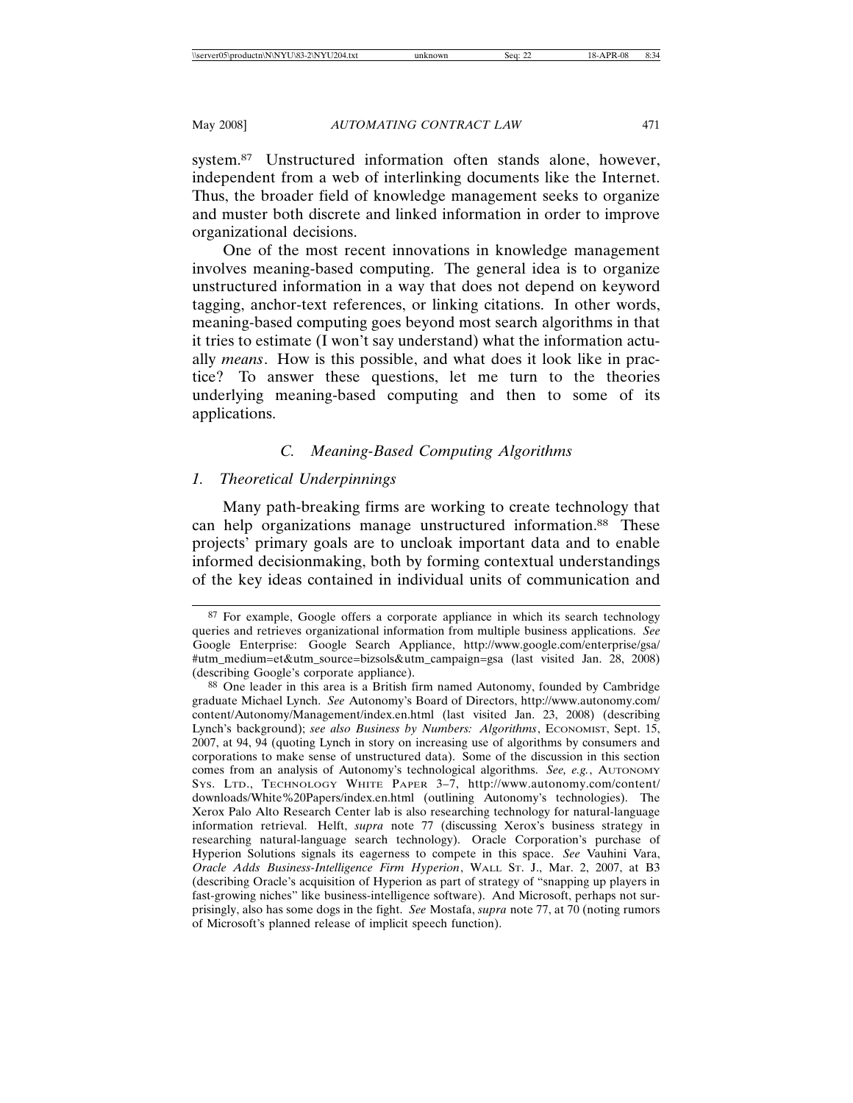system.87 Unstructured information often stands alone, however, independent from a web of interlinking documents like the Internet. Thus, the broader field of knowledge management seeks to organize and muster both discrete and linked information in order to improve organizational decisions.

One of the most recent innovations in knowledge management involves meaning-based computing. The general idea is to organize unstructured information in a way that does not depend on keyword tagging, anchor-text references, or linking citations. In other words, meaning-based computing goes beyond most search algorithms in that it tries to estimate (I won't say understand) what the information actually *means*. How is this possible, and what does it look like in practice? To answer these questions, let me turn to the theories underlying meaning-based computing and then to some of its applications.

# *C. Meaning-Based Computing Algorithms*

### *1. Theoretical Underpinnings*

Many path-breaking firms are working to create technology that can help organizations manage unstructured information.<sup>88</sup> These projects' primary goals are to uncloak important data and to enable informed decisionmaking, both by forming contextual understandings of the key ideas contained in individual units of communication and

<sup>87</sup> For example, Google offers a corporate appliance in which its search technology queries and retrieves organizational information from multiple business applications. *See* Google Enterprise: Google Search Appliance, http://www.google.com/enterprise/gsa/ #utm\_medium=et&utm\_source=bizsols&utm\_campaign=gsa (last visited Jan. 28, 2008) (describing Google's corporate appliance).

<sup>88</sup> One leader in this area is a British firm named Autonomy, founded by Cambridge graduate Michael Lynch. *See* Autonomy's Board of Directors, http://www.autonomy.com/ content/Autonomy/Management/index.en.html (last visited Jan. 23, 2008) (describing Lynch's background); *see also Business by Numbers: Algorithms*, ECONOMIST, Sept. 15, 2007, at 94, 94 (quoting Lynch in story on increasing use of algorithms by consumers and corporations to make sense of unstructured data). Some of the discussion in this section comes from an analysis of Autonomy's technological algorithms. *See, e.g.*, AUTONOMY SYS. LTD., TECHNOLOGY WHITE PAPER 3–7, http://www.autonomy.com/content/ downloads/White%20Papers/index.en.html (outlining Autonomy's technologies). The Xerox Palo Alto Research Center lab is also researching technology for natural-language information retrieval. Helft, *supra* note 77 (discussing Xerox's business strategy in researching natural-language search technology). Oracle Corporation's purchase of Hyperion Solutions signals its eagerness to compete in this space. *See* Vauhini Vara, *Oracle Adds Business-Intelligence Firm Hyperion*, WALL ST. J., Mar. 2, 2007, at B3 (describing Oracle's acquisition of Hyperion as part of strategy of "snapping up players in fast-growing niches" like business-intelligence software). And Microsoft, perhaps not surprisingly, also has some dogs in the fight. *See* Mostafa, *supra* note 77, at 70 (noting rumors of Microsoft's planned release of implicit speech function).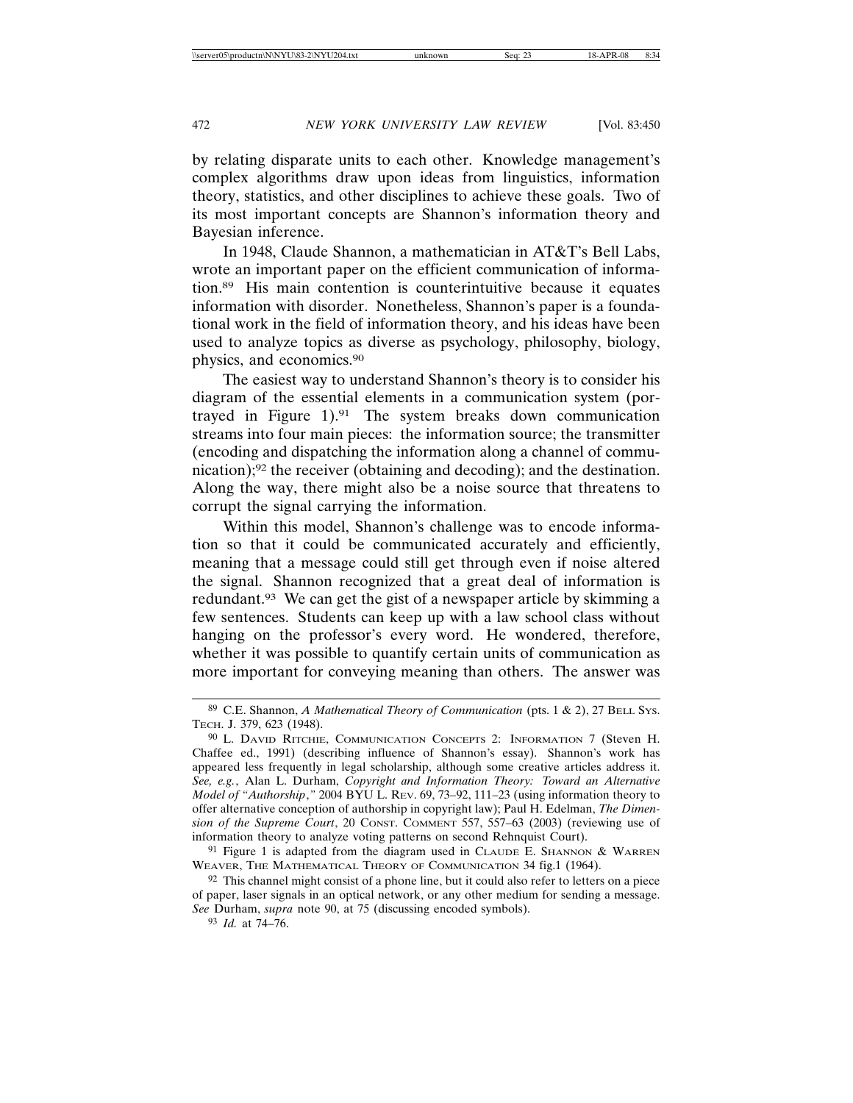by relating disparate units to each other. Knowledge management's complex algorithms draw upon ideas from linguistics, information theory, statistics, and other disciplines to achieve these goals. Two of its most important concepts are Shannon's information theory and Bayesian inference.

In 1948, Claude Shannon, a mathematician in AT&T's Bell Labs, wrote an important paper on the efficient communication of information.89 His main contention is counterintuitive because it equates information with disorder. Nonetheless, Shannon's paper is a foundational work in the field of information theory, and his ideas have been used to analyze topics as diverse as psychology, philosophy, biology, physics, and economics.90

The easiest way to understand Shannon's theory is to consider his diagram of the essential elements in a communication system (portrayed in Figure 1).91 The system breaks down communication streams into four main pieces: the information source; the transmitter (encoding and dispatching the information along a channel of communication);92 the receiver (obtaining and decoding); and the destination. Along the way, there might also be a noise source that threatens to corrupt the signal carrying the information.

Within this model, Shannon's challenge was to encode information so that it could be communicated accurately and efficiently, meaning that a message could still get through even if noise altered the signal. Shannon recognized that a great deal of information is redundant.93 We can get the gist of a newspaper article by skimming a few sentences. Students can keep up with a law school class without hanging on the professor's every word. He wondered, therefore, whether it was possible to quantify certain units of communication as more important for conveying meaning than others. The answer was

<sup>89</sup> C.E. Shannon, *A Mathematical Theory of Communication* (pts. 1 & 2), 27 BELL SYS. TECH. J. 379, 623 (1948).

<sup>90</sup> L. DAVID RITCHIE, COMMUNICATION CONCEPTS 2: INFORMATION 7 (Steven H. Chaffee ed., 1991) (describing influence of Shannon's essay). Shannon's work has appeared less frequently in legal scholarship, although some creative articles address it. *See, e.g.*, Alan L. Durham, *Copyright and Information Theory: Toward an Alternative Model of "Authorship*,*"* 2004 BYU L. REV. 69, 73–92, 111–23 (using information theory to offer alternative conception of authorship in copyright law); Paul H. Edelman, *The Dimension of the Supreme Court*, 20 CONST. COMMENT 557, 557–63 (2003) (reviewing use of information theory to analyze voting patterns on second Rehnquist Court).

 $91$  Figure 1 is adapted from the diagram used in CLAUDE E. SHANNON & WARREN WEAVER, THE MATHEMATICAL THEORY OF COMMUNICATION 34 fig.1 (1964).

<sup>92</sup> This channel might consist of a phone line, but it could also refer to letters on a piece of paper, laser signals in an optical network, or any other medium for sending a message. *See* Durham, *supra* note 90, at 75 (discussing encoded symbols).

<sup>93</sup> *Id.* at 74–76.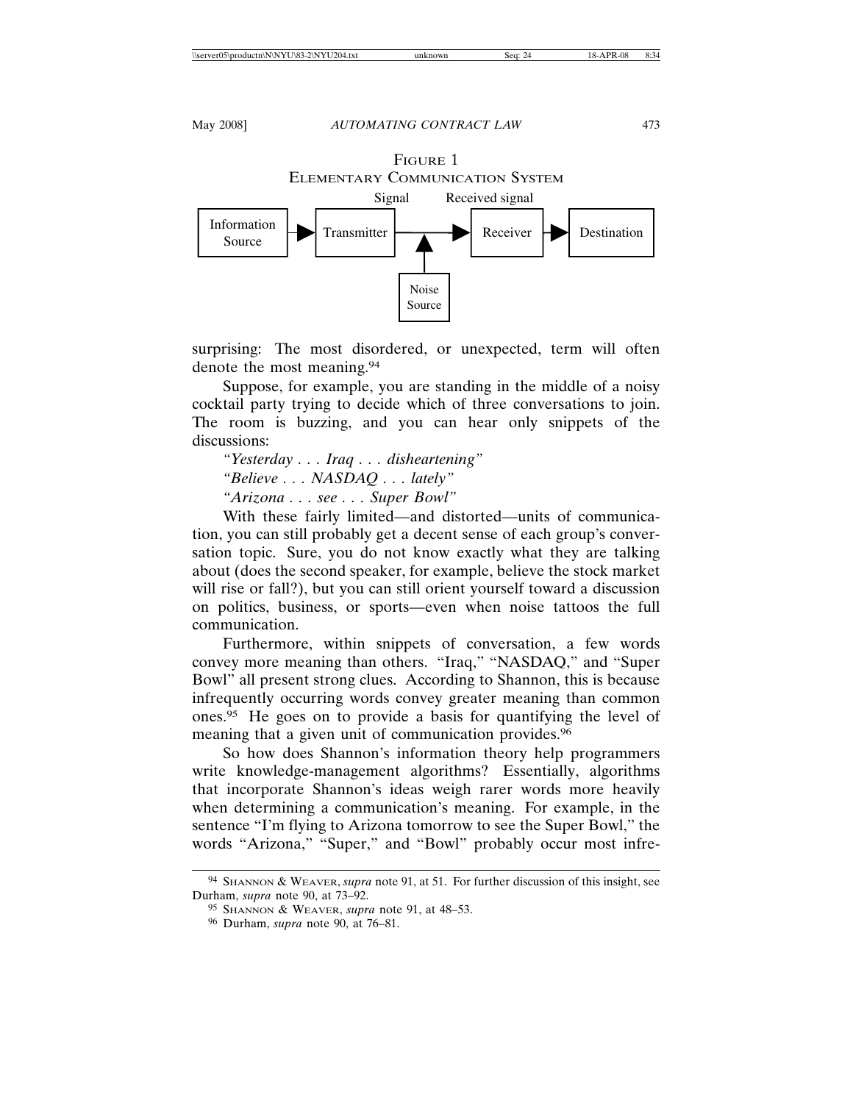FIGURE 1 ELEMENTARY COMMUNICATION SYSTEM



surprising: The most disordered, or unexpected, term will often denote the most meaning.94

Suppose, for example, you are standing in the middle of a noisy cocktail party trying to decide which of three conversations to join. The room is buzzing, and you can hear only snippets of the discussions:

*"Yesterday . . . Iraq . . . disheartening" "Believe . . . NASDAQ . . . lately" "Arizona . . . see . . . Super Bowl"*

With these fairly limited—and distorted—units of communication, you can still probably get a decent sense of each group's conversation topic. Sure, you do not know exactly what they are talking about (does the second speaker, for example, believe the stock market will rise or fall?), but you can still orient yourself toward a discussion on politics, business, or sports—even when noise tattoos the full communication.

Furthermore, within snippets of conversation, a few words convey more meaning than others. "Iraq," "NASDAQ," and "Super Bowl" all present strong clues. According to Shannon, this is because infrequently occurring words convey greater meaning than common ones.95 He goes on to provide a basis for quantifying the level of meaning that a given unit of communication provides.<sup>96</sup>

So how does Shannon's information theory help programmers write knowledge-management algorithms? Essentially, algorithms that incorporate Shannon's ideas weigh rarer words more heavily when determining a communication's meaning. For example, in the sentence "I'm flying to Arizona tomorrow to see the Super Bowl," the words "Arizona," "Super," and "Bowl" probably occur most infre-

<sup>94</sup> SHANNON & WEAVER, *supra* note 91, at 51. For further discussion of this insight, see Durham, *supra* note 90, at 73–92.

<sup>95</sup> SHANNON & WEAVER, *supra* note 91, at 48–53.

<sup>96</sup> Durham, *supra* note 90, at 76–81.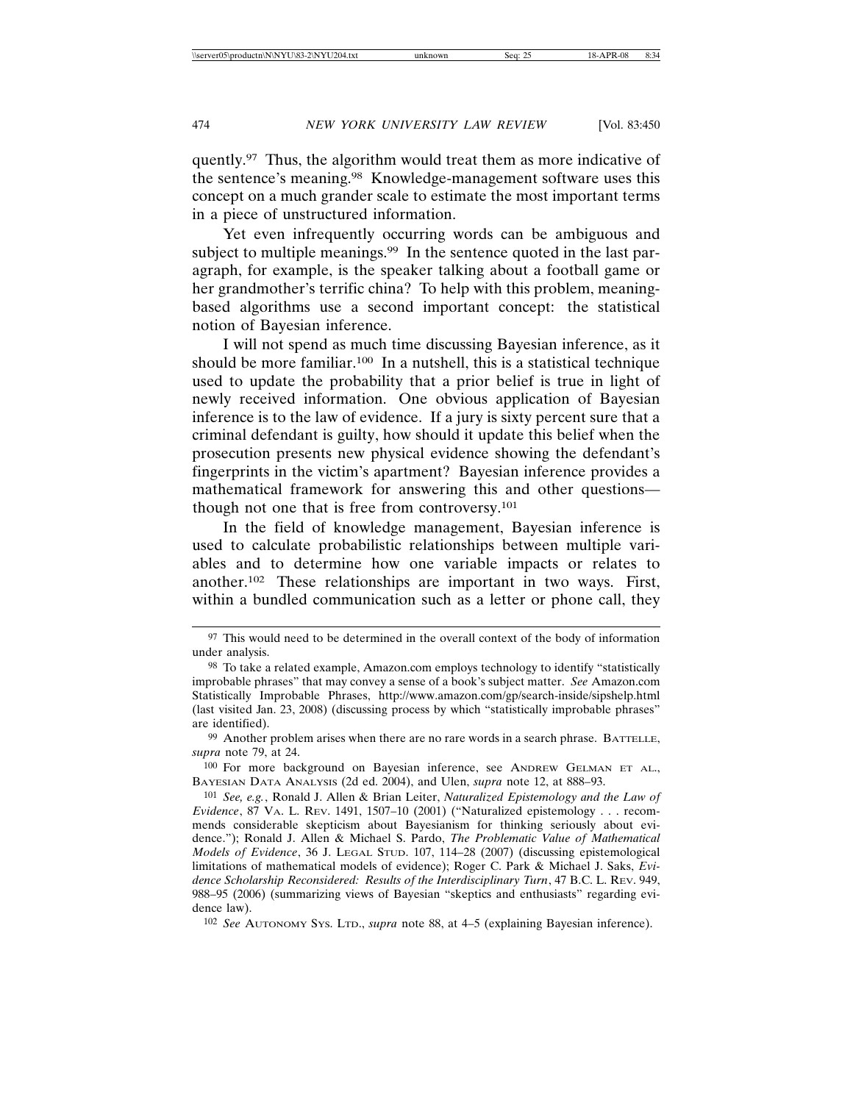quently.97 Thus, the algorithm would treat them as more indicative of the sentence's meaning.98 Knowledge-management software uses this concept on a much grander scale to estimate the most important terms in a piece of unstructured information.

Yet even infrequently occurring words can be ambiguous and subject to multiple meanings.<sup>99</sup> In the sentence quoted in the last paragraph, for example, is the speaker talking about a football game or her grandmother's terrific china? To help with this problem, meaningbased algorithms use a second important concept: the statistical notion of Bayesian inference.

I will not spend as much time discussing Bayesian inference, as it should be more familiar.<sup>100</sup> In a nutshell, this is a statistical technique used to update the probability that a prior belief is true in light of newly received information. One obvious application of Bayesian inference is to the law of evidence. If a jury is sixty percent sure that a criminal defendant is guilty, how should it update this belief when the prosecution presents new physical evidence showing the defendant's fingerprints in the victim's apartment? Bayesian inference provides a mathematical framework for answering this and other questions though not one that is free from controversy.101

In the field of knowledge management, Bayesian inference is used to calculate probabilistic relationships between multiple variables and to determine how one variable impacts or relates to another.102 These relationships are important in two ways. First, within a bundled communication such as a letter or phone call, they

100 For more background on Bayesian inference, see ANDREW GELMAN ET AL., BAYESIAN DATA ANALYSIS (2d ed. 2004), and Ulen, *supra* note 12, at 888–93.

102 *See* AUTONOMY SYS. LTD., *supra* note 88, at 4–5 (explaining Bayesian inference).

<sup>&</sup>lt;sup>97</sup> This would need to be determined in the overall context of the body of information under analysis.

<sup>98</sup> To take a related example, Amazon.com employs technology to identify "statistically improbable phrases" that may convey a sense of a book's subject matter. *See* Amazon.com Statistically Improbable Phrases, http://www.amazon.com/gp/search-inside/sipshelp.html (last visited Jan. 23, 2008) (discussing process by which "statistically improbable phrases" are identified).

<sup>99</sup> Another problem arises when there are no rare words in a search phrase. BATTELLE, *supra* note 79, at 24.

<sup>101</sup> *See, e.g.*, Ronald J. Allen & Brian Leiter, *Naturalized Epistemology and the Law of Evidence*, 87 VA. L. REV. 1491, 1507–10 (2001) ("Naturalized epistemology . . . recommends considerable skepticism about Bayesianism for thinking seriously about evidence."); Ronald J. Allen & Michael S. Pardo, *The Problematic Value of Mathematical Models of Evidence*, 36 J. LEGAL STUD. 107, 114–28 (2007) (discussing epistemological limitations of mathematical models of evidence); Roger C. Park & Michael J. Saks, *Evidence Scholarship Reconsidered: Results of the Interdisciplinary Turn*, 47 B.C. L. REV. 949, 988–95 (2006) (summarizing views of Bayesian "skeptics and enthusiasts" regarding evidence law).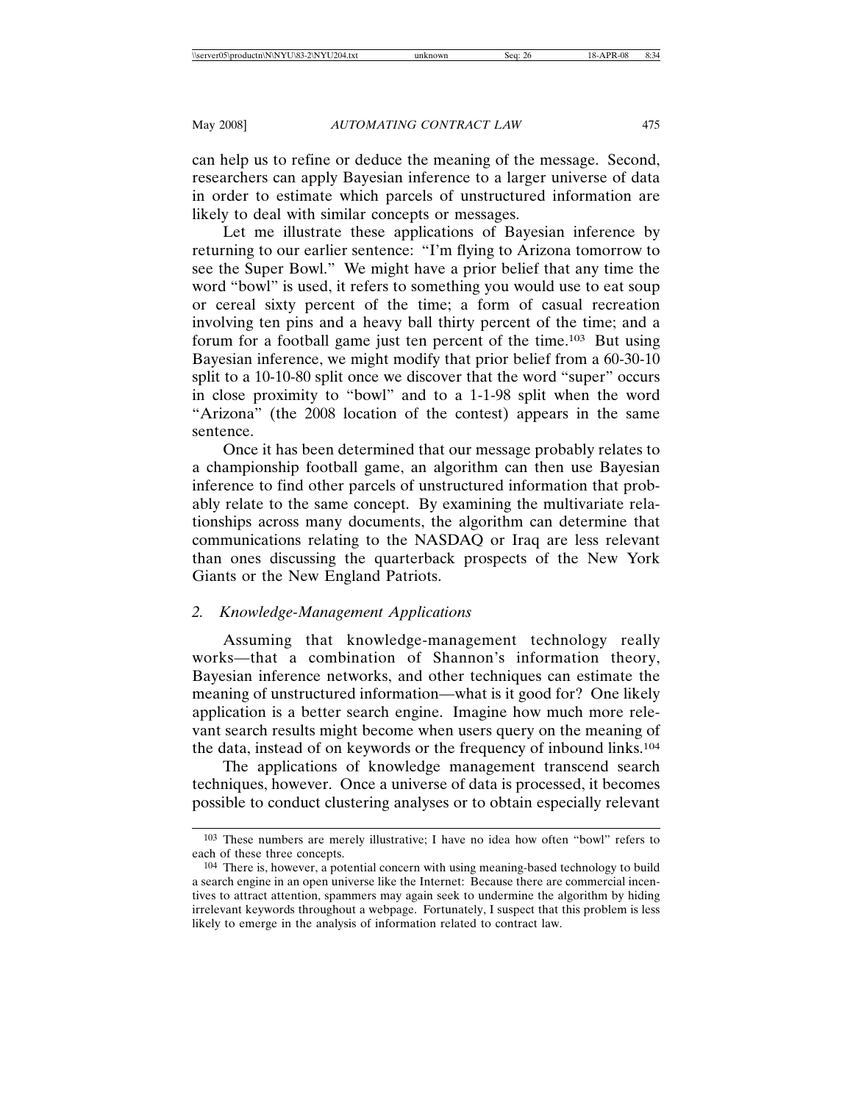can help us to refine or deduce the meaning of the message. Second, researchers can apply Bayesian inference to a larger universe of data in order to estimate which parcels of unstructured information are likely to deal with similar concepts or messages.

Let me illustrate these applications of Bayesian inference by returning to our earlier sentence: "I'm flying to Arizona tomorrow to see the Super Bowl." We might have a prior belief that any time the word "bowl" is used, it refers to something you would use to eat soup or cereal sixty percent of the time; a form of casual recreation involving ten pins and a heavy ball thirty percent of the time; and a forum for a football game just ten percent of the time.103 But using Bayesian inference, we might modify that prior belief from a 60-30-10 split to a 10-10-80 split once we discover that the word "super" occurs in close proximity to "bowl" and to a 1-1-98 split when the word "Arizona" (the 2008 location of the contest) appears in the same sentence.

Once it has been determined that our message probably relates to a championship football game, an algorithm can then use Bayesian inference to find other parcels of unstructured information that probably relate to the same concept. By examining the multivariate relationships across many documents, the algorithm can determine that communications relating to the NASDAQ or Iraq are less relevant than ones discussing the quarterback prospects of the New York Giants or the New England Patriots.

# *2. Knowledge-Management Applications*

Assuming that knowledge-management technology really works—that a combination of Shannon's information theory, Bayesian inference networks, and other techniques can estimate the meaning of unstructured information—what is it good for? One likely application is a better search engine. Imagine how much more relevant search results might become when users query on the meaning of the data, instead of on keywords or the frequency of inbound links.104

The applications of knowledge management transcend search techniques, however. Once a universe of data is processed, it becomes possible to conduct clustering analyses or to obtain especially relevant

<sup>103</sup> These numbers are merely illustrative; I have no idea how often "bowl" refers to each of these three concepts.

<sup>104</sup> There is, however, a potential concern with using meaning-based technology to build a search engine in an open universe like the Internet: Because there are commercial incentives to attract attention, spammers may again seek to undermine the algorithm by hiding irrelevant keywords throughout a webpage. Fortunately, I suspect that this problem is less likely to emerge in the analysis of information related to contract law.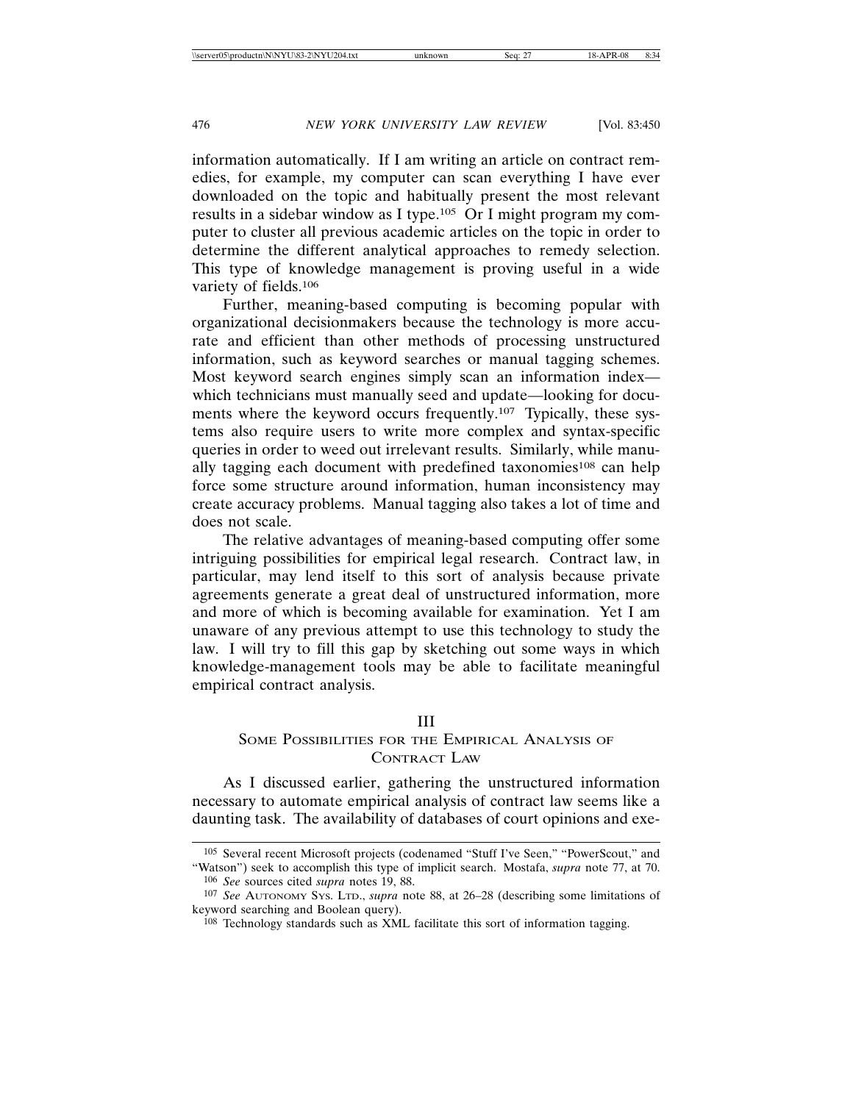information automatically. If I am writing an article on contract remedies, for example, my computer can scan everything I have ever downloaded on the topic and habitually present the most relevant results in a sidebar window as I type.105 Or I might program my computer to cluster all previous academic articles on the topic in order to determine the different analytical approaches to remedy selection. This type of knowledge management is proving useful in a wide variety of fields.106

Further, meaning-based computing is becoming popular with organizational decisionmakers because the technology is more accurate and efficient than other methods of processing unstructured information, such as keyword searches or manual tagging schemes. Most keyword search engines simply scan an information index which technicians must manually seed and update—looking for documents where the keyword occurs frequently.107 Typically, these systems also require users to write more complex and syntax-specific queries in order to weed out irrelevant results. Similarly, while manually tagging each document with predefined taxonomies<sup>108</sup> can help force some structure around information, human inconsistency may create accuracy problems. Manual tagging also takes a lot of time and does not scale.

The relative advantages of meaning-based computing offer some intriguing possibilities for empirical legal research. Contract law, in particular, may lend itself to this sort of analysis because private agreements generate a great deal of unstructured information, more and more of which is becoming available for examination. Yet I am unaware of any previous attempt to use this technology to study the law. I will try to fill this gap by sketching out some ways in which knowledge-management tools may be able to facilitate meaningful empirical contract analysis.

# III

# SOME POSSIBILITIES FOR THE EMPIRICAL ANALYSIS OF CONTRACT LAW

As I discussed earlier, gathering the unstructured information necessary to automate empirical analysis of contract law seems like a daunting task. The availability of databases of court opinions and exe-

<sup>105</sup> Several recent Microsoft projects (codenamed "Stuff I've Seen," "PowerScout," and "Watson") seek to accomplish this type of implicit search. Mostafa, *supra* note 77, at 70.

<sup>106</sup> *See* sources cited *supra* notes 19, 88.

<sup>107</sup> *See* AUTONOMY SYS. LTD., *supra* note 88, at 26–28 (describing some limitations of keyword searching and Boolean query).

<sup>108</sup> Technology standards such as XML facilitate this sort of information tagging.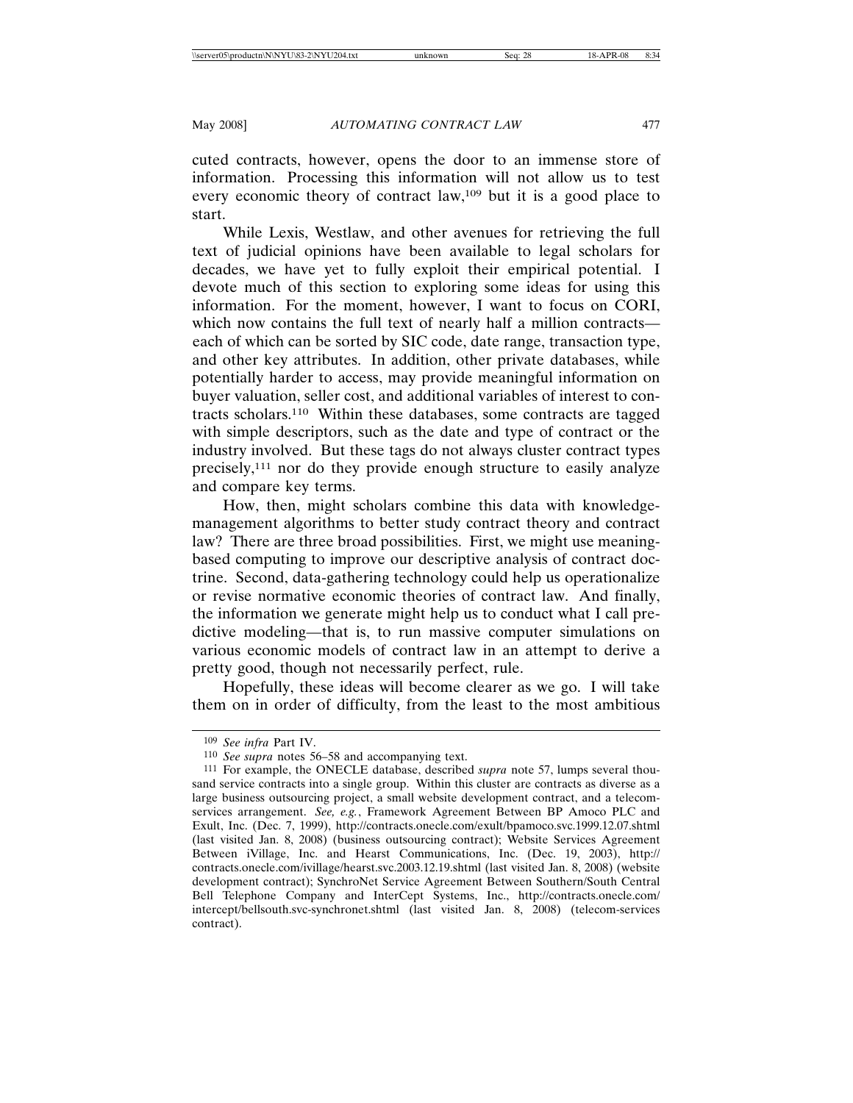cuted contracts, however, opens the door to an immense store of information. Processing this information will not allow us to test every economic theory of contract law,109 but it is a good place to start.

While Lexis, Westlaw, and other avenues for retrieving the full text of judicial opinions have been available to legal scholars for decades, we have yet to fully exploit their empirical potential. I devote much of this section to exploring some ideas for using this information. For the moment, however, I want to focus on CORI, which now contains the full text of nearly half a million contracts each of which can be sorted by SIC code, date range, transaction type, and other key attributes. In addition, other private databases, while potentially harder to access, may provide meaningful information on buyer valuation, seller cost, and additional variables of interest to contracts scholars.110 Within these databases, some contracts are tagged with simple descriptors, such as the date and type of contract or the industry involved. But these tags do not always cluster contract types precisely,111 nor do they provide enough structure to easily analyze and compare key terms.

How, then, might scholars combine this data with knowledgemanagement algorithms to better study contract theory and contract law? There are three broad possibilities. First, we might use meaningbased computing to improve our descriptive analysis of contract doctrine. Second, data-gathering technology could help us operationalize or revise normative economic theories of contract law. And finally, the information we generate might help us to conduct what I call predictive modeling—that is, to run massive computer simulations on various economic models of contract law in an attempt to derive a pretty good, though not necessarily perfect, rule.

Hopefully, these ideas will become clearer as we go. I will take them on in order of difficulty, from the least to the most ambitious

<sup>109</sup> *See infra* Part IV.

<sup>110</sup> *See supra* notes 56–58 and accompanying text.

<sup>111</sup> For example, the ONECLE database, described *supra* note 57, lumps several thousand service contracts into a single group. Within this cluster are contracts as diverse as a large business outsourcing project, a small website development contract, and a telecomservices arrangement. *See, e.g.*, Framework Agreement Between BP Amoco PLC and Exult, Inc. (Dec. 7, 1999), http://contracts.onecle.com/exult/bpamoco.svc.1999.12.07.shtml (last visited Jan. 8, 2008) (business outsourcing contract); Website Services Agreement Between iVillage, Inc. and Hearst Communications, Inc. (Dec. 19, 2003), http:// contracts.onecle.com/ivillage/hearst.svc.2003.12.19.shtml (last visited Jan. 8, 2008) (website development contract); SynchroNet Service Agreement Between Southern/South Central Bell Telephone Company and InterCept Systems, Inc., http://contracts.onecle.com/ intercept/bellsouth.svc-synchronet.shtml (last visited Jan. 8, 2008) (telecom-services contract).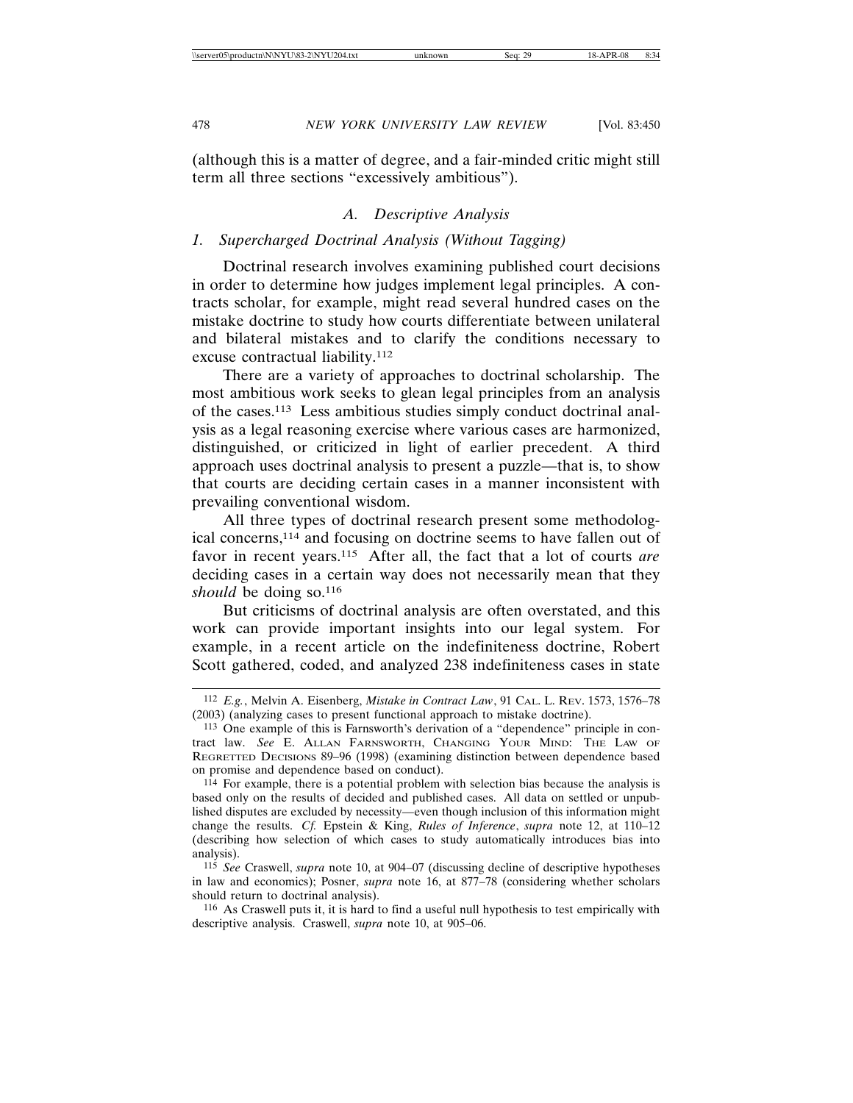(although this is a matter of degree, and a fair-minded critic might still term all three sections "excessively ambitious").

# *A. Descriptive Analysis*

# *1. Supercharged Doctrinal Analysis (Without Tagging)*

Doctrinal research involves examining published court decisions in order to determine how judges implement legal principles. A contracts scholar, for example, might read several hundred cases on the mistake doctrine to study how courts differentiate between unilateral and bilateral mistakes and to clarify the conditions necessary to excuse contractual liability.112

There are a variety of approaches to doctrinal scholarship. The most ambitious work seeks to glean legal principles from an analysis of the cases.113 Less ambitious studies simply conduct doctrinal analysis as a legal reasoning exercise where various cases are harmonized, distinguished, or criticized in light of earlier precedent. A third approach uses doctrinal analysis to present a puzzle—that is, to show that courts are deciding certain cases in a manner inconsistent with prevailing conventional wisdom.

All three types of doctrinal research present some methodological concerns,114 and focusing on doctrine seems to have fallen out of favor in recent years.115 After all, the fact that a lot of courts *are* deciding cases in a certain way does not necessarily mean that they should be doing so.<sup>116</sup>

But criticisms of doctrinal analysis are often overstated, and this work can provide important insights into our legal system. For example, in a recent article on the indefiniteness doctrine, Robert Scott gathered, coded, and analyzed 238 indefiniteness cases in state

<sup>112</sup> *E.g.*, Melvin A. Eisenberg, *Mistake in Contract Law*, 91 CAL. L. REV. 1573, 1576–78 (2003) (analyzing cases to present functional approach to mistake doctrine).

<sup>113</sup> One example of this is Farnsworth's derivation of a "dependence" principle in contract law. *See* E. ALLAN FARNSWORTH, CHANGING YOUR MIND: THE LAW OF REGRETTED DECISIONS 89–96 (1998) (examining distinction between dependence based on promise and dependence based on conduct).

 $114$  For example, there is a potential problem with selection bias because the analysis is based only on the results of decided and published cases. All data on settled or unpublished disputes are excluded by necessity—even though inclusion of this information might change the results. *Cf.* Epstein & King, *Rules of Inference*, *supra* note 12, at 110–12 (describing how selection of which cases to study automatically introduces bias into analysis).

<sup>115</sup> *See* Craswell, *supra* note 10, at 904–07 (discussing decline of descriptive hypotheses in law and economics); Posner, *supra* note 16, at 877–78 (considering whether scholars should return to doctrinal analysis).

<sup>116</sup> As Craswell puts it, it is hard to find a useful null hypothesis to test empirically with descriptive analysis. Craswell, *supra* note 10, at 905–06.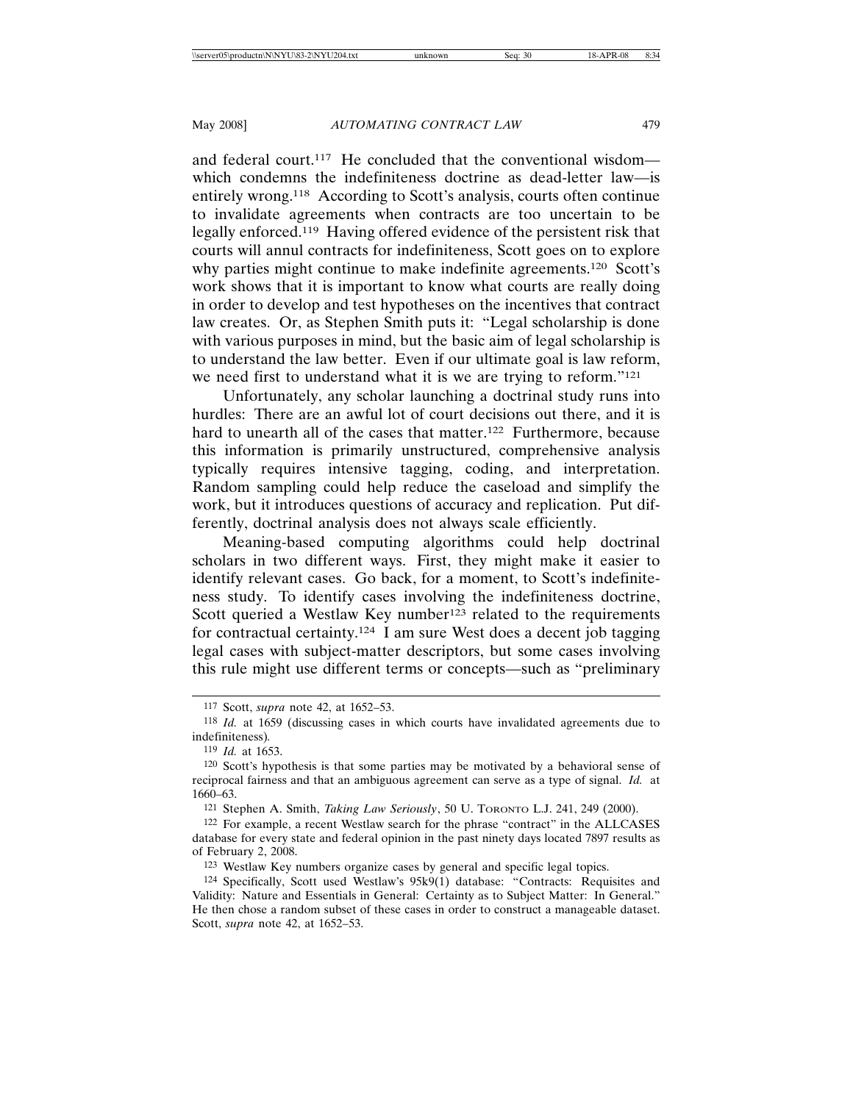and federal court.<sup>117</sup> He concluded that the conventional wisdom which condemns the indefiniteness doctrine as dead-letter law—is entirely wrong.118 According to Scott's analysis, courts often continue to invalidate agreements when contracts are too uncertain to be legally enforced.119 Having offered evidence of the persistent risk that courts will annul contracts for indefiniteness, Scott goes on to explore why parties might continue to make indefinite agreements.<sup>120</sup> Scott's work shows that it is important to know what courts are really doing in order to develop and test hypotheses on the incentives that contract law creates. Or, as Stephen Smith puts it: "Legal scholarship is done with various purposes in mind, but the basic aim of legal scholarship is to understand the law better. Even if our ultimate goal is law reform, we need first to understand what it is we are trying to reform.<sup>"121</sup>

Unfortunately, any scholar launching a doctrinal study runs into hurdles: There are an awful lot of court decisions out there, and it is hard to unearth all of the cases that matter.<sup>122</sup> Furthermore, because this information is primarily unstructured, comprehensive analysis typically requires intensive tagging, coding, and interpretation. Random sampling could help reduce the caseload and simplify the work, but it introduces questions of accuracy and replication. Put differently, doctrinal analysis does not always scale efficiently.

Meaning-based computing algorithms could help doctrinal scholars in two different ways. First, they might make it easier to identify relevant cases. Go back, for a moment, to Scott's indefiniteness study. To identify cases involving the indefiniteness doctrine, Scott queried a Westlaw Key number<sup>123</sup> related to the requirements for contractual certainty.124 I am sure West does a decent job tagging legal cases with subject-matter descriptors, but some cases involving this rule might use different terms or concepts—such as "preliminary

<sup>117</sup> Scott, *supra* note 42, at 1652–53.

<sup>118</sup> *Id.* at 1659 (discussing cases in which courts have invalidated agreements due to indefiniteness)*.*

<sup>119</sup> *Id.* at 1653.

<sup>120</sup> Scott's hypothesis is that some parties may be motivated by a behavioral sense of reciprocal fairness and that an ambiguous agreement can serve as a type of signal. *Id.* at 1660–63.

<sup>121</sup> Stephen A. Smith, *Taking Law Seriously*, 50 U. TORONTO L.J. 241, 249 (2000).

<sup>122</sup> For example, a recent Westlaw search for the phrase "contract" in the ALLCASES database for every state and federal opinion in the past ninety days located 7897 results as of February 2, 2008.

<sup>123</sup> Westlaw Key numbers organize cases by general and specific legal topics.

<sup>124</sup> Specifically, Scott used Westlaw's 95k9(1) database: "Contracts: Requisites and Validity: Nature and Essentials in General: Certainty as to Subject Matter: In General." He then chose a random subset of these cases in order to construct a manageable dataset. Scott, *supra* note 42, at 1652–53.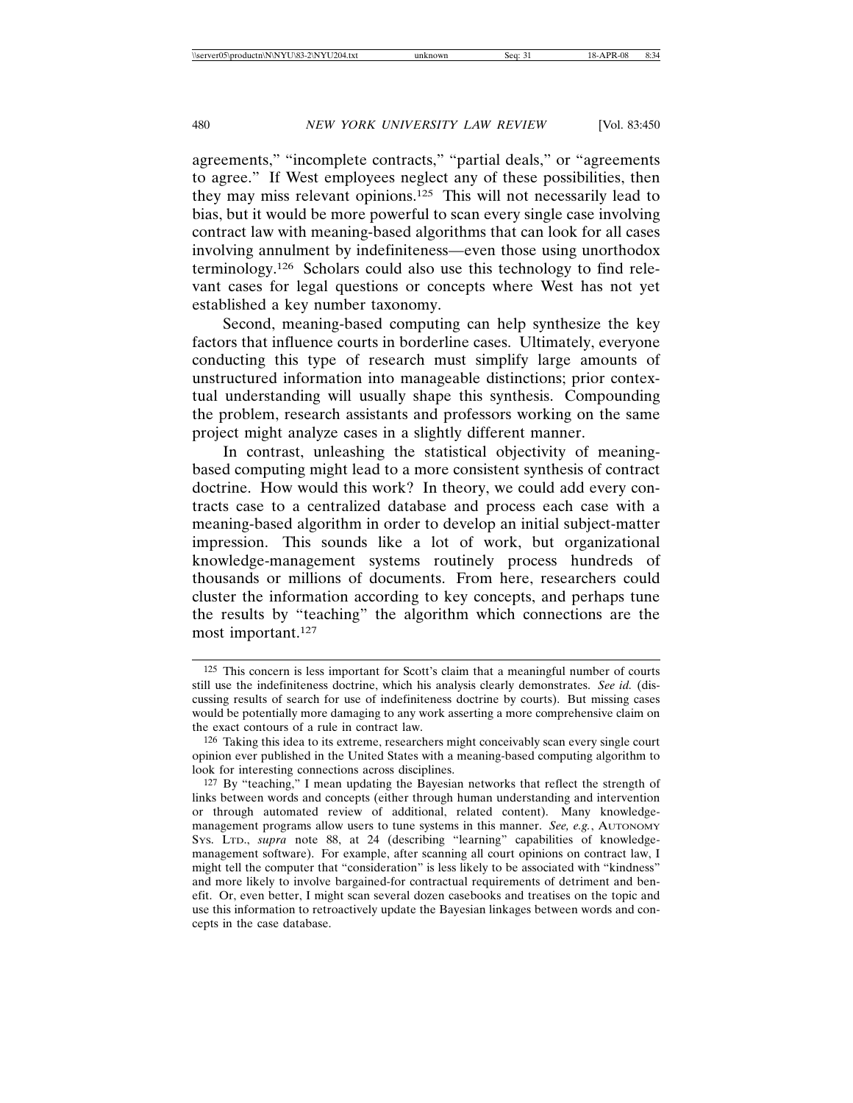agreements," "incomplete contracts," "partial deals," or "agreements to agree." If West employees neglect any of these possibilities, then they may miss relevant opinions.125 This will not necessarily lead to bias, but it would be more powerful to scan every single case involving contract law with meaning-based algorithms that can look for all cases involving annulment by indefiniteness—even those using unorthodox terminology.126 Scholars could also use this technology to find relevant cases for legal questions or concepts where West has not yet established a key number taxonomy.

Second, meaning-based computing can help synthesize the key factors that influence courts in borderline cases. Ultimately, everyone conducting this type of research must simplify large amounts of unstructured information into manageable distinctions; prior contextual understanding will usually shape this synthesis. Compounding the problem, research assistants and professors working on the same project might analyze cases in a slightly different manner.

In contrast, unleashing the statistical objectivity of meaningbased computing might lead to a more consistent synthesis of contract doctrine. How would this work? In theory, we could add every contracts case to a centralized database and process each case with a meaning-based algorithm in order to develop an initial subject-matter impression. This sounds like a lot of work, but organizational knowledge-management systems routinely process hundreds of thousands or millions of documents. From here, researchers could cluster the information according to key concepts, and perhaps tune the results by "teaching" the algorithm which connections are the most important.127

<sup>125</sup> This concern is less important for Scott's claim that a meaningful number of courts still use the indefiniteness doctrine, which his analysis clearly demonstrates. *See id.* (discussing results of search for use of indefiniteness doctrine by courts). But missing cases would be potentially more damaging to any work asserting a more comprehensive claim on the exact contours of a rule in contract law.

<sup>126</sup> Taking this idea to its extreme, researchers might conceivably scan every single court opinion ever published in the United States with a meaning-based computing algorithm to look for interesting connections across disciplines.

<sup>127</sup> By "teaching," I mean updating the Bayesian networks that reflect the strength of links between words and concepts (either through human understanding and intervention or through automated review of additional, related content). Many knowledgemanagement programs allow users to tune systems in this manner. *See, e.g.*, AUTONOMY SYS. LTD., *supra* note 88, at 24 (describing "learning" capabilities of knowledgemanagement software). For example, after scanning all court opinions on contract law, I might tell the computer that "consideration" is less likely to be associated with "kindness" and more likely to involve bargained-for contractual requirements of detriment and benefit. Or, even better, I might scan several dozen casebooks and treatises on the topic and use this information to retroactively update the Bayesian linkages between words and concepts in the case database.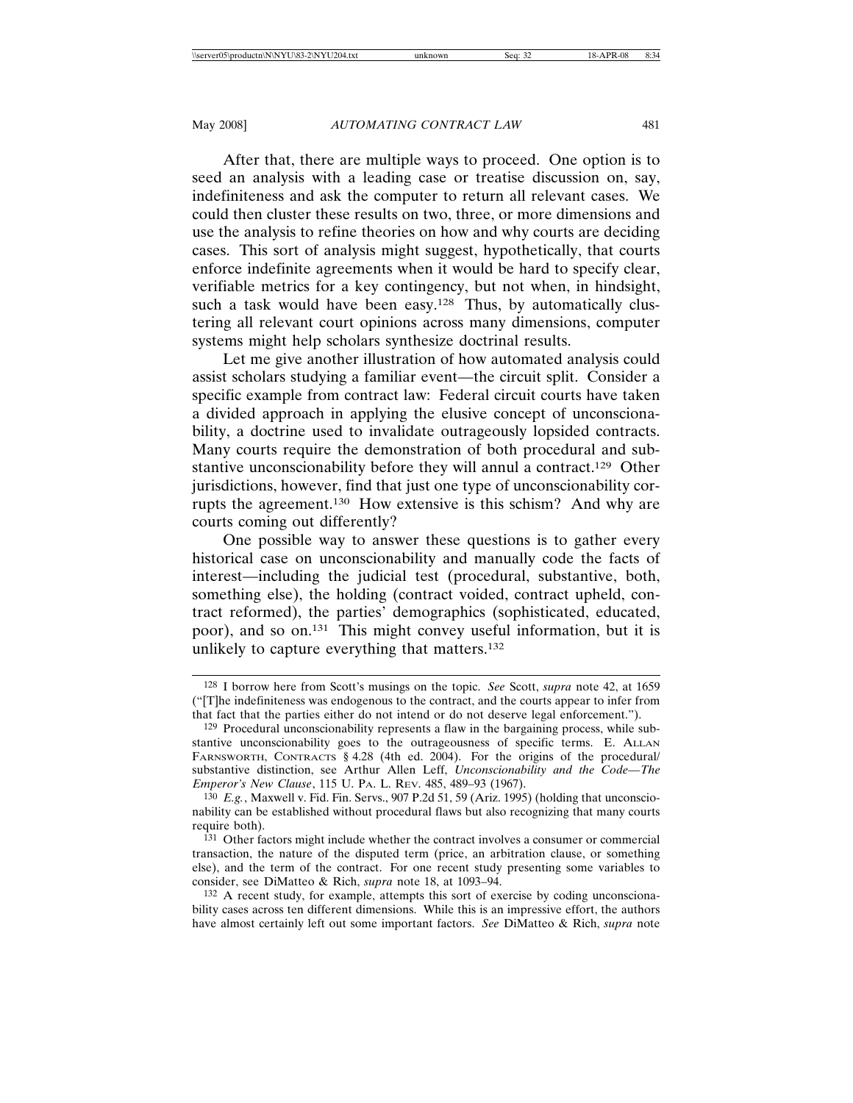After that, there are multiple ways to proceed. One option is to seed an analysis with a leading case or treatise discussion on, say, indefiniteness and ask the computer to return all relevant cases. We could then cluster these results on two, three, or more dimensions and use the analysis to refine theories on how and why courts are deciding cases. This sort of analysis might suggest, hypothetically, that courts enforce indefinite agreements when it would be hard to specify clear, verifiable metrics for a key contingency, but not when, in hindsight, such a task would have been easy.<sup>128</sup> Thus, by automatically clustering all relevant court opinions across many dimensions, computer systems might help scholars synthesize doctrinal results.

Let me give another illustration of how automated analysis could assist scholars studying a familiar event—the circuit split. Consider a specific example from contract law: Federal circuit courts have taken a divided approach in applying the elusive concept of unconscionability, a doctrine used to invalidate outrageously lopsided contracts. Many courts require the demonstration of both procedural and substantive unconscionability before they will annul a contract.129 Other jurisdictions, however, find that just one type of unconscionability corrupts the agreement.130 How extensive is this schism? And why are courts coming out differently?

One possible way to answer these questions is to gather every historical case on unconscionability and manually code the facts of interest—including the judicial test (procedural, substantive, both, something else), the holding (contract voided, contract upheld, contract reformed), the parties' demographics (sophisticated, educated, poor), and so on.131 This might convey useful information, but it is unlikely to capture everything that matters.132

<sup>128</sup> I borrow here from Scott's musings on the topic. *See* Scott, *supra* note 42, at 1659 ("[T]he indefiniteness was endogenous to the contract, and the courts appear to infer from that fact that the parties either do not intend or do not deserve legal enforcement.").

<sup>129</sup> Procedural unconscionability represents a flaw in the bargaining process, while substantive unconscionability goes to the outrageousness of specific terms. E. ALLAN FARNSWORTH, CONTRACTS § 4.28 (4th ed. 2004). For the origins of the procedural/ substantive distinction, see Arthur Allen Leff, *Unconscionability and the Code—The Emperor's New Clause*, 115 U. PA. L. REV. 485, 489–93 (1967).

<sup>130</sup> *E.g.*, Maxwell v. Fid. Fin. Servs., 907 P.2d 51, 59 (Ariz. 1995) (holding that unconscionability can be established without procedural flaws but also recognizing that many courts require both).

<sup>131</sup> Other factors might include whether the contract involves a consumer or commercial transaction, the nature of the disputed term (price, an arbitration clause, or something else), and the term of the contract. For one recent study presenting some variables to consider, see DiMatteo & Rich, *supra* note 18, at 1093–94.

<sup>132</sup> A recent study, for example, attempts this sort of exercise by coding unconscionability cases across ten different dimensions. While this is an impressive effort, the authors have almost certainly left out some important factors. *See* DiMatteo & Rich, *supra* note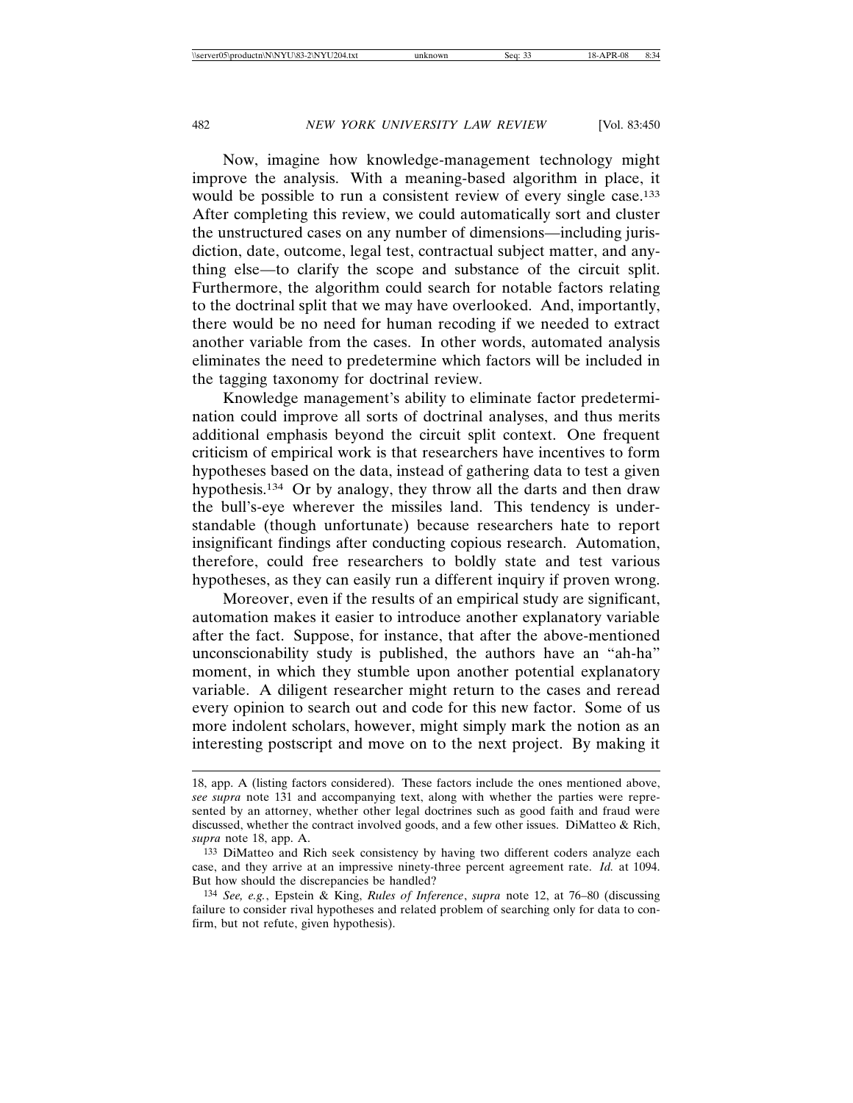Now, imagine how knowledge-management technology might improve the analysis. With a meaning-based algorithm in place, it would be possible to run a consistent review of every single case.<sup>133</sup> After completing this review, we could automatically sort and cluster the unstructured cases on any number of dimensions—including jurisdiction, date, outcome, legal test, contractual subject matter, and anything else—to clarify the scope and substance of the circuit split. Furthermore, the algorithm could search for notable factors relating to the doctrinal split that we may have overlooked. And, importantly, there would be no need for human recoding if we needed to extract another variable from the cases. In other words, automated analysis eliminates the need to predetermine which factors will be included in the tagging taxonomy for doctrinal review.

Knowledge management's ability to eliminate factor predetermination could improve all sorts of doctrinal analyses, and thus merits additional emphasis beyond the circuit split context. One frequent criticism of empirical work is that researchers have incentives to form hypotheses based on the data, instead of gathering data to test a given hypothesis.<sup>134</sup> Or by analogy, they throw all the darts and then draw the bull's-eye wherever the missiles land. This tendency is understandable (though unfortunate) because researchers hate to report insignificant findings after conducting copious research. Automation, therefore, could free researchers to boldly state and test various hypotheses, as they can easily run a different inquiry if proven wrong.

Moreover, even if the results of an empirical study are significant, automation makes it easier to introduce another explanatory variable after the fact. Suppose, for instance, that after the above-mentioned unconscionability study is published, the authors have an "ah-ha" moment, in which they stumble upon another potential explanatory variable. A diligent researcher might return to the cases and reread every opinion to search out and code for this new factor. Some of us more indolent scholars, however, might simply mark the notion as an interesting postscript and move on to the next project. By making it

<sup>18,</sup> app. A (listing factors considered). These factors include the ones mentioned above, *see supra* note 131 and accompanying text, along with whether the parties were represented by an attorney, whether other legal doctrines such as good faith and fraud were discussed, whether the contract involved goods, and a few other issues. DiMatteo & Rich, *supra* note 18, app. A.

<sup>133</sup> DiMatteo and Rich seek consistency by having two different coders analyze each case, and they arrive at an impressive ninety-three percent agreement rate. *Id.* at 1094. But how should the discrepancies be handled?

<sup>134</sup> *See, e.g.*, Epstein & King, *Rules of Inference*, *supra* note 12, at 76–80 (discussing failure to consider rival hypotheses and related problem of searching only for data to confirm, but not refute, given hypothesis).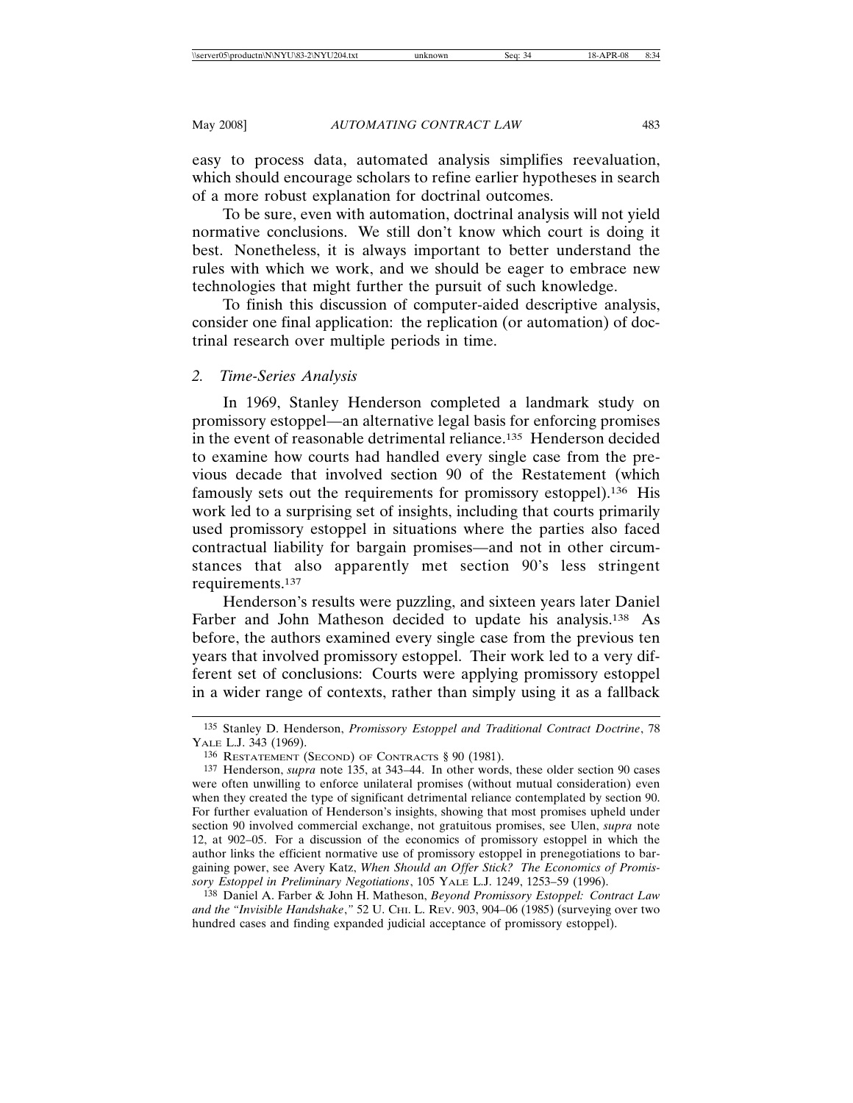easy to process data, automated analysis simplifies reevaluation, which should encourage scholars to refine earlier hypotheses in search of a more robust explanation for doctrinal outcomes.

To be sure, even with automation, doctrinal analysis will not yield normative conclusions. We still don't know which court is doing it best. Nonetheless, it is always important to better understand the rules with which we work, and we should be eager to embrace new technologies that might further the pursuit of such knowledge.

To finish this discussion of computer-aided descriptive analysis, consider one final application: the replication (or automation) of doctrinal research over multiple periods in time.

# *2. Time-Series Analysis*

In 1969, Stanley Henderson completed a landmark study on promissory estoppel—an alternative legal basis for enforcing promises in the event of reasonable detrimental reliance.135 Henderson decided to examine how courts had handled every single case from the previous decade that involved section 90 of the Restatement (which famously sets out the requirements for promissory estoppel).136 His work led to a surprising set of insights, including that courts primarily used promissory estoppel in situations where the parties also faced contractual liability for bargain promises—and not in other circumstances that also apparently met section 90's less stringent requirements.137

Henderson's results were puzzling, and sixteen years later Daniel Farber and John Matheson decided to update his analysis.<sup>138</sup> As before, the authors examined every single case from the previous ten years that involved promissory estoppel. Their work led to a very different set of conclusions: Courts were applying promissory estoppel in a wider range of contexts, rather than simply using it as a fallback

<sup>135</sup> Stanley D. Henderson, *Promissory Estoppel and Traditional Contract Doctrine*, 78 YALE L.J. 343 (1969).

<sup>136</sup> RESTATEMENT (SECOND) OF CONTRACTS § 90 (1981).

<sup>137</sup> Henderson, *supra* note 135, at 343–44. In other words, these older section 90 cases were often unwilling to enforce unilateral promises (without mutual consideration) even when they created the type of significant detrimental reliance contemplated by section 90. For further evaluation of Henderson's insights, showing that most promises upheld under section 90 involved commercial exchange, not gratuitous promises, see Ulen, *supra* note 12, at 902–05. For a discussion of the economics of promissory estoppel in which the author links the efficient normative use of promissory estoppel in prenegotiations to bargaining power, see Avery Katz, *When Should an Offer Stick? The Economics of Promissory Estoppel in Preliminary Negotiations*, 105 YALE L.J. 1249, 1253–59 (1996).

<sup>138</sup> Daniel A. Farber & John H. Matheson, *Beyond Promissory Estoppel: Contract Law and the "Invisible Handshake*,*"* 52 U. CHI. L. REV. 903, 904–06 (1985) (surveying over two hundred cases and finding expanded judicial acceptance of promissory estoppel).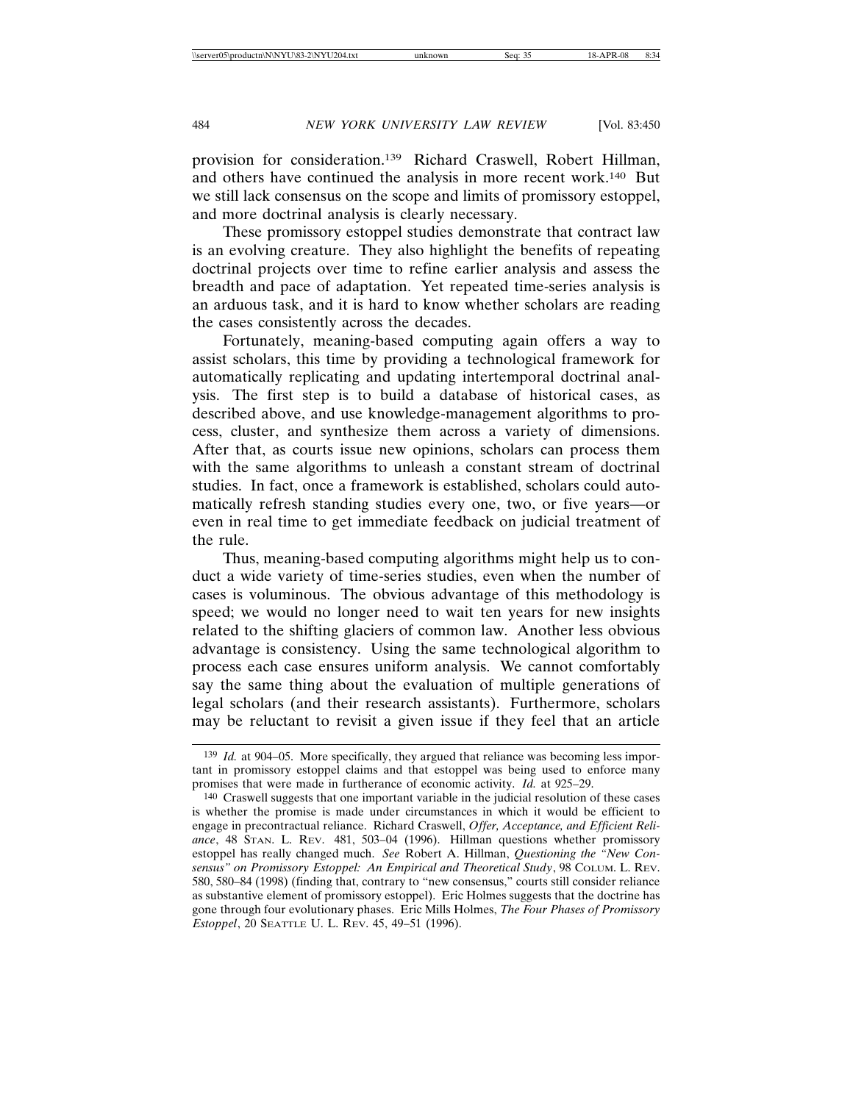provision for consideration.139 Richard Craswell, Robert Hillman, and others have continued the analysis in more recent work.140 But we still lack consensus on the scope and limits of promissory estoppel, and more doctrinal analysis is clearly necessary.

These promissory estoppel studies demonstrate that contract law is an evolving creature. They also highlight the benefits of repeating doctrinal projects over time to refine earlier analysis and assess the breadth and pace of adaptation. Yet repeated time-series analysis is an arduous task, and it is hard to know whether scholars are reading the cases consistently across the decades.

Fortunately, meaning-based computing again offers a way to assist scholars, this time by providing a technological framework for automatically replicating and updating intertemporal doctrinal analysis. The first step is to build a database of historical cases, as described above, and use knowledge-management algorithms to process, cluster, and synthesize them across a variety of dimensions. After that, as courts issue new opinions, scholars can process them with the same algorithms to unleash a constant stream of doctrinal studies. In fact, once a framework is established, scholars could automatically refresh standing studies every one, two, or five years—or even in real time to get immediate feedback on judicial treatment of the rule.

Thus, meaning-based computing algorithms might help us to conduct a wide variety of time-series studies, even when the number of cases is voluminous. The obvious advantage of this methodology is speed; we would no longer need to wait ten years for new insights related to the shifting glaciers of common law. Another less obvious advantage is consistency. Using the same technological algorithm to process each case ensures uniform analysis. We cannot comfortably say the same thing about the evaluation of multiple generations of legal scholars (and their research assistants). Furthermore, scholars may be reluctant to revisit a given issue if they feel that an article

<sup>139</sup> *Id.* at 904–05. More specifically, they argued that reliance was becoming less important in promissory estoppel claims and that estoppel was being used to enforce many promises that were made in furtherance of economic activity. *Id.* at 925–29.

<sup>140</sup> Craswell suggests that one important variable in the judicial resolution of these cases is whether the promise is made under circumstances in which it would be efficient to engage in precontractual reliance. Richard Craswell, *Offer, Acceptance, and Efficient Reliance*, 48 STAN. L. REV. 481, 503–04 (1996). Hillman questions whether promissory estoppel has really changed much. *See* Robert A. Hillman, *Questioning the "New Consensus" on Promissory Estoppel: An Empirical and Theoretical Study*, 98 COLUM. L. REV. 580, 580–84 (1998) (finding that, contrary to "new consensus," courts still consider reliance as substantive element of promissory estoppel). Eric Holmes suggests that the doctrine has gone through four evolutionary phases. Eric Mills Holmes, *The Four Phases of Promissory Estoppel*, 20 SEATTLE U. L. REV. 45, 49–51 (1996).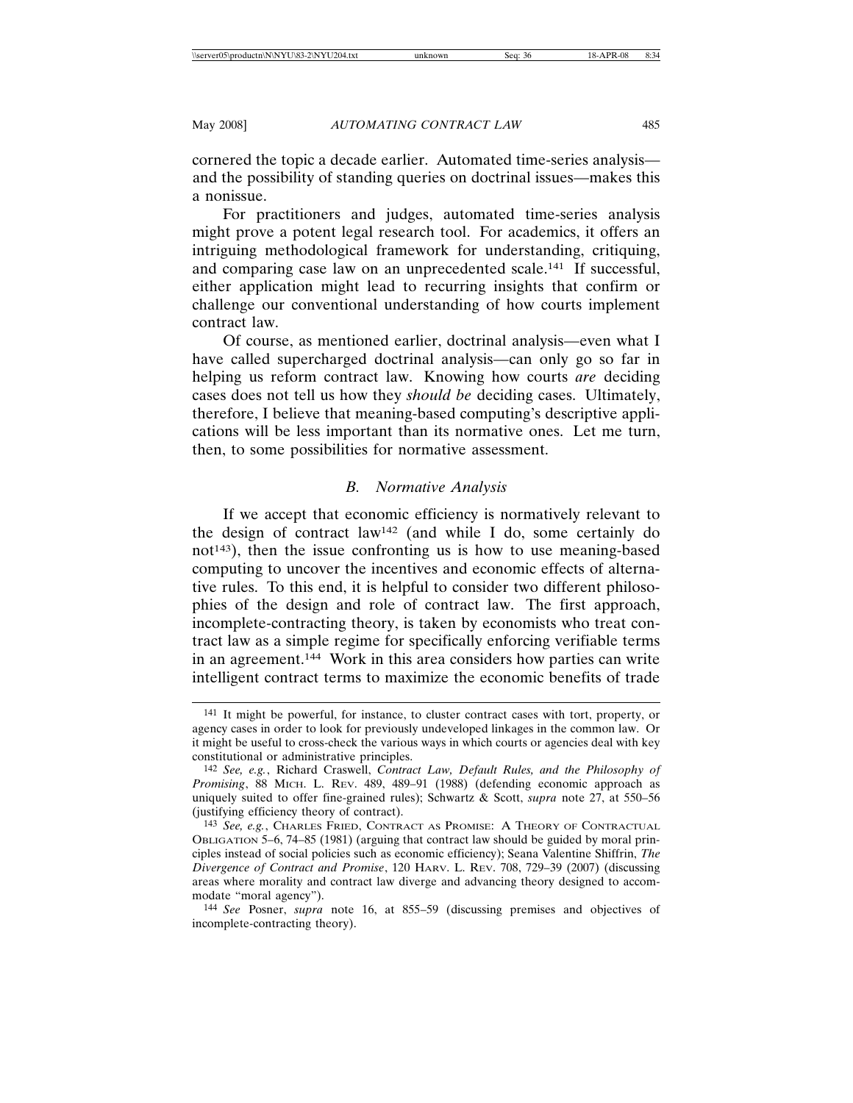cornered the topic a decade earlier. Automated time-series analysis and the possibility of standing queries on doctrinal issues—makes this a nonissue.

For practitioners and judges, automated time-series analysis might prove a potent legal research tool. For academics, it offers an intriguing methodological framework for understanding, critiquing, and comparing case law on an unprecedented scale.141 If successful, either application might lead to recurring insights that confirm or challenge our conventional understanding of how courts implement contract law.

Of course, as mentioned earlier, doctrinal analysis—even what I have called supercharged doctrinal analysis—can only go so far in helping us reform contract law. Knowing how courts *are* deciding cases does not tell us how they *should be* deciding cases. Ultimately, therefore, I believe that meaning-based computing's descriptive applications will be less important than its normative ones. Let me turn, then, to some possibilities for normative assessment.

### *B. Normative Analysis*

If we accept that economic efficiency is normatively relevant to the design of contract law142 (and while I do, some certainly do  $not<sup>143</sup>$ , then the issue confronting us is how to use meaning-based computing to uncover the incentives and economic effects of alternative rules. To this end, it is helpful to consider two different philosophies of the design and role of contract law. The first approach, incomplete-contracting theory, is taken by economists who treat contract law as a simple regime for specifically enforcing verifiable terms in an agreement.144 Work in this area considers how parties can write intelligent contract terms to maximize the economic benefits of trade

<sup>141</sup> It might be powerful, for instance, to cluster contract cases with tort, property, or agency cases in order to look for previously undeveloped linkages in the common law. Or it might be useful to cross-check the various ways in which courts or agencies deal with key constitutional or administrative principles.

<sup>142</sup> *See, e.g.*, Richard Craswell, *Contract Law, Default Rules, and the Philosophy of Promising*, 88 MICH. L. REV. 489, 489–91 (1988) (defending economic approach as uniquely suited to offer fine-grained rules); Schwartz & Scott, *supra* note 27, at 550–56 (justifying efficiency theory of contract).

<sup>143</sup> *See, e.g.*, CHARLES FRIED, CONTRACT AS PROMISE: A THEORY OF CONTRACTUAL OBLIGATION 5–6, 74–85 (1981) (arguing that contract law should be guided by moral principles instead of social policies such as economic efficiency); Seana Valentine Shiffrin, *The Divergence of Contract and Promise*, 120 HARV. L. REV. 708, 729–39 (2007) (discussing areas where morality and contract law diverge and advancing theory designed to accommodate "moral agency").

<sup>144</sup> *See* Posner, *supra* note 16, at 855–59 (discussing premises and objectives of incomplete-contracting theory).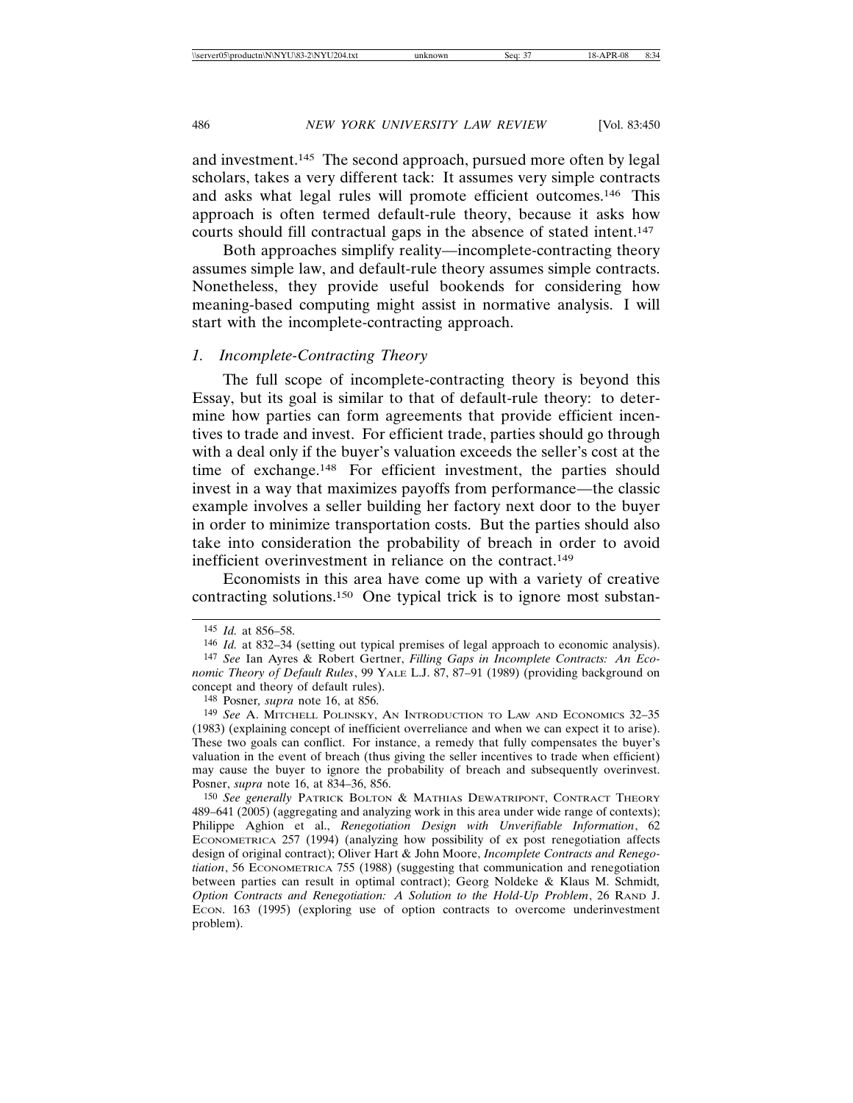and investment.145 The second approach, pursued more often by legal scholars, takes a very different tack: It assumes very simple contracts and asks what legal rules will promote efficient outcomes.146 This approach is often termed default-rule theory, because it asks how courts should fill contractual gaps in the absence of stated intent.147

Both approaches simplify reality—incomplete-contracting theory assumes simple law, and default-rule theory assumes simple contracts. Nonetheless, they provide useful bookends for considering how meaning-based computing might assist in normative analysis. I will start with the incomplete-contracting approach.

### *1. Incomplete-Contracting Theory*

The full scope of incomplete-contracting theory is beyond this Essay, but its goal is similar to that of default-rule theory: to determine how parties can form agreements that provide efficient incentives to trade and invest. For efficient trade, parties should go through with a deal only if the buyer's valuation exceeds the seller's cost at the time of exchange.148 For efficient investment, the parties should invest in a way that maximizes payoffs from performance—the classic example involves a seller building her factory next door to the buyer in order to minimize transportation costs. But the parties should also take into consideration the probability of breach in order to avoid inefficient overinvestment in reliance on the contract.<sup>149</sup>

Economists in this area have come up with a variety of creative contracting solutions.150 One typical trick is to ignore most substan-

150 *See generally* PATRICK BOLTON & MATHIAS DEWATRIPONT, CONTRACT THEORY 489–641 (2005) (aggregating and analyzing work in this area under wide range of contexts); Philippe Aghion et al., *Renegotiation Design with Unverifiable Information*, 62 ECONOMETRICA 257 (1994) (analyzing how possibility of ex post renegotiation affects design of original contract); Oliver Hart & John Moore, *Incomplete Contracts and Renegotiation*, 56 ECONOMETRICA 755 (1988) (suggesting that communication and renegotiation between parties can result in optimal contract); Georg Noldeke & Klaus M. Schmidt*, Option Contracts and Renegotiation: A Solution to the Hold-Up Problem*, 26 RAND J. ECON. 163 (1995) (exploring use of option contracts to overcome underinvestment problem).

<sup>145</sup> *Id.* at 856–58.

<sup>146</sup> *Id.* at 832–34 (setting out typical premises of legal approach to economic analysis). 147 *See* Ian Ayres & Robert Gertner, *Filling Gaps in Incomplete Contracts: An Economic Theory of Default Rules*, 99 YALE L.J. 87, 87–91 (1989) (providing background on concept and theory of default rules).

<sup>148</sup> Posner*, supra* note 16, at 856.

<sup>149</sup> *See* A. MITCHELL POLINSKY, AN INTRODUCTION TO LAW AND ECONOMICS 32–35 (1983) (explaining concept of inefficient overreliance and when we can expect it to arise). These two goals can conflict. For instance, a remedy that fully compensates the buyer's valuation in the event of breach (thus giving the seller incentives to trade when efficient) may cause the buyer to ignore the probability of breach and subsequently overinvest. Posner, *supra* note 16, at 834–36, 856.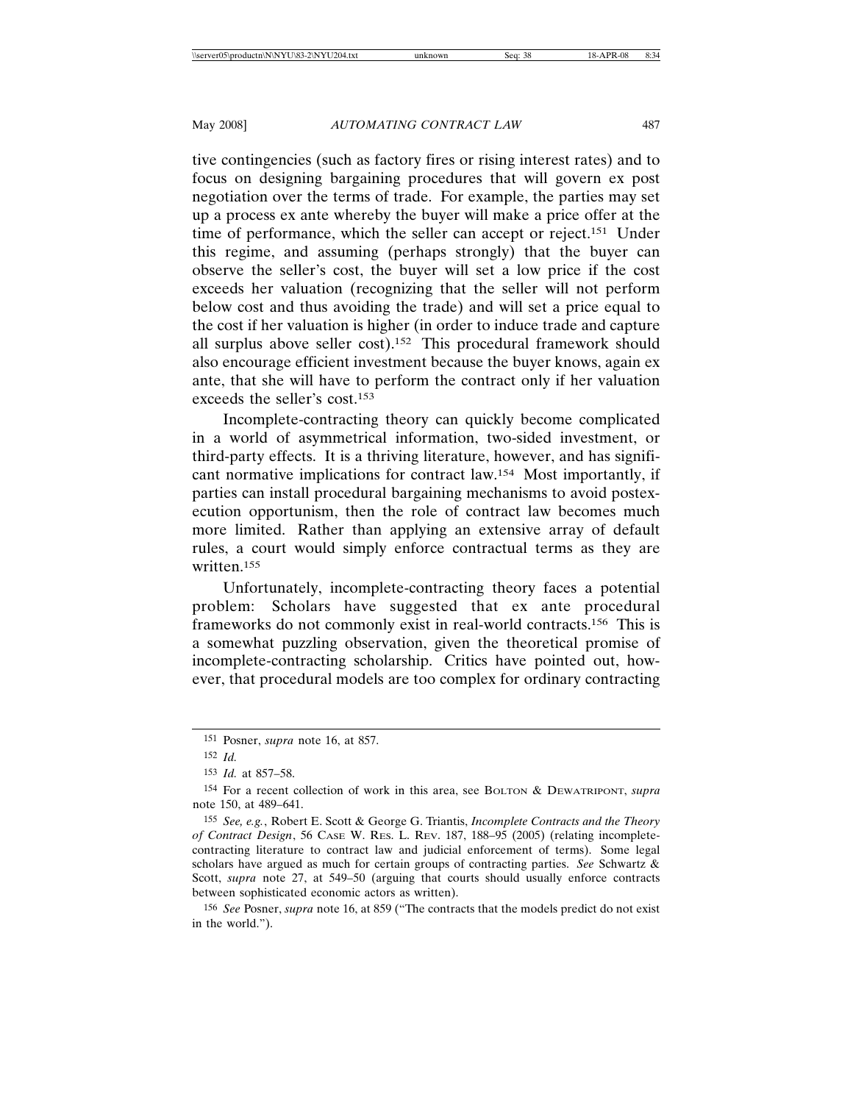tive contingencies (such as factory fires or rising interest rates) and to focus on designing bargaining procedures that will govern ex post negotiation over the terms of trade. For example, the parties may set up a process ex ante whereby the buyer will make a price offer at the time of performance, which the seller can accept or reject.151 Under this regime, and assuming (perhaps strongly) that the buyer can observe the seller's cost, the buyer will set a low price if the cost exceeds her valuation (recognizing that the seller will not perform below cost and thus avoiding the trade) and will set a price equal to the cost if her valuation is higher (in order to induce trade and capture all surplus above seller cost).152 This procedural framework should also encourage efficient investment because the buyer knows, again ex ante, that she will have to perform the contract only if her valuation exceeds the seller's cost.153

Incomplete-contracting theory can quickly become complicated in a world of asymmetrical information, two-sided investment, or third-party effects. It is a thriving literature, however, and has significant normative implications for contract law.154 Most importantly, if parties can install procedural bargaining mechanisms to avoid postexecution opportunism, then the role of contract law becomes much more limited. Rather than applying an extensive array of default rules, a court would simply enforce contractual terms as they are written.155

Unfortunately, incomplete-contracting theory faces a potential problem: Scholars have suggested that ex ante procedural frameworks do not commonly exist in real-world contracts.156 This is a somewhat puzzling observation, given the theoretical promise of incomplete-contracting scholarship. Critics have pointed out, however, that procedural models are too complex for ordinary contracting

156 *See* Posner, *supra* note 16, at 859 ("The contracts that the models predict do not exist in the world.").

<sup>151</sup> Posner, *supra* note 16, at 857.

<sup>152</sup> *Id.*

<sup>153</sup> *Id.* at 857–58.

<sup>154</sup> For a recent collection of work in this area, see BOLTON & DEWATRIPONT, *supra* note 150, at 489–641.

<sup>155</sup> *See, e.g.*, Robert E. Scott & George G. Triantis, *Incomplete Contracts and the Theory of Contract Design*, 56 CASE W. RES. L. REV. 187, 188–95 (2005) (relating incompletecontracting literature to contract law and judicial enforcement of terms). Some legal scholars have argued as much for certain groups of contracting parties. *See* Schwartz & Scott, *supra* note 27, at 549–50 (arguing that courts should usually enforce contracts between sophisticated economic actors as written).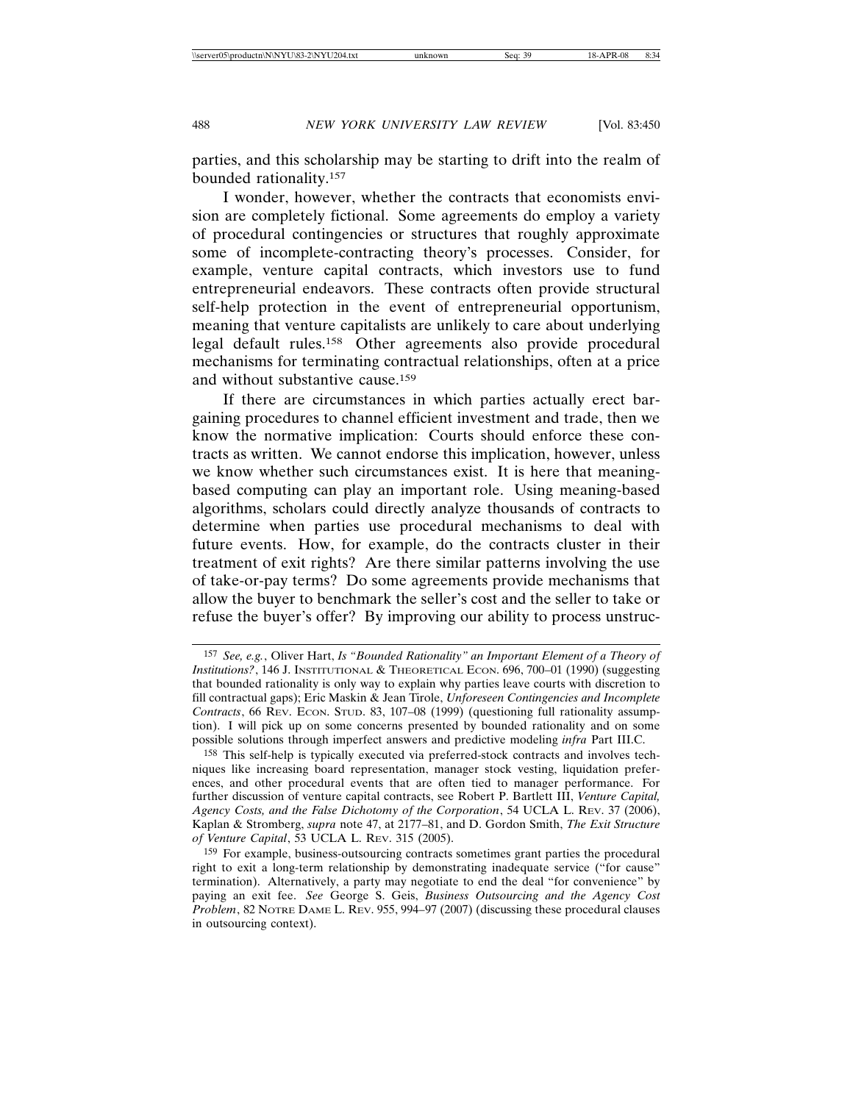parties, and this scholarship may be starting to drift into the realm of bounded rationality.157

I wonder, however, whether the contracts that economists envision are completely fictional. Some agreements do employ a variety of procedural contingencies or structures that roughly approximate some of incomplete-contracting theory's processes. Consider, for example, venture capital contracts, which investors use to fund entrepreneurial endeavors. These contracts often provide structural self-help protection in the event of entrepreneurial opportunism, meaning that venture capitalists are unlikely to care about underlying legal default rules.158 Other agreements also provide procedural mechanisms for terminating contractual relationships, often at a price and without substantive cause.159

If there are circumstances in which parties actually erect bargaining procedures to channel efficient investment and trade, then we know the normative implication: Courts should enforce these contracts as written. We cannot endorse this implication, however, unless we know whether such circumstances exist. It is here that meaningbased computing can play an important role. Using meaning-based algorithms, scholars could directly analyze thousands of contracts to determine when parties use procedural mechanisms to deal with future events. How, for example, do the contracts cluster in their treatment of exit rights? Are there similar patterns involving the use of take-or-pay terms? Do some agreements provide mechanisms that allow the buyer to benchmark the seller's cost and the seller to take or refuse the buyer's offer? By improving our ability to process unstruc-

<sup>157</sup> *See, e.g.*, Oliver Hart, *Is "Bounded Rationality" an Important Element of a Theory of Institutions?*, 146 J. INSTITUTIONAL & THEORETICAL ECON. 696, 700–01 (1990) (suggesting that bounded rationality is only way to explain why parties leave courts with discretion to fill contractual gaps); Eric Maskin & Jean Tirole, *Unforeseen Contingencies and Incomplete* Contracts, 66 REV. ECON. STUD. 83, 107-08 (1999) (questioning full rationality assumption). I will pick up on some concerns presented by bounded rationality and on some possible solutions through imperfect answers and predictive modeling *infra* Part III.C.

<sup>158</sup> This self-help is typically executed via preferred-stock contracts and involves techniques like increasing board representation, manager stock vesting, liquidation preferences, and other procedural events that are often tied to manager performance. For further discussion of venture capital contracts, see Robert P. Bartlett III, *Venture Capital, Agency Costs, and the False Dichotomy of the Corporation*, 54 UCLA L. REV. 37 (2006), Kaplan & Stromberg, *supra* note 47, at 2177–81, and D. Gordon Smith, *The Exit Structure of Venture Capital*, 53 UCLA L. REV. 315 (2005).

<sup>159</sup> For example, business-outsourcing contracts sometimes grant parties the procedural right to exit a long-term relationship by demonstrating inadequate service ("for cause" termination). Alternatively, a party may negotiate to end the deal "for convenience" by paying an exit fee. *See* George S. Geis, *Business Outsourcing and the Agency Cost Problem*, 82 NOTRE DAME L. REV. 955, 994–97 (2007) (discussing these procedural clauses in outsourcing context).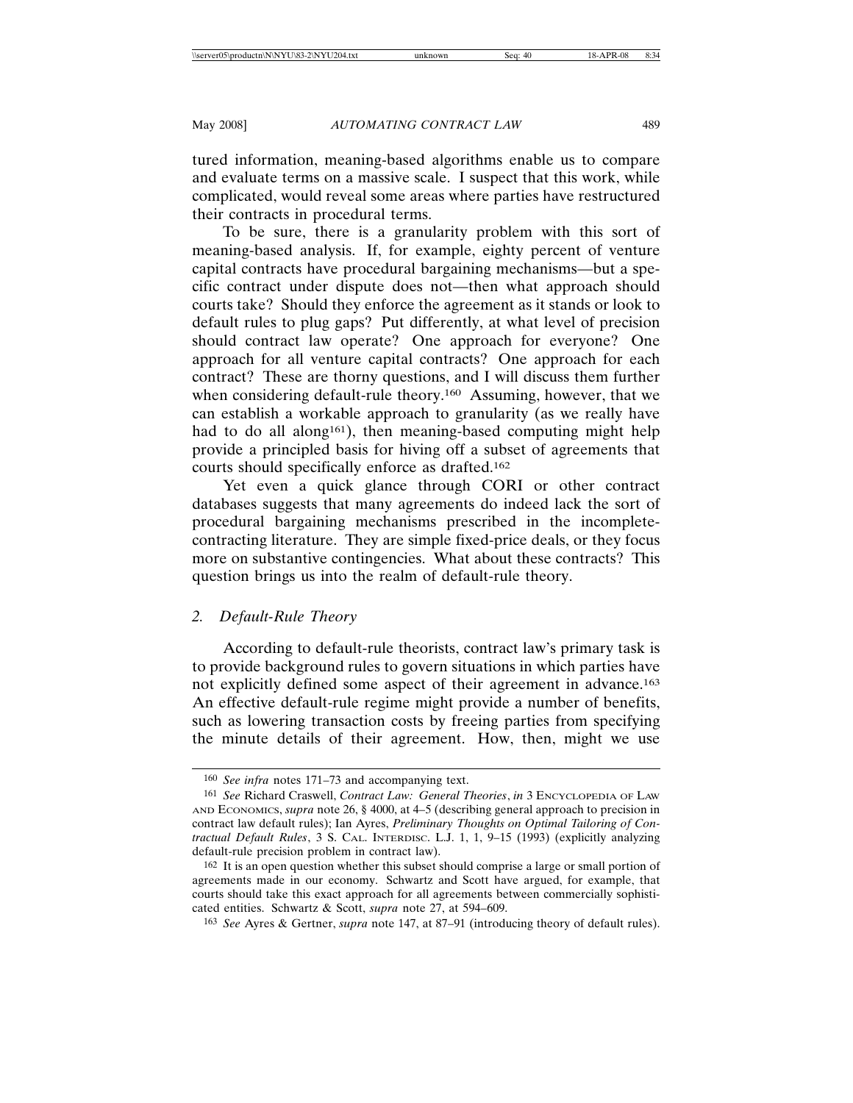tured information, meaning-based algorithms enable us to compare and evaluate terms on a massive scale. I suspect that this work, while complicated, would reveal some areas where parties have restructured their contracts in procedural terms.

To be sure, there is a granularity problem with this sort of meaning-based analysis. If, for example, eighty percent of venture capital contracts have procedural bargaining mechanisms—but a specific contract under dispute does not—then what approach should courts take? Should they enforce the agreement as it stands or look to default rules to plug gaps? Put differently, at what level of precision should contract law operate? One approach for everyone? One approach for all venture capital contracts? One approach for each contract? These are thorny questions, and I will discuss them further when considering default-rule theory.<sup>160</sup> Assuming, however, that we can establish a workable approach to granularity (as we really have had to do all along<sup>161</sup>), then meaning-based computing might help provide a principled basis for hiving off a subset of agreements that courts should specifically enforce as drafted.162

Yet even a quick glance through CORI or other contract databases suggests that many agreements do indeed lack the sort of procedural bargaining mechanisms prescribed in the incompletecontracting literature. They are simple fixed-price deals, or they focus more on substantive contingencies. What about these contracts? This question brings us into the realm of default-rule theory.

### *2. Default-Rule Theory*

According to default-rule theorists, contract law's primary task is to provide background rules to govern situations in which parties have not explicitly defined some aspect of their agreement in advance.163 An effective default-rule regime might provide a number of benefits, such as lowering transaction costs by freeing parties from specifying the minute details of their agreement. How, then, might we use

<sup>160</sup> *See infra* notes 171–73 and accompanying text.

<sup>161</sup> *See* Richard Craswell, *Contract Law: General Theories*, *in* 3 ENCYCLOPEDIA OF LAW AND ECONOMICS, *supra* note 26, § 4000, at 4–5 (describing general approach to precision in contract law default rules); Ian Ayres, *Preliminary Thoughts on Optimal Tailoring of Contractual Default Rules*, 3 S. CAL. INTERDISC. L.J. 1, 1, 9–15 (1993) (explicitly analyzing default-rule precision problem in contract law).

<sup>162</sup> It is an open question whether this subset should comprise a large or small portion of agreements made in our economy. Schwartz and Scott have argued, for example, that courts should take this exact approach for all agreements between commercially sophisticated entities. Schwartz & Scott, *supra* note 27, at 594–609.

<sup>163</sup> *See* Ayres & Gertner, *supra* note 147, at 87–91 (introducing theory of default rules).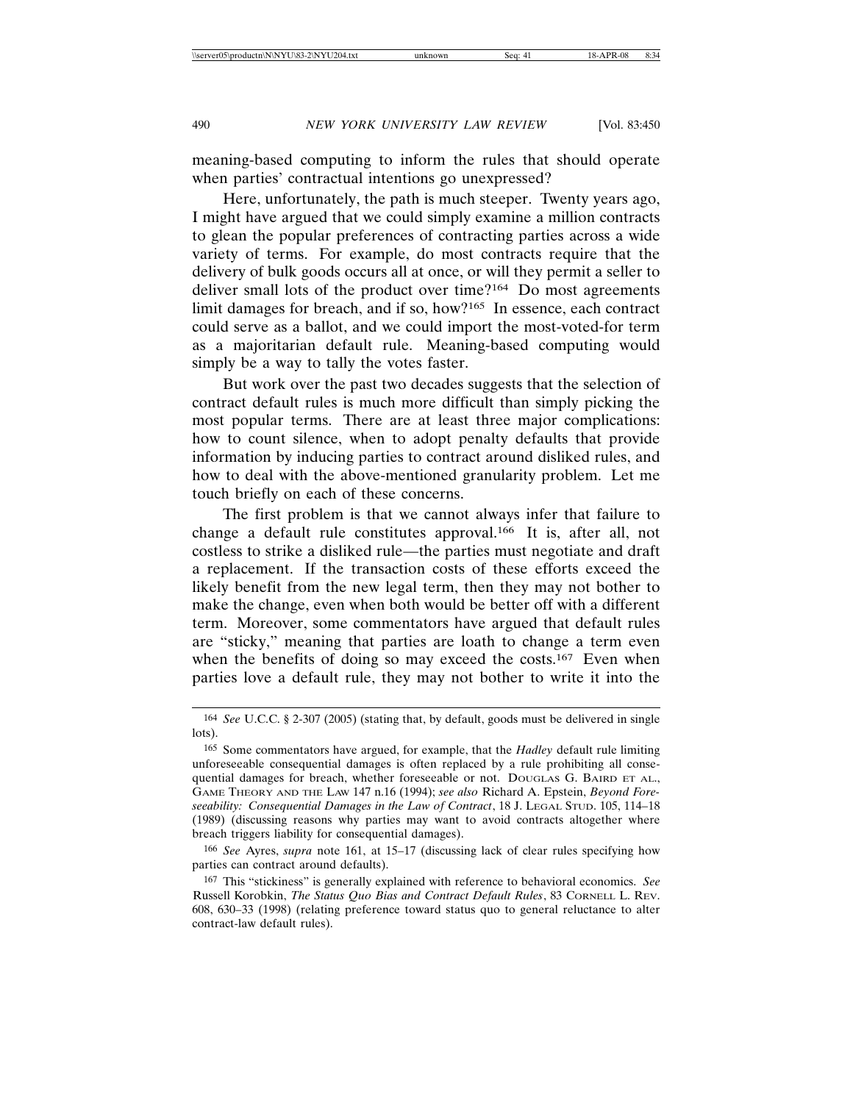meaning-based computing to inform the rules that should operate when parties' contractual intentions go unexpressed?

Here, unfortunately, the path is much steeper. Twenty years ago, I might have argued that we could simply examine a million contracts to glean the popular preferences of contracting parties across a wide variety of terms. For example, do most contracts require that the delivery of bulk goods occurs all at once, or will they permit a seller to deliver small lots of the product over time?164 Do most agreements limit damages for breach, and if so, how?165 In essence, each contract could serve as a ballot, and we could import the most-voted-for term as a majoritarian default rule. Meaning-based computing would simply be a way to tally the votes faster.

But work over the past two decades suggests that the selection of contract default rules is much more difficult than simply picking the most popular terms. There are at least three major complications: how to count silence, when to adopt penalty defaults that provide information by inducing parties to contract around disliked rules, and how to deal with the above-mentioned granularity problem. Let me touch briefly on each of these concerns.

The first problem is that we cannot always infer that failure to change a default rule constitutes approval.166 It is, after all, not costless to strike a disliked rule—the parties must negotiate and draft a replacement. If the transaction costs of these efforts exceed the likely benefit from the new legal term, then they may not bother to make the change, even when both would be better off with a different term. Moreover, some commentators have argued that default rules are "sticky," meaning that parties are loath to change a term even when the benefits of doing so may exceed the costs.<sup>167</sup> Even when parties love a default rule, they may not bother to write it into the

<sup>164</sup> *See* U.C.C. § 2-307 (2005) (stating that, by default, goods must be delivered in single lots).

<sup>165</sup> Some commentators have argued, for example, that the *Hadley* default rule limiting unforeseeable consequential damages is often replaced by a rule prohibiting all consequential damages for breach, whether foreseeable or not. DOUGLAS G. BAIRD ET AL., GAME THEORY AND THE LAW 147 n.16 (1994); *see also* Richard A. Epstein, *Beyond Foreseeability: Consequential Damages in the Law of Contract*, 18 J. LEGAL STUD. 105, 114–18 (1989) (discussing reasons why parties may want to avoid contracts altogether where breach triggers liability for consequential damages).

<sup>166</sup> *See* Ayres, *supra* note 161, at 15–17 (discussing lack of clear rules specifying how parties can contract around defaults).

<sup>167</sup> This "stickiness" is generally explained with reference to behavioral economics. *See* Russell Korobkin, *The Status Quo Bias and Contract Default Rules*, 83 CORNELL L. REV. 608, 630–33 (1998) (relating preference toward status quo to general reluctance to alter contract-law default rules).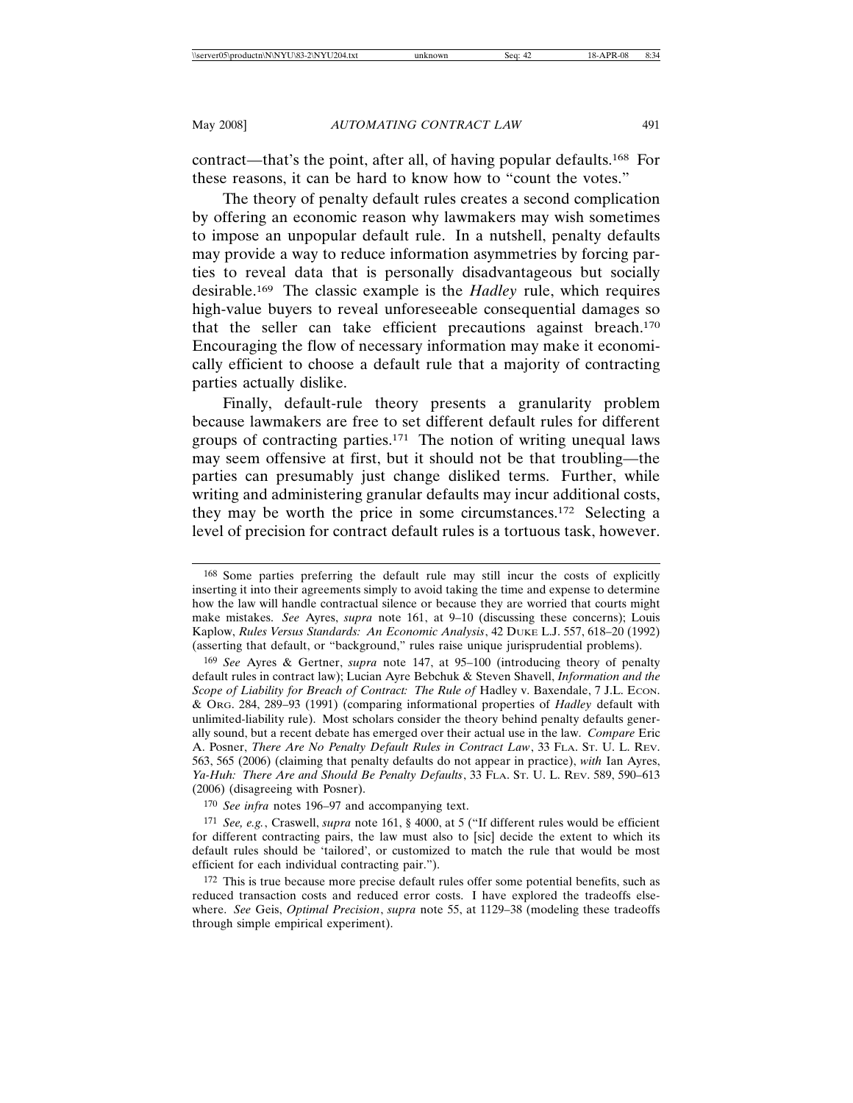contract—that's the point, after all, of having popular defaults.168 For these reasons, it can be hard to know how to "count the votes."

The theory of penalty default rules creates a second complication by offering an economic reason why lawmakers may wish sometimes to impose an unpopular default rule. In a nutshell, penalty defaults may provide a way to reduce information asymmetries by forcing parties to reveal data that is personally disadvantageous but socially desirable.169 The classic example is the *Hadley* rule, which requires high-value buyers to reveal unforeseeable consequential damages so that the seller can take efficient precautions against breach.170 Encouraging the flow of necessary information may make it economically efficient to choose a default rule that a majority of contracting parties actually dislike.

Finally, default-rule theory presents a granularity problem because lawmakers are free to set different default rules for different groups of contracting parties.171 The notion of writing unequal laws may seem offensive at first, but it should not be that troubling—the parties can presumably just change disliked terms. Further, while writing and administering granular defaults may incur additional costs, they may be worth the price in some circumstances.172 Selecting a level of precision for contract default rules is a tortuous task, however.

170 *See infra* notes 196–97 and accompanying text.

<sup>168</sup> Some parties preferring the default rule may still incur the costs of explicitly inserting it into their agreements simply to avoid taking the time and expense to determine how the law will handle contractual silence or because they are worried that courts might make mistakes. *See* Ayres, *supra* note 161, at 9–10 (discussing these concerns); Louis Kaplow, *Rules Versus Standards: An Economic Analysis*, 42 DUKE L.J. 557, 618–20 (1992) (asserting that default, or "background," rules raise unique jurisprudential problems).

<sup>169</sup> *See* Ayres & Gertner, *supra* note 147, at 95–100 (introducing theory of penalty default rules in contract law); Lucian Ayre Bebchuk & Steven Shavell, *Information and the Scope of Liability for Breach of Contract: The Rule of Hadley v. Baxendale, 7 J.L. Econ.* & ORG. 284, 289–93 (1991) (comparing informational properties of *Hadley* default with unlimited-liability rule). Most scholars consider the theory behind penalty defaults generally sound, but a recent debate has emerged over their actual use in the law. *Compare* Eric A. Posner, *There Are No Penalty Default Rules in Contract Law*, 33 FLA. ST. U. L. REV. 563, 565 (2006) (claiming that penalty defaults do not appear in practice), *with* Ian Ayres, *Ya-Huh: There Are and Should Be Penalty Defaults*, 33 FLA. ST. U. L. REV. 589, 590–613 (2006) (disagreeing with Posner).

<sup>171</sup> *See, e.g.*, Craswell, *supra* note 161, § 4000, at 5 ("If different rules would be efficient for different contracting pairs, the law must also to [sic] decide the extent to which its default rules should be 'tailored', or customized to match the rule that would be most efficient for each individual contracting pair.").

<sup>172</sup> This is true because more precise default rules offer some potential benefits, such as reduced transaction costs and reduced error costs. I have explored the tradeoffs elsewhere. *See* Geis, *Optimal Precision*, *supra* note 55, at 1129–38 (modeling these tradeoffs through simple empirical experiment).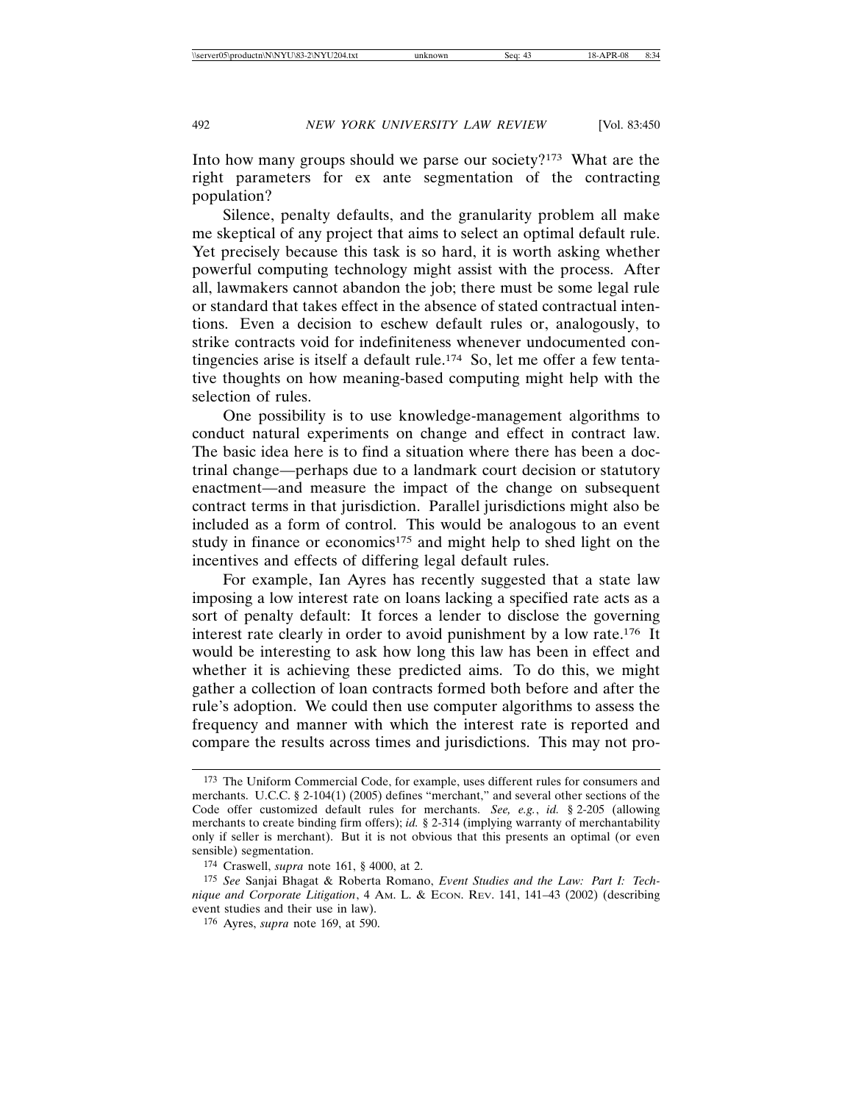Into how many groups should we parse our society?173 What are the right parameters for ex ante segmentation of the contracting population?

Silence, penalty defaults, and the granularity problem all make me skeptical of any project that aims to select an optimal default rule. Yet precisely because this task is so hard, it is worth asking whether powerful computing technology might assist with the process. After all, lawmakers cannot abandon the job; there must be some legal rule or standard that takes effect in the absence of stated contractual intentions. Even a decision to eschew default rules or, analogously, to strike contracts void for indefiniteness whenever undocumented contingencies arise is itself a default rule.<sup>174</sup> So, let me offer a few tentative thoughts on how meaning-based computing might help with the selection of rules.

One possibility is to use knowledge-management algorithms to conduct natural experiments on change and effect in contract law. The basic idea here is to find a situation where there has been a doctrinal change—perhaps due to a landmark court decision or statutory enactment—and measure the impact of the change on subsequent contract terms in that jurisdiction. Parallel jurisdictions might also be included as a form of control. This would be analogous to an event study in finance or economics<sup>175</sup> and might help to shed light on the incentives and effects of differing legal default rules.

For example, Ian Ayres has recently suggested that a state law imposing a low interest rate on loans lacking a specified rate acts as a sort of penalty default: It forces a lender to disclose the governing interest rate clearly in order to avoid punishment by a low rate.176 It would be interesting to ask how long this law has been in effect and whether it is achieving these predicted aims. To do this, we might gather a collection of loan contracts formed both before and after the rule's adoption. We could then use computer algorithms to assess the frequency and manner with which the interest rate is reported and compare the results across times and jurisdictions. This may not pro-

<sup>173</sup> The Uniform Commercial Code, for example, uses different rules for consumers and merchants. U.C.C. § 2-104(1) (2005) defines "merchant," and several other sections of the Code offer customized default rules for merchants. *See, e.g.*, *id.* § 2-205 (allowing merchants to create binding firm offers); *id.* § 2-314 (implying warranty of merchantability only if seller is merchant). But it is not obvious that this presents an optimal (or even sensible) segmentation.

<sup>174</sup> Craswell, *supra* note 161, § 4000, at 2.

<sup>175</sup> *See* Sanjai Bhagat & Roberta Romano, *Event Studies and the Law: Part I: Technique and Corporate Litigation*, 4 AM. L. & ECON. REV. 141, 141–43 (2002) (describing event studies and their use in law).

<sup>176</sup> Ayres, *supra* note 169, at 590.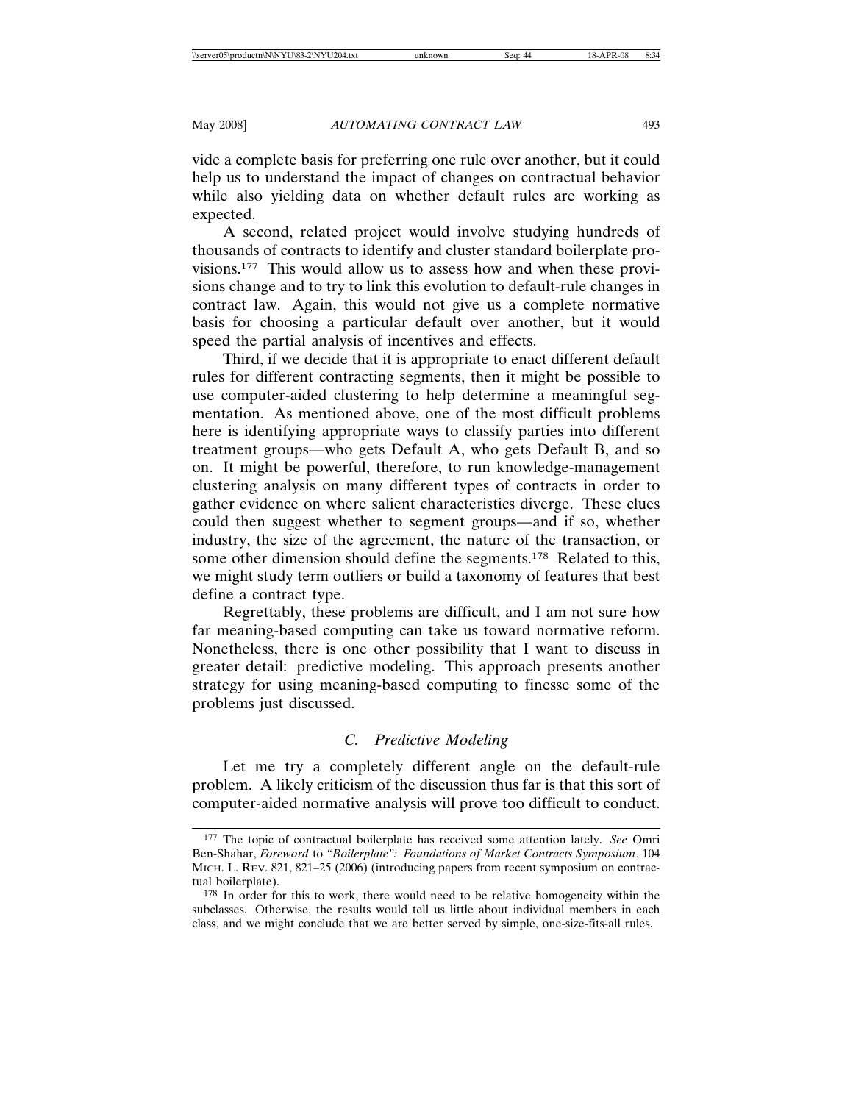vide a complete basis for preferring one rule over another, but it could help us to understand the impact of changes on contractual behavior while also yielding data on whether default rules are working as expected.

A second, related project would involve studying hundreds of thousands of contracts to identify and cluster standard boilerplate provisions.177 This would allow us to assess how and when these provisions change and to try to link this evolution to default-rule changes in contract law. Again, this would not give us a complete normative basis for choosing a particular default over another, but it would speed the partial analysis of incentives and effects.

Third, if we decide that it is appropriate to enact different default rules for different contracting segments, then it might be possible to use computer-aided clustering to help determine a meaningful segmentation. As mentioned above, one of the most difficult problems here is identifying appropriate ways to classify parties into different treatment groups—who gets Default A, who gets Default B, and so on. It might be powerful, therefore, to run knowledge-management clustering analysis on many different types of contracts in order to gather evidence on where salient characteristics diverge. These clues could then suggest whether to segment groups—and if so, whether industry, the size of the agreement, the nature of the transaction, or some other dimension should define the segments.<sup>178</sup> Related to this, we might study term outliers or build a taxonomy of features that best define a contract type.

Regrettably, these problems are difficult, and I am not sure how far meaning-based computing can take us toward normative reform. Nonetheless, there is one other possibility that I want to discuss in greater detail: predictive modeling. This approach presents another strategy for using meaning-based computing to finesse some of the problems just discussed.

# *C. Predictive Modeling*

Let me try a completely different angle on the default-rule problem. A likely criticism of the discussion thus far is that this sort of computer-aided normative analysis will prove too difficult to conduct.

<sup>177</sup> The topic of contractual boilerplate has received some attention lately. *See* Omri Ben-Shahar, *Foreword* to *"Boilerplate": Foundations of Market Contracts Symposium*, 104 MICH. L. REV. 821, 821–25 (2006) (introducing papers from recent symposium on contractual boilerplate).

<sup>178</sup> In order for this to work, there would need to be relative homogeneity within the subclasses. Otherwise, the results would tell us little about individual members in each class, and we might conclude that we are better served by simple, one-size-fits-all rules.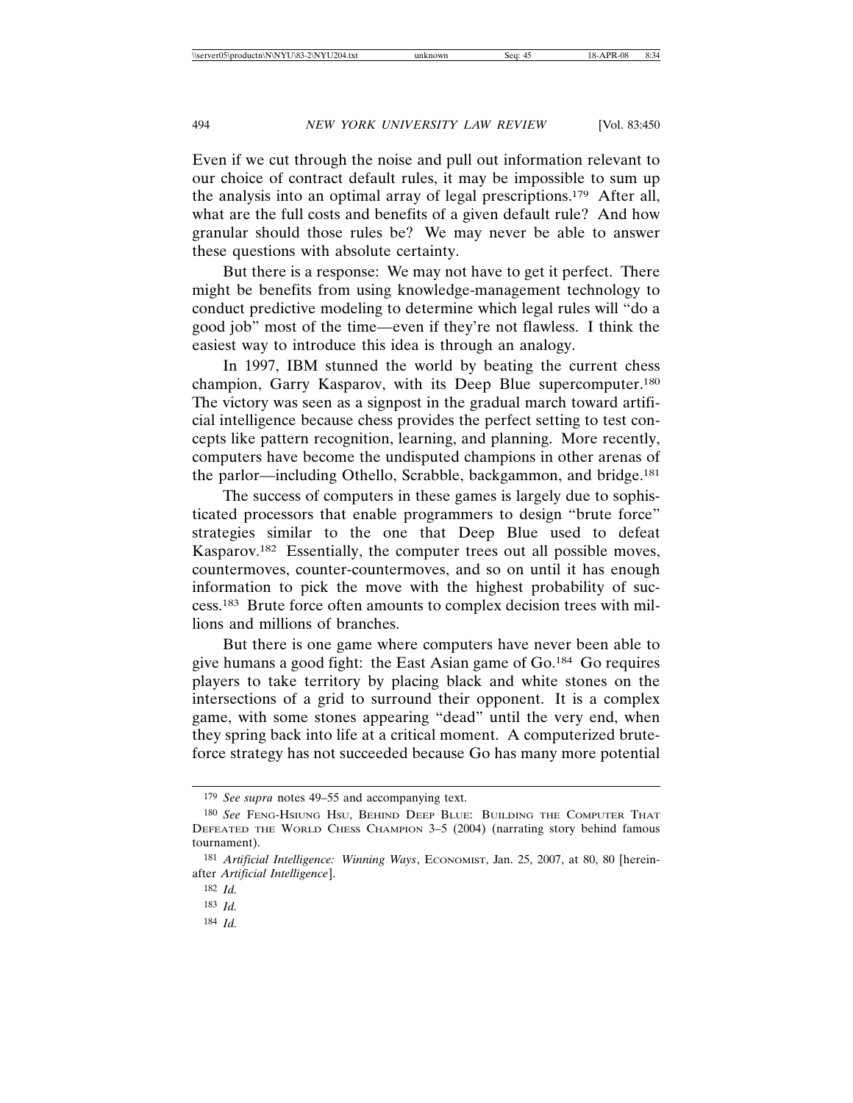Even if we cut through the noise and pull out information relevant to our choice of contract default rules, it may be impossible to sum up the analysis into an optimal array of legal prescriptions.179 After all, what are the full costs and benefits of a given default rule? And how granular should those rules be? We may never be able to answer these questions with absolute certainty.

But there is a response: We may not have to get it perfect. There might be benefits from using knowledge-management technology to conduct predictive modeling to determine which legal rules will "do a good job" most of the time—even if they're not flawless. I think the easiest way to introduce this idea is through an analogy.

In 1997, IBM stunned the world by beating the current chess champion, Garry Kasparov, with its Deep Blue supercomputer.180 The victory was seen as a signpost in the gradual march toward artificial intelligence because chess provides the perfect setting to test concepts like pattern recognition, learning, and planning. More recently, computers have become the undisputed champions in other arenas of the parlor—including Othello, Scrabble, backgammon, and bridge.181

The success of computers in these games is largely due to sophisticated processors that enable programmers to design "brute force" strategies similar to the one that Deep Blue used to defeat Kasparov.182 Essentially, the computer trees out all possible moves, countermoves, counter-countermoves, and so on until it has enough information to pick the move with the highest probability of success.183 Brute force often amounts to complex decision trees with millions and millions of branches.

But there is one game where computers have never been able to give humans a good fight: the East Asian game of Go.184 Go requires players to take territory by placing black and white stones on the intersections of a grid to surround their opponent. It is a complex game, with some stones appearing "dead" until the very end, when they spring back into life at a critical moment. A computerized bruteforce strategy has not succeeded because Go has many more potential

<sup>179</sup> *See supra* notes 49–55 and accompanying text.

<sup>180</sup> *See* FENG-HSIUNG HSU, BEHIND DEEP BLUE: BUILDING THE COMPUTER THAT DEFEATED THE WORLD CHESS CHAMPION 3–5 (2004) (narrating story behind famous tournament).

<sup>181</sup> *Artificial Intelligence: Winning Ways*, ECONOMIST, Jan. 25, 2007, at 80, 80 [hereinafter *Artificial Intelligence*].

<sup>182</sup> *Id.*

<sup>183</sup> *Id.*

<sup>184</sup> *Id.*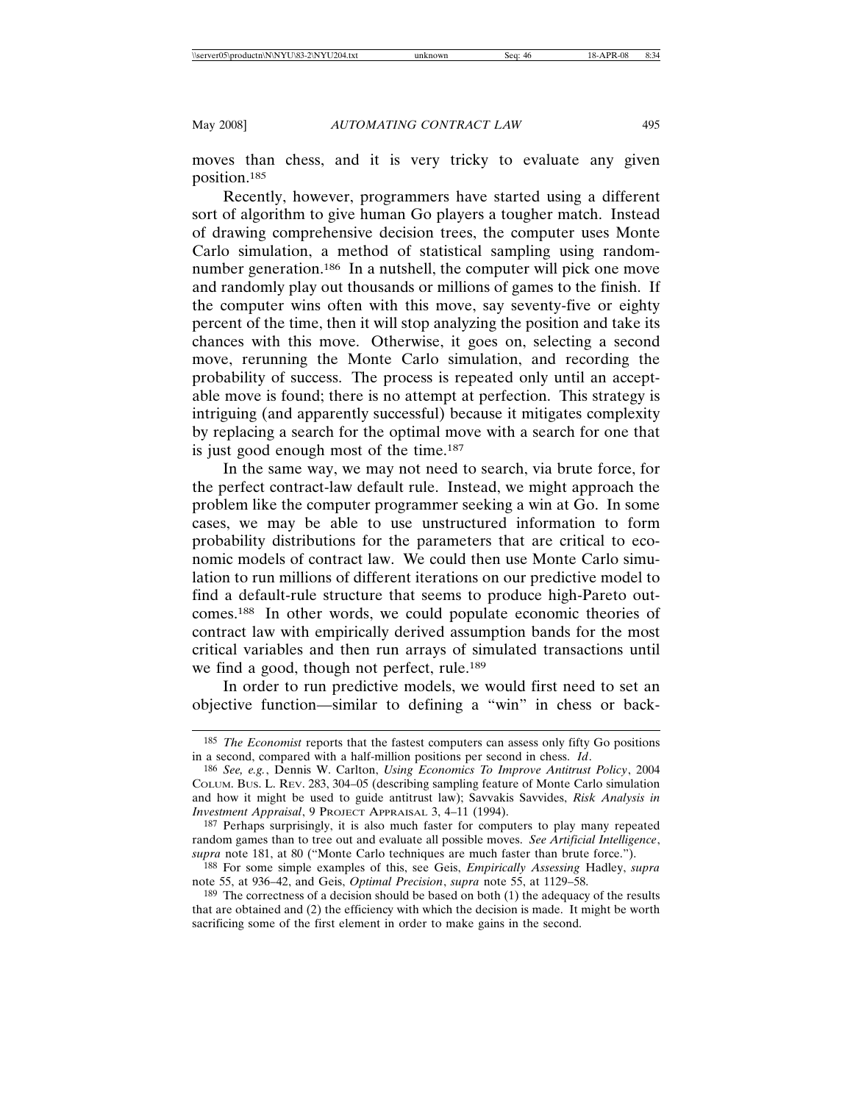moves than chess, and it is very tricky to evaluate any given position.185

Recently, however, programmers have started using a different sort of algorithm to give human Go players a tougher match. Instead of drawing comprehensive decision trees, the computer uses Monte Carlo simulation, a method of statistical sampling using randomnumber generation.<sup>186</sup> In a nutshell, the computer will pick one move and randomly play out thousands or millions of games to the finish. If the computer wins often with this move, say seventy-five or eighty percent of the time, then it will stop analyzing the position and take its chances with this move. Otherwise, it goes on, selecting a second move, rerunning the Monte Carlo simulation, and recording the probability of success. The process is repeated only until an acceptable move is found; there is no attempt at perfection. This strategy is intriguing (and apparently successful) because it mitigates complexity by replacing a search for the optimal move with a search for one that is just good enough most of the time.187

In the same way, we may not need to search, via brute force, for the perfect contract-law default rule. Instead, we might approach the problem like the computer programmer seeking a win at Go. In some cases, we may be able to use unstructured information to form probability distributions for the parameters that are critical to economic models of contract law. We could then use Monte Carlo simulation to run millions of different iterations on our predictive model to find a default-rule structure that seems to produce high-Pareto outcomes.188 In other words, we could populate economic theories of contract law with empirically derived assumption bands for the most critical variables and then run arrays of simulated transactions until we find a good, though not perfect, rule.<sup>189</sup>

In order to run predictive models, we would first need to set an objective function—similar to defining a "win" in chess or back-

<sup>185</sup> *The Economist* reports that the fastest computers can assess only fifty Go positions in a second, compared with a half-million positions per second in chess. *Id*.

<sup>186</sup> *See, e.g.*, Dennis W. Carlton, *Using Economics To Improve Antitrust Policy*, 2004 COLUM. BUS. L. REV. 283, 304–05 (describing sampling feature of Monte Carlo simulation and how it might be used to guide antitrust law); Savvakis Savvides, *Risk Analysis in Investment Appraisal*, 9 PROJECT APPRAISAL 3, 4–11 (1994).

<sup>187</sup> Perhaps surprisingly, it is also much faster for computers to play many repeated random games than to tree out and evaluate all possible moves. *See Artificial Intelligence*, *supra* note 181, at 80 ("Monte Carlo techniques are much faster than brute force.").

<sup>188</sup> For some simple examples of this, see Geis, *Empirically Assessing* Hadley, *supra* note 55, at 936–42, and Geis, *Optimal Precision*, *supra* note 55, at 1129–58.

<sup>&</sup>lt;sup>189</sup> The correctness of a decision should be based on both (1) the adequacy of the results that are obtained and (2) the efficiency with which the decision is made. It might be worth sacrificing some of the first element in order to make gains in the second.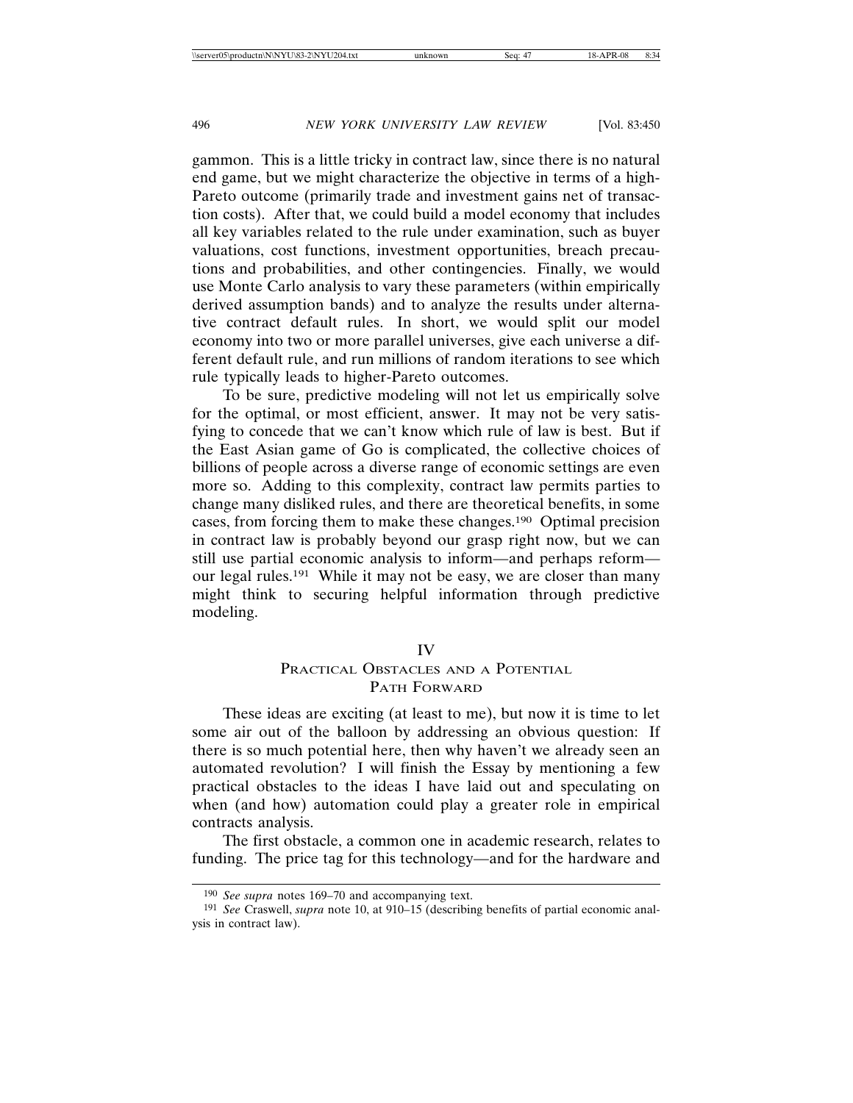gammon. This is a little tricky in contract law, since there is no natural end game, but we might characterize the objective in terms of a high-Pareto outcome (primarily trade and investment gains net of transaction costs). After that, we could build a model economy that includes all key variables related to the rule under examination, such as buyer valuations, cost functions, investment opportunities, breach precautions and probabilities, and other contingencies. Finally, we would use Monte Carlo analysis to vary these parameters (within empirically derived assumption bands) and to analyze the results under alternative contract default rules. In short, we would split our model economy into two or more parallel universes, give each universe a different default rule, and run millions of random iterations to see which rule typically leads to higher-Pareto outcomes.

To be sure, predictive modeling will not let us empirically solve for the optimal, or most efficient, answer. It may not be very satisfying to concede that we can't know which rule of law is best. But if the East Asian game of Go is complicated, the collective choices of billions of people across a diverse range of economic settings are even more so. Adding to this complexity, contract law permits parties to change many disliked rules, and there are theoretical benefits, in some cases, from forcing them to make these changes.190 Optimal precision in contract law is probably beyond our grasp right now, but we can still use partial economic analysis to inform—and perhaps reform our legal rules.191 While it may not be easy, we are closer than many might think to securing helpful information through predictive modeling.

### IV

# PRACTICAL OBSTACLES AND A POTENTIAL PATH FORWARD

These ideas are exciting (at least to me), but now it is time to let some air out of the balloon by addressing an obvious question: If there is so much potential here, then why haven't we already seen an automated revolution? I will finish the Essay by mentioning a few practical obstacles to the ideas I have laid out and speculating on when (and how) automation could play a greater role in empirical contracts analysis.

The first obstacle, a common one in academic research, relates to funding. The price tag for this technology—and for the hardware and

<sup>190</sup> *See supra* notes 169–70 and accompanying text.

<sup>191</sup> *See* Craswell, *supra* note 10, at 910–15 (describing benefits of partial economic analysis in contract law).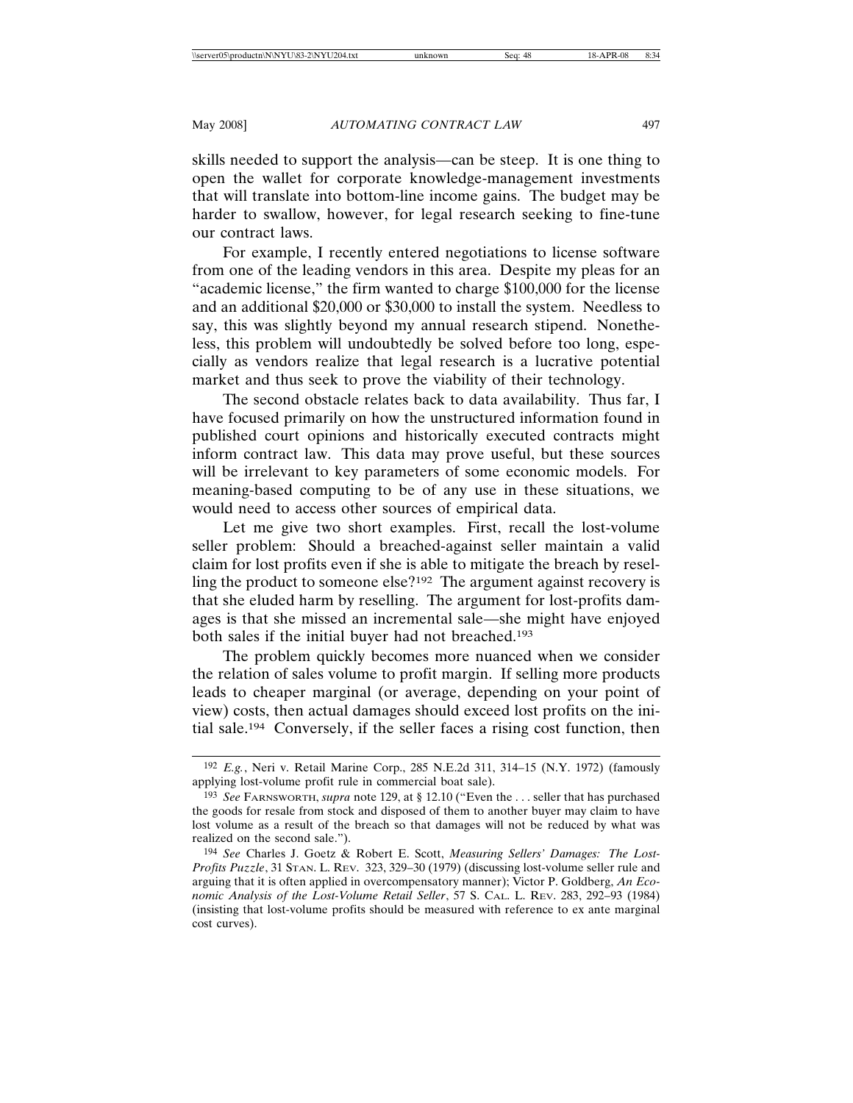skills needed to support the analysis—can be steep. It is one thing to open the wallet for corporate knowledge-management investments that will translate into bottom-line income gains. The budget may be harder to swallow, however, for legal research seeking to fine-tune our contract laws.

For example, I recently entered negotiations to license software from one of the leading vendors in this area. Despite my pleas for an "academic license," the firm wanted to charge \$100,000 for the license and an additional \$20,000 or \$30,000 to install the system. Needless to say, this was slightly beyond my annual research stipend. Nonetheless, this problem will undoubtedly be solved before too long, especially as vendors realize that legal research is a lucrative potential market and thus seek to prove the viability of their technology.

The second obstacle relates back to data availability. Thus far, I have focused primarily on how the unstructured information found in published court opinions and historically executed contracts might inform contract law. This data may prove useful, but these sources will be irrelevant to key parameters of some economic models. For meaning-based computing to be of any use in these situations, we would need to access other sources of empirical data.

Let me give two short examples. First, recall the lost-volume seller problem: Should a breached-against seller maintain a valid claim for lost profits even if she is able to mitigate the breach by reselling the product to someone else?192 The argument against recovery is that she eluded harm by reselling. The argument for lost-profits damages is that she missed an incremental sale—she might have enjoyed both sales if the initial buyer had not breached.193

The problem quickly becomes more nuanced when we consider the relation of sales volume to profit margin. If selling more products leads to cheaper marginal (or average, depending on your point of view) costs, then actual damages should exceed lost profits on the initial sale.194 Conversely, if the seller faces a rising cost function, then

<sup>192</sup> *E.g.*, Neri v. Retail Marine Corp., 285 N.E.2d 311, 314–15 (N.Y. 1972) (famously applying lost-volume profit rule in commercial boat sale).

<sup>193</sup> *See* FARNSWORTH, *supra* note 129, at § 12.10 ("Even the . . . seller that has purchased the goods for resale from stock and disposed of them to another buyer may claim to have lost volume as a result of the breach so that damages will not be reduced by what was realized on the second sale.").

<sup>194</sup> *See* Charles J. Goetz & Robert E. Scott, *Measuring Sellers' Damages: The Lost-Profits Puzzle*, 31 STAN. L. REV. 323, 329–30 (1979) (discussing lost-volume seller rule and arguing that it is often applied in overcompensatory manner); Victor P. Goldberg, *An Economic Analysis of the Lost-Volume Retail Seller*, 57 S. CAL. L. REV. 283, 292–93 (1984) (insisting that lost-volume profits should be measured with reference to ex ante marginal cost curves).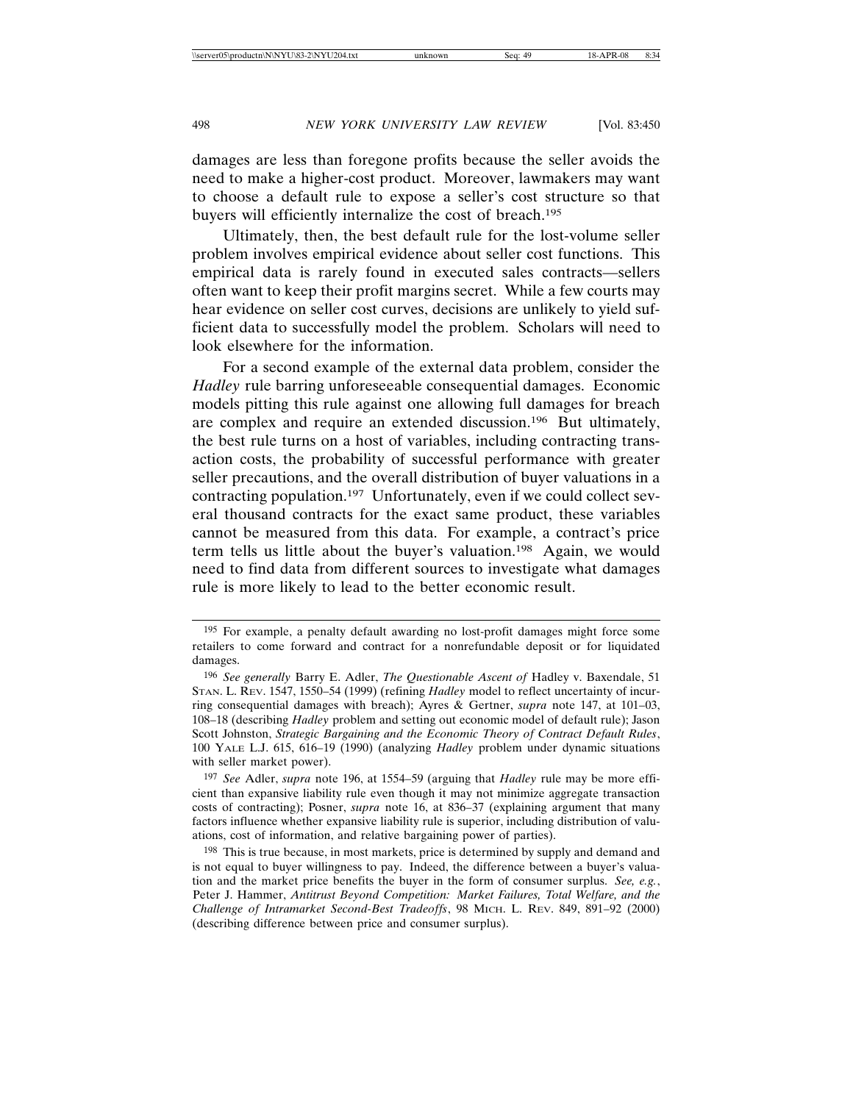damages are less than foregone profits because the seller avoids the need to make a higher-cost product. Moreover, lawmakers may want to choose a default rule to expose a seller's cost structure so that buyers will efficiently internalize the cost of breach.195

Ultimately, then, the best default rule for the lost-volume seller problem involves empirical evidence about seller cost functions. This empirical data is rarely found in executed sales contracts—sellers often want to keep their profit margins secret. While a few courts may hear evidence on seller cost curves, decisions are unlikely to yield sufficient data to successfully model the problem. Scholars will need to look elsewhere for the information.

For a second example of the external data problem, consider the *Hadley* rule barring unforeseeable consequential damages. Economic models pitting this rule against one allowing full damages for breach are complex and require an extended discussion.196 But ultimately, the best rule turns on a host of variables, including contracting transaction costs, the probability of successful performance with greater seller precautions, and the overall distribution of buyer valuations in a contracting population.197 Unfortunately, even if we could collect several thousand contracts for the exact same product, these variables cannot be measured from this data. For example, a contract's price term tells us little about the buyer's valuation.198 Again, we would need to find data from different sources to investigate what damages rule is more likely to lead to the better economic result.

<sup>195</sup> For example, a penalty default awarding no lost-profit damages might force some retailers to come forward and contract for a nonrefundable deposit or for liquidated damages.

<sup>196</sup> *See generally* Barry E. Adler, *The Questionable Ascent of* Hadley v. Baxendale, 51 STAN. L. REV. 1547, 1550–54 (1999) (refining *Hadley* model to reflect uncertainty of incurring consequential damages with breach); Ayres & Gertner, *supra* note 147, at 101–03, 108–18 (describing *Hadley* problem and setting out economic model of default rule); Jason Scott Johnston, *Strategic Bargaining and the Economic Theory of Contract Default Rules*, 100 YALE L.J. 615, 616–19 (1990) (analyzing *Hadley* problem under dynamic situations with seller market power).

<sup>197</sup> *See* Adler, *supra* note 196, at 1554–59 (arguing that *Hadley* rule may be more efficient than expansive liability rule even though it may not minimize aggregate transaction costs of contracting); Posner, *supra* note 16, at 836–37 (explaining argument that many factors influence whether expansive liability rule is superior, including distribution of valuations, cost of information, and relative bargaining power of parties).

<sup>198</sup> This is true because, in most markets, price is determined by supply and demand and is not equal to buyer willingness to pay. Indeed, the difference between a buyer's valuation and the market price benefits the buyer in the form of consumer surplus. *See, e.g.*, Peter J. Hammer, *Antitrust Beyond Competition: Market Failures, Total Welfare, and the Challenge of Intramarket Second-Best Tradeoffs*, 98 MICH. L. REV. 849, 891–92 (2000) (describing difference between price and consumer surplus).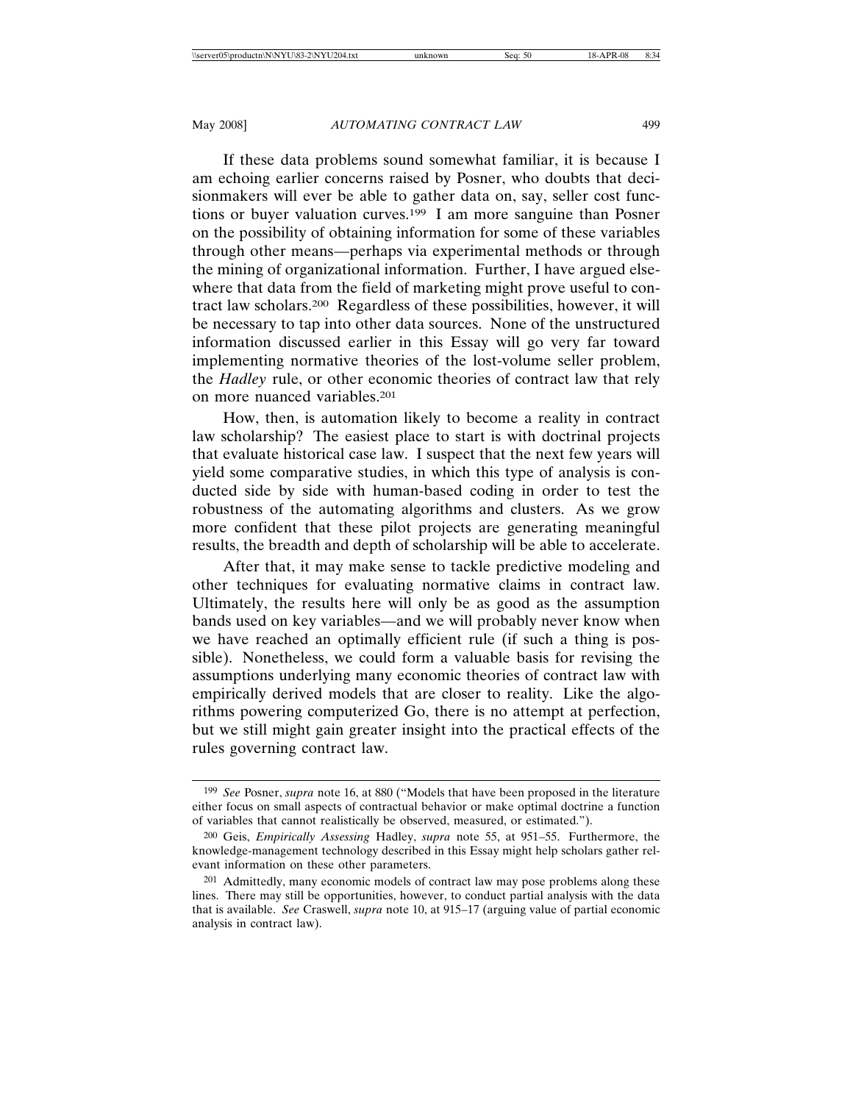If these data problems sound somewhat familiar, it is because I am echoing earlier concerns raised by Posner, who doubts that decisionmakers will ever be able to gather data on, say, seller cost functions or buyer valuation curves.199 I am more sanguine than Posner on the possibility of obtaining information for some of these variables through other means—perhaps via experimental methods or through the mining of organizational information. Further, I have argued elsewhere that data from the field of marketing might prove useful to contract law scholars.200 Regardless of these possibilities, however, it will be necessary to tap into other data sources. None of the unstructured information discussed earlier in this Essay will go very far toward implementing normative theories of the lost-volume seller problem, the *Hadley* rule, or other economic theories of contract law that rely on more nuanced variables.201

How, then, is automation likely to become a reality in contract law scholarship? The easiest place to start is with doctrinal projects that evaluate historical case law. I suspect that the next few years will yield some comparative studies, in which this type of analysis is conducted side by side with human-based coding in order to test the robustness of the automating algorithms and clusters. As we grow more confident that these pilot projects are generating meaningful results, the breadth and depth of scholarship will be able to accelerate.

After that, it may make sense to tackle predictive modeling and other techniques for evaluating normative claims in contract law. Ultimately, the results here will only be as good as the assumption bands used on key variables—and we will probably never know when we have reached an optimally efficient rule (if such a thing is possible). Nonetheless, we could form a valuable basis for revising the assumptions underlying many economic theories of contract law with empirically derived models that are closer to reality. Like the algorithms powering computerized Go, there is no attempt at perfection, but we still might gain greater insight into the practical effects of the rules governing contract law.

<sup>199</sup> *See* Posner, *supra* note 16, at 880 ("Models that have been proposed in the literature either focus on small aspects of contractual behavior or make optimal doctrine a function of variables that cannot realistically be observed, measured, or estimated.").

<sup>200</sup> Geis, *Empirically Assessing* Hadley, *supra* note 55, at 951–55. Furthermore, the knowledge-management technology described in this Essay might help scholars gather relevant information on these other parameters.

<sup>201</sup> Admittedly, many economic models of contract law may pose problems along these lines. There may still be opportunities, however, to conduct partial analysis with the data that is available. *See* Craswell, *supra* note 10, at 915–17 (arguing value of partial economic analysis in contract law).